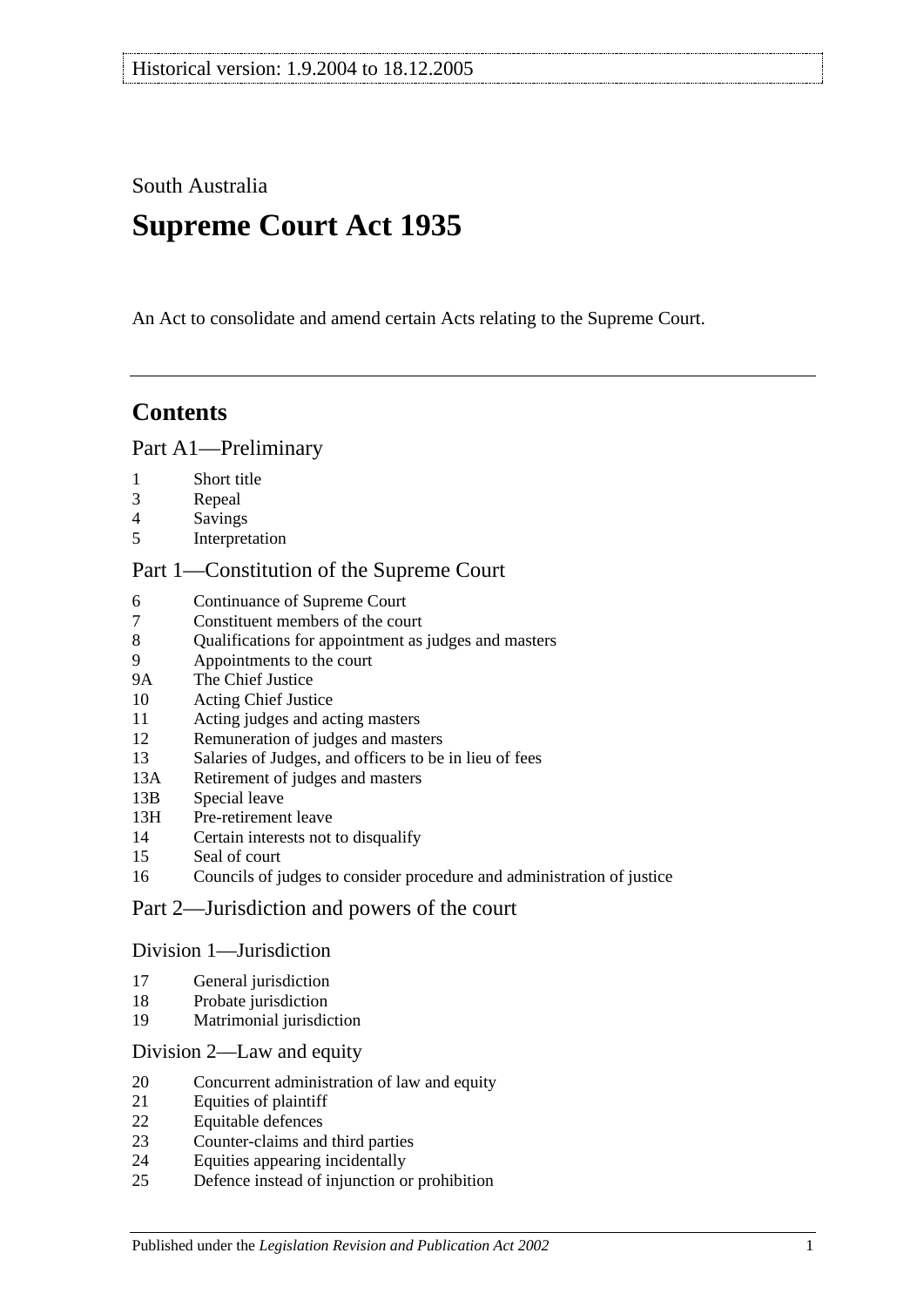South Australia

# **Supreme Court Act 1935**

An Act to consolidate and amend certain Acts relating to the Supreme Court.

## **Contents**

#### [Part A1—Preliminary](#page-3-0)

- [Short title](#page-3-1)
- [Repeal](#page-3-2)
- [Savings](#page-3-3)
- [Interpretation](#page-3-4)

### [Part 1—Constitution of the Supreme Court](#page-5-0)

- [Continuance of](#page-5-1) Supreme Court<br>7 Constituent members of the cou
- [Constituent members of the court](#page-5-2)
- [Qualifications for appointment as judges and masters](#page-5-3)
- [Appointments to the court](#page-5-4)
- 9A [The Chief Justice](#page-6-0)
- [Acting Chief Justice](#page-6-1)
- [Acting judges and acting masters](#page-6-2)
- [Remuneration of judges and masters](#page-6-3)
- [Salaries of Judges, and officers to be in lieu of fees](#page-7-0)
- 13A [Retirement of judges and masters](#page-7-1)
- 13B [Special leave](#page-7-2)
- 13H [Pre-retirement leave](#page-7-3)
- [Certain interests not to disqualify](#page-8-0)
- [Seal of court](#page-8-1)
- [Councils of judges to consider procedure and administration of justice](#page-9-0)

## [Part 2—Jurisdiction and powers of the court](#page-9-1)

#### [Division 1—Jurisdiction](#page-9-2)

- [General jurisdiction](#page-9-3)
- [Probate jurisdiction](#page-10-0)
- [Matrimonial jurisdiction](#page-10-1)

#### [Division 2—Law and equity](#page-10-2)

- [Concurrent administration of law and equity](#page-10-3)
- [Equities of plaintiff](#page-10-4)
- [Equitable defences](#page-11-0)
- [Counter-claims and third parties](#page-11-1)
- [Equities appearing incidentally](#page-11-2)
- [Defence instead of injunction or prohibition](#page-11-3)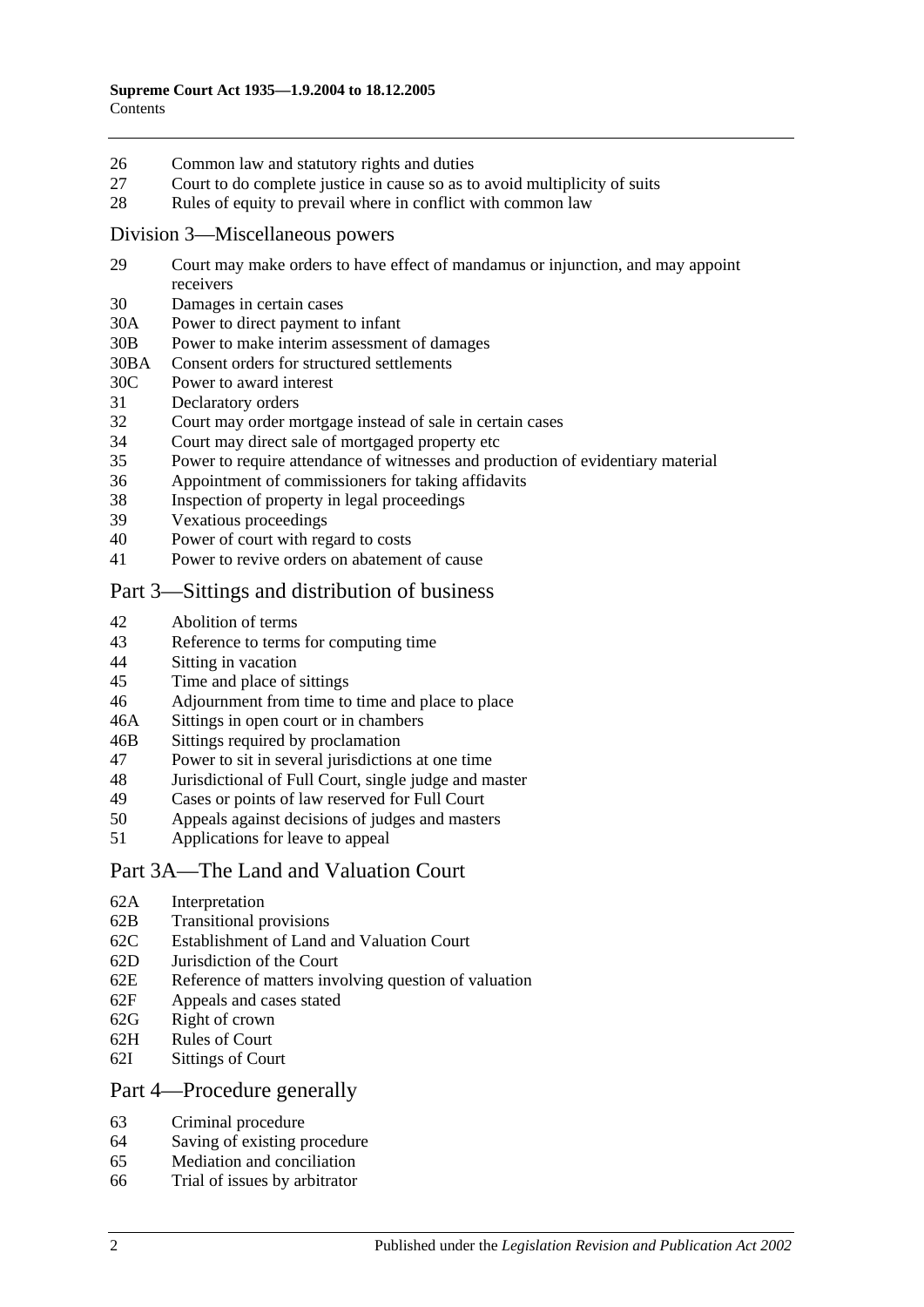- 26 [Common law and statutory rights and duties](#page-12-0)
- 27 [Court to do complete justice in cause so as to avoid multiplicity of suits](#page-12-1)
- 28 [Rules of equity to prevail where in conflict with common law](#page-12-2)

#### [Division 3—Miscellaneous powers](#page-12-3)

- 29 [Court may make orders to have effect of mandamus or injunction, and may appoint](#page-12-4)  [receivers](#page-12-4)
- 30 [Damages in certain cases](#page-13-0)
- 30A [Power to direct payment to infant](#page-13-1)
- 30B [Power to make interim assessment of damages](#page-13-2)
- 30BA [Consent orders for structured settlements](#page-16-0)
- 30C [Power to award interest](#page-16-1)
- 31 [Declaratory orders](#page-17-0)
- 32 [Court may order mortgage instead of sale in certain cases](#page-17-1)
- 34 [Court may direct sale of mortgaged property etc](#page-17-2)
- 35 [Power to require attendance of witnesses and production of evidentiary material](#page-17-3)
- 36 [Appointment of commissioners for taking affidavits](#page-18-0)
- 38 [Inspection of property in legal proceedings](#page-18-1)
- 39 [Vexatious proceedings](#page-18-2)
- 40 [Power of court with regard to costs](#page-19-0)
- 41 [Power to revive orders on abatement of cause](#page-19-1)

## [Part 3—Sittings and distribution of business](#page-19-2)

- 42 [Abolition of terms](#page-19-3)
- 43 [Reference to terms for computing time](#page-19-4)
- 44 Sitting [in vacation](#page-19-5)
- 45 [Time and place of sittings](#page-20-0)
- 46 [Adjournment from time to time and place to place](#page-20-1)
- 46A [Sittings in open court or in chambers](#page-20-2)
- 46B [Sittings required by proclamation](#page-20-3)
- 47 [Power to sit in several jurisdictions at one time](#page-20-4)
- 48 [Jurisdictional of Full Court, single judge and master](#page-20-5)
- 49 [Cases or points of law reserved for Full Court](#page-21-0)<br>50 Appeals against decisions of judges and maste
- [Appeals against decisions of judges and masters](#page-21-1)
- 51 [Applications for leave to appeal](#page-22-0)

#### [Part 3A—The Land and Valuation Court](#page-22-1)

- 62A [Interpretation](#page-22-2)
- 62B [Transitional provisions](#page-22-3)
- 62C [Establishment of Land and Valuation Court](#page-23-0)
- 62D [Jurisdiction of the Court](#page-23-1)
- 62E [Reference of matters involving question of valuation](#page-24-0)
- 62F [Appeals and cases stated](#page-24-1)
- 62G [Right of crown](#page-24-2)
- 62H [Rules of Court](#page-25-0)
- 62I [Sittings of Court](#page-25-1)

#### [Part 4—Procedure generally](#page-25-2)

- 63 [Criminal procedure](#page-25-3)
- 64 [Saving of existing procedure](#page-25-4)
- 65 [Mediation and conciliation](#page-26-0)
- 66 [Trial of issues by arbitrator](#page-26-1)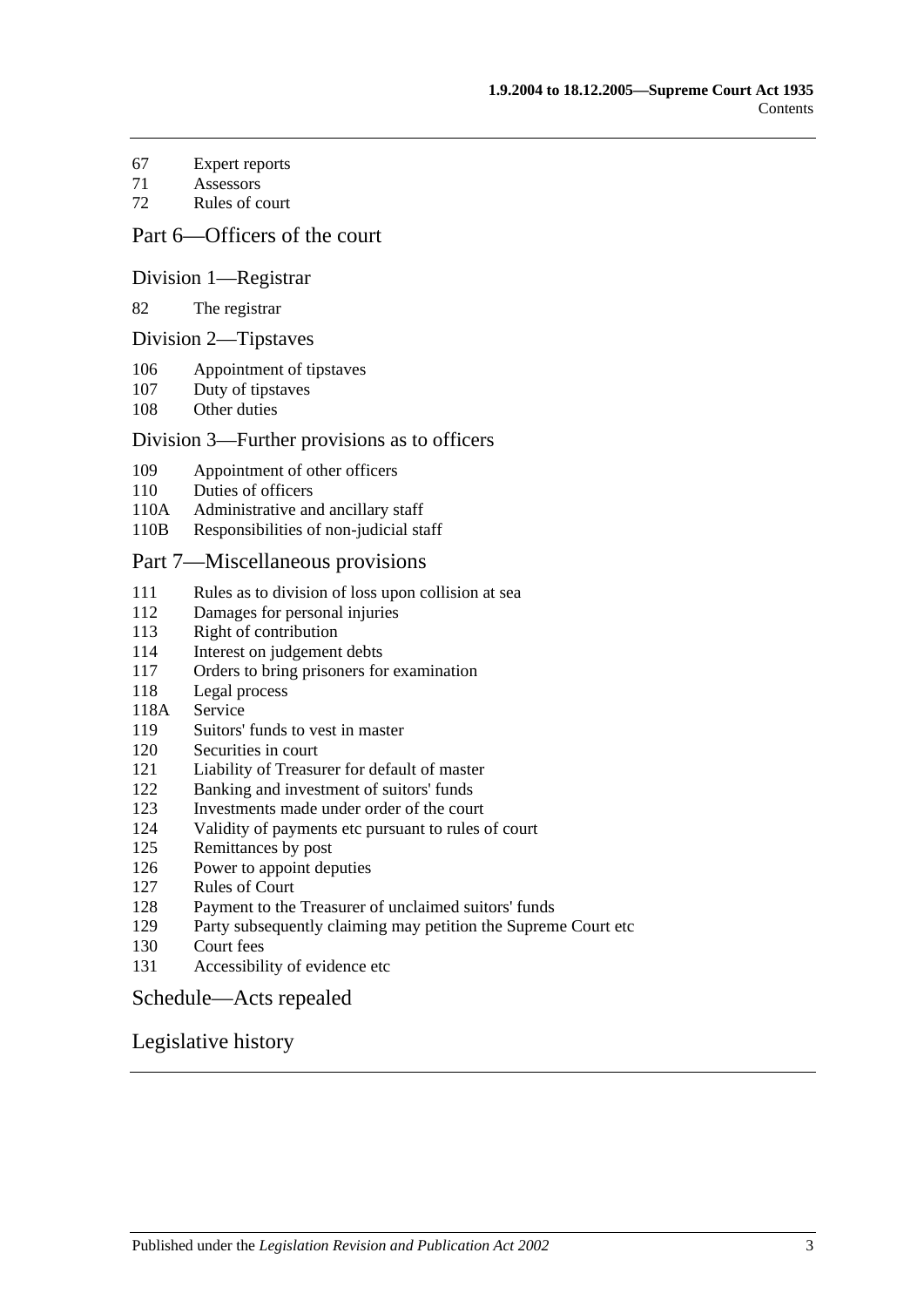- [Expert reports](#page-26-2)
- [Assessors](#page-27-0)
- [Rules of court](#page-27-1)

### [Part 6—Officers of the court](#page-28-0)

#### [Division 1—Registrar](#page-28-1)

#### [The registrar](#page-28-2)

#### [Division 2—Tipstaves](#page-28-3)

- [Appointment of tipstaves](#page-28-4)
- [Duty of tipstaves](#page-29-0)
- [Other duties](#page-29-1)

#### [Division 3—Further provisions as to officers](#page-29-2)

- [Appointment of other officers](#page-29-3)
- [Duties of officers](#page-29-4)
- 110A [Administrative and ancillary staff](#page-29-5)
- 110B [Responsibilities of non-judicial staff](#page-29-6)

#### [Part 7—Miscellaneous provisions](#page-30-0)

- [Rules as to division of loss upon collision at sea](#page-30-1)
- [Damages for personal injuries](#page-30-2)
- [Right of contribution](#page-30-3)
- [Interest on judgement debts](#page-31-0)
- [Orders to bring prisoners for examination](#page-31-1)
- [Legal process](#page-31-2)
- 118A [Service](#page-31-3)
- [Suitors' funds to vest in master](#page-31-4)
- [Securities in court](#page-32-0)
- [Liability of Treasurer for default of master](#page-32-1)
- [Banking and investment of suitors' funds](#page-32-2)<br>123 Investments made under order of the cour
- [Investments made under order of the court](#page-32-3)
- [Validity of payments etc pursuant to rules of court](#page-32-4)
- [Remittances by post](#page-32-5)
- [Power to appoint deputies](#page-33-0)
- [Rules of Court](#page-33-1)
- [Payment to the Treasurer of unclaimed suitors' funds](#page-33-2)
- [Party subsequently claiming may petition the](#page-33-3) Supreme Court etc
- [Court fees](#page-33-4)
- [Accessibility of evidence etc](#page-34-0)

## [Schedule—Acts repealed](#page-34-1)

## [Legislative history](#page-37-0)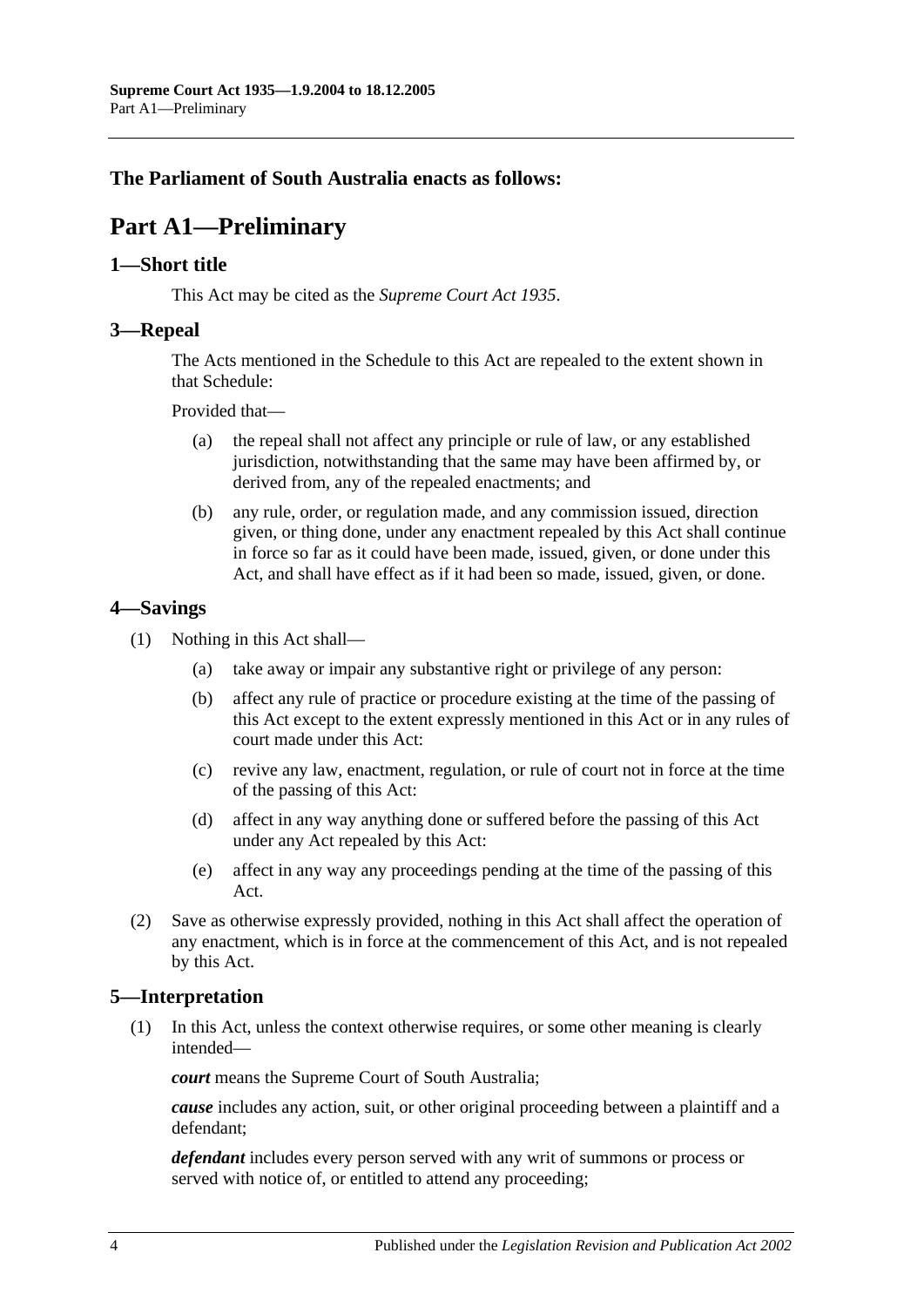## <span id="page-3-0"></span>**The Parliament of South Australia enacts as follows:**

# **Part A1—Preliminary**

### <span id="page-3-1"></span>**1—Short title**

This Act may be cited as the *Supreme Court Act 1935*.

### <span id="page-3-2"></span>**3—Repeal**

The Acts mentioned in the [Schedule](#page-34-1) to this Act are repealed to the extent shown in that [Schedule:](#page-34-1)

Provided that—

- (a) the repeal shall not affect any principle or rule of law, or any established jurisdiction, notwithstanding that the same may have been affirmed by, or derived from, any of the repealed enactments; and
- (b) any rule, order, or regulation made, and any commission issued, direction given, or thing done, under any enactment repealed by this Act shall continue in force so far as it could have been made, issued, given, or done under this Act, and shall have effect as if it had been so made, issued, given, or done.

## <span id="page-3-3"></span>**4—Savings**

- (1) Nothing in this Act shall—
	- (a) take away or impair any substantive right or privilege of any person:
	- (b) affect any rule of practice or procedure existing at the time of the passing of this Act except to the extent expressly mentioned in this Act or in any rules of court made under this Act:
	- (c) revive any law, enactment, regulation, or rule of court not in force at the time of the passing of this Act:
	- (d) affect in any way anything done or suffered before the passing of this Act under any Act repealed by this Act:
	- (e) affect in any way any proceedings pending at the time of the passing of this Act.
- (2) Save as otherwise expressly provided, nothing in this Act shall affect the operation of any enactment, which is in force at the commencement of this Act, and is not repealed by this Act.

## <span id="page-3-4"></span>**5—Interpretation**

(1) In this Act, unless the context otherwise requires, or some other meaning is clearly intended—

*court* means the Supreme Court of South Australia;

*cause* includes any action, suit, or other original proceeding between a plaintiff and a defendant;

*defendant* includes every person served with any writ of summons or process or served with notice of, or entitled to attend any proceeding;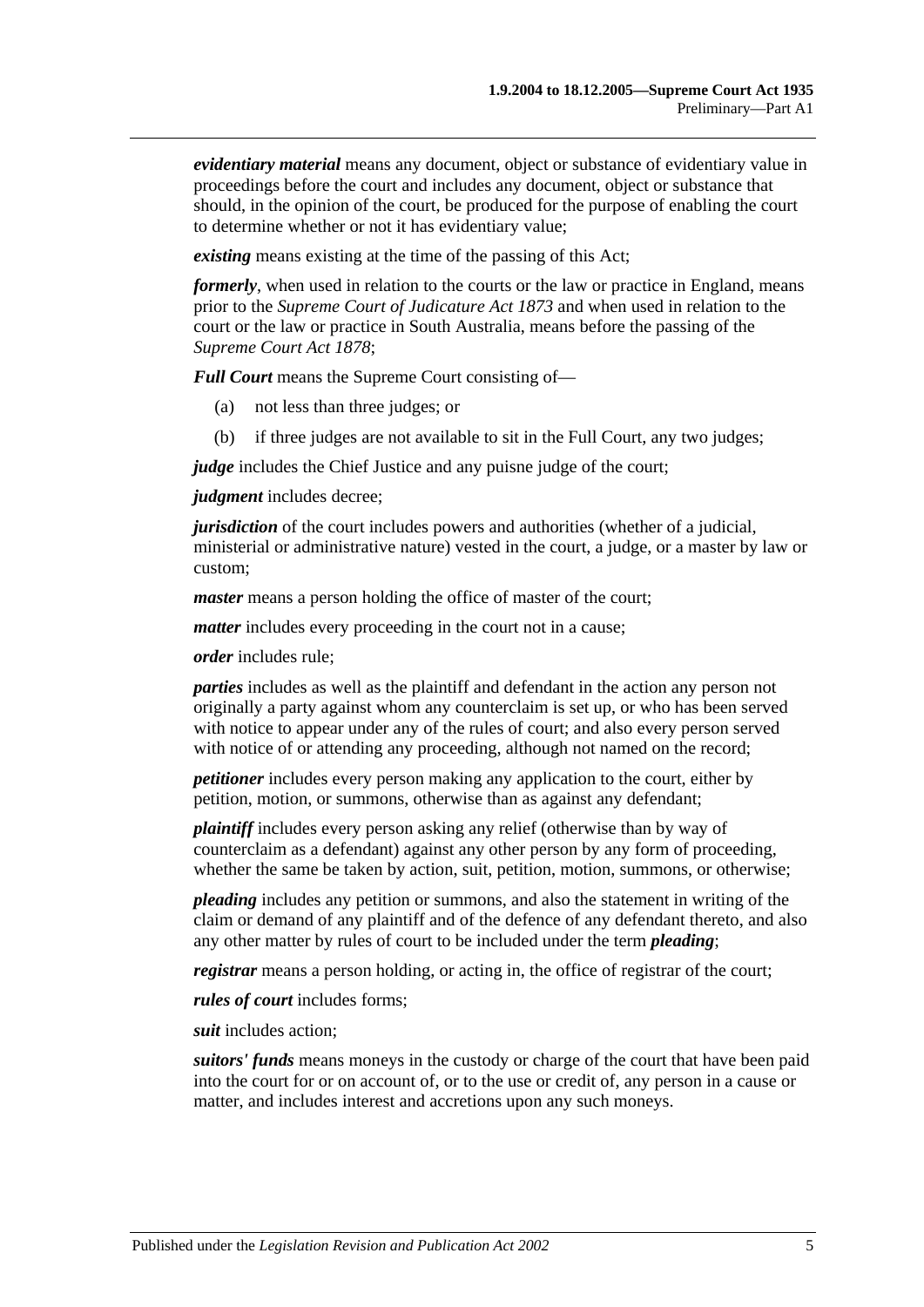*evidentiary material* means any document, object or substance of evidentiary value in proceedings before the court and includes any document, object or substance that should, in the opinion of the court, be produced for the purpose of enabling the court to determine whether or not it has evidentiary value;

*existing* means existing at the time of the passing of this Act;

*formerly*, when used in relation to the courts or the law or practice in England, means prior to the *[Supreme Court of Judicature Act](http://www.legislation.sa.gov.au/index.aspx?action=legref&type=act&legtitle=Supreme%20Court%20of%20Judicature%20Act%201873) 1873* and when used in relation to the court or the law or practice in South Australia, means before the passing of the *[Supreme Court Act](http://www.legislation.sa.gov.au/index.aspx?action=legref&type=act&legtitle=Supreme%20Court%20Act%201878) 1878*;

*Full Court* means the Supreme Court consisting of—

- (a) not less than three judges; or
- (b) if three judges are not available to sit in the Full Court, any two judges;

*judge* includes the Chief Justice and any puisne judge of the court;

*judgment* includes decree;

*jurisdiction* of the court includes powers and authorities (whether of a judicial, ministerial or administrative nature) vested in the court, a judge, or a master by law or custom;

*master* means a person holding the office of master of the court;

*matter* includes every proceeding in the court not in a cause;

*order* includes rule;

*parties* includes as well as the plaintiff and defendant in the action any person not originally a party against whom any counterclaim is set up, or who has been served with notice to appear under any of the rules of court; and also every person served with notice of or attending any proceeding, although not named on the record;

*petitioner* includes every person making any application to the court, either by petition, motion, or summons, otherwise than as against any defendant;

*plaintiff* includes every person asking any relief (otherwise than by way of counterclaim as a defendant) against any other person by any form of proceeding, whether the same be taken by action, suit, petition, motion, summons, or otherwise;

*pleading* includes any petition or summons, and also the statement in writing of the claim or demand of any plaintiff and of the defence of any defendant thereto, and also any other matter by rules of court to be included under the term *pleading*;

*registrar* means a person holding, or acting in, the office of registrar of the court;

*rules of court* includes forms;

*suit* includes action;

*suitors' funds* means moneys in the custody or charge of the court that have been paid into the court for or on account of, or to the use or credit of, any person in a cause or matter, and includes interest and accretions upon any such moneys.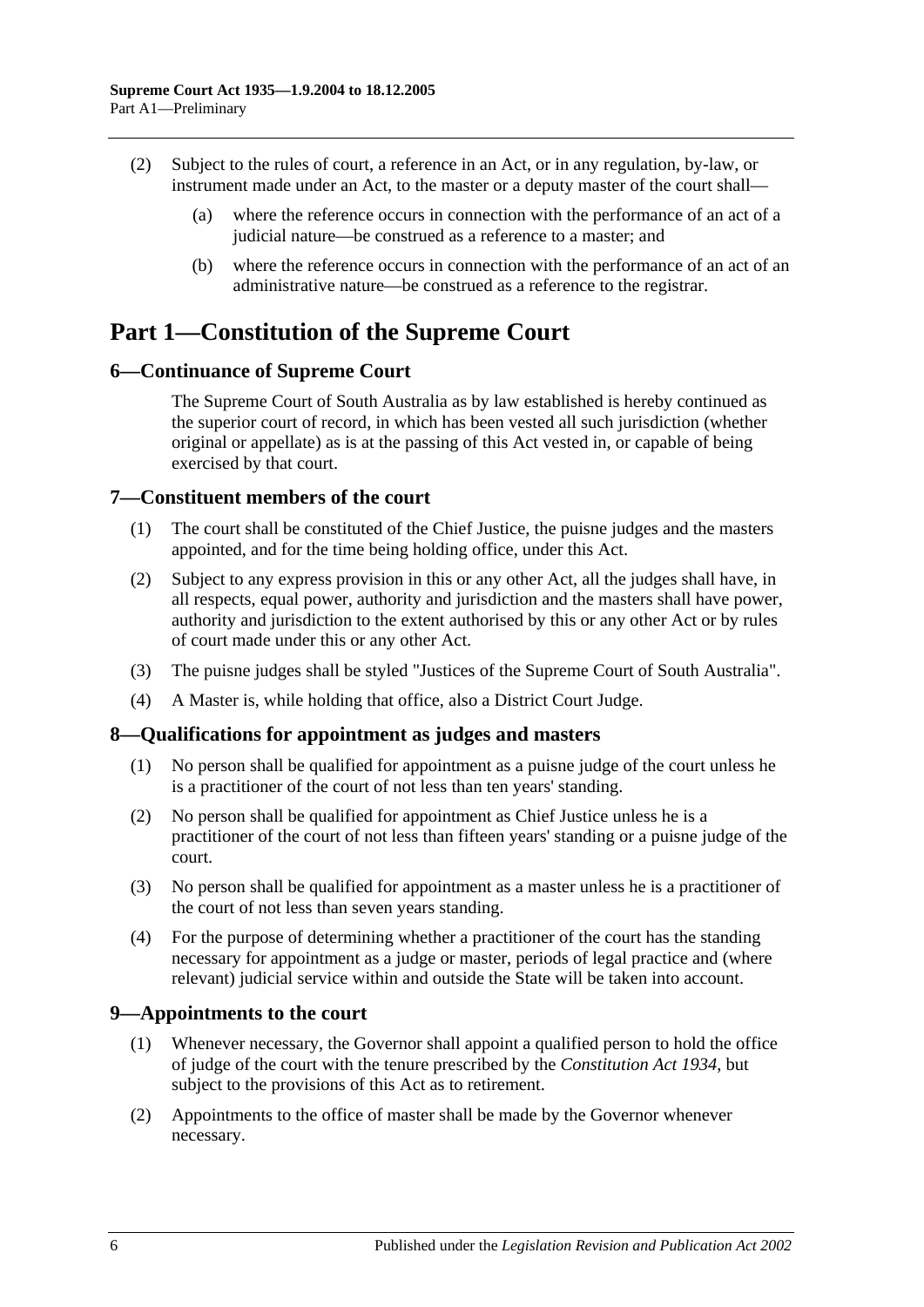- (2) Subject to the rules of court, a reference in an Act, or in any regulation, by-law, or instrument made under an Act, to the master or a deputy master of the court shall—
	- (a) where the reference occurs in connection with the performance of an act of a judicial nature—be construed as a reference to a master; and
	- (b) where the reference occurs in connection with the performance of an act of an administrative nature—be construed as a reference to the registrar.

## <span id="page-5-0"></span>**Part 1—Constitution of the Supreme Court**

## <span id="page-5-1"></span>**6—Continuance of Supreme Court**

The Supreme Court of South Australia as by law established is hereby continued as the superior court of record, in which has been vested all such jurisdiction (whether original or appellate) as is at the passing of this Act vested in, or capable of being exercised by that court.

## <span id="page-5-2"></span>**7—Constituent members of the court**

- (1) The court shall be constituted of the Chief Justice, the puisne judges and the masters appointed, and for the time being holding office, under this Act.
- (2) Subject to any express provision in this or any other Act, all the judges shall have, in all respects, equal power, authority and jurisdiction and the masters shall have power, authority and jurisdiction to the extent authorised by this or any other Act or by rules of court made under this or any other Act.
- (3) The puisne judges shall be styled "Justices of the Supreme Court of South Australia".
- (4) A Master is, while holding that office, also a District Court Judge.

## <span id="page-5-3"></span>**8—Qualifications for appointment as judges and masters**

- (1) No person shall be qualified for appointment as a puisne judge of the court unless he is a practitioner of the court of not less than ten years' standing.
- (2) No person shall be qualified for appointment as Chief Justice unless he is a practitioner of the court of not less than fifteen years' standing or a puisne judge of the court.
- (3) No person shall be qualified for appointment as a master unless he is a practitioner of the court of not less than seven years standing.
- (4) For the purpose of determining whether a practitioner of the court has the standing necessary for appointment as a judge or master, periods of legal practice and (where relevant) judicial service within and outside the State will be taken into account.

## <span id="page-5-4"></span>**9—Appointments to the court**

- (1) Whenever necessary, the Governor shall appoint a qualified person to hold the office of judge of the court with the tenure prescribed by the *[Constitution Act](http://www.legislation.sa.gov.au/index.aspx?action=legref&type=act&legtitle=Constitution%20Act%201934) 1934*, but subject to the provisions of this Act as to retirement.
- (2) Appointments to the office of master shall be made by the Governor whenever necessary.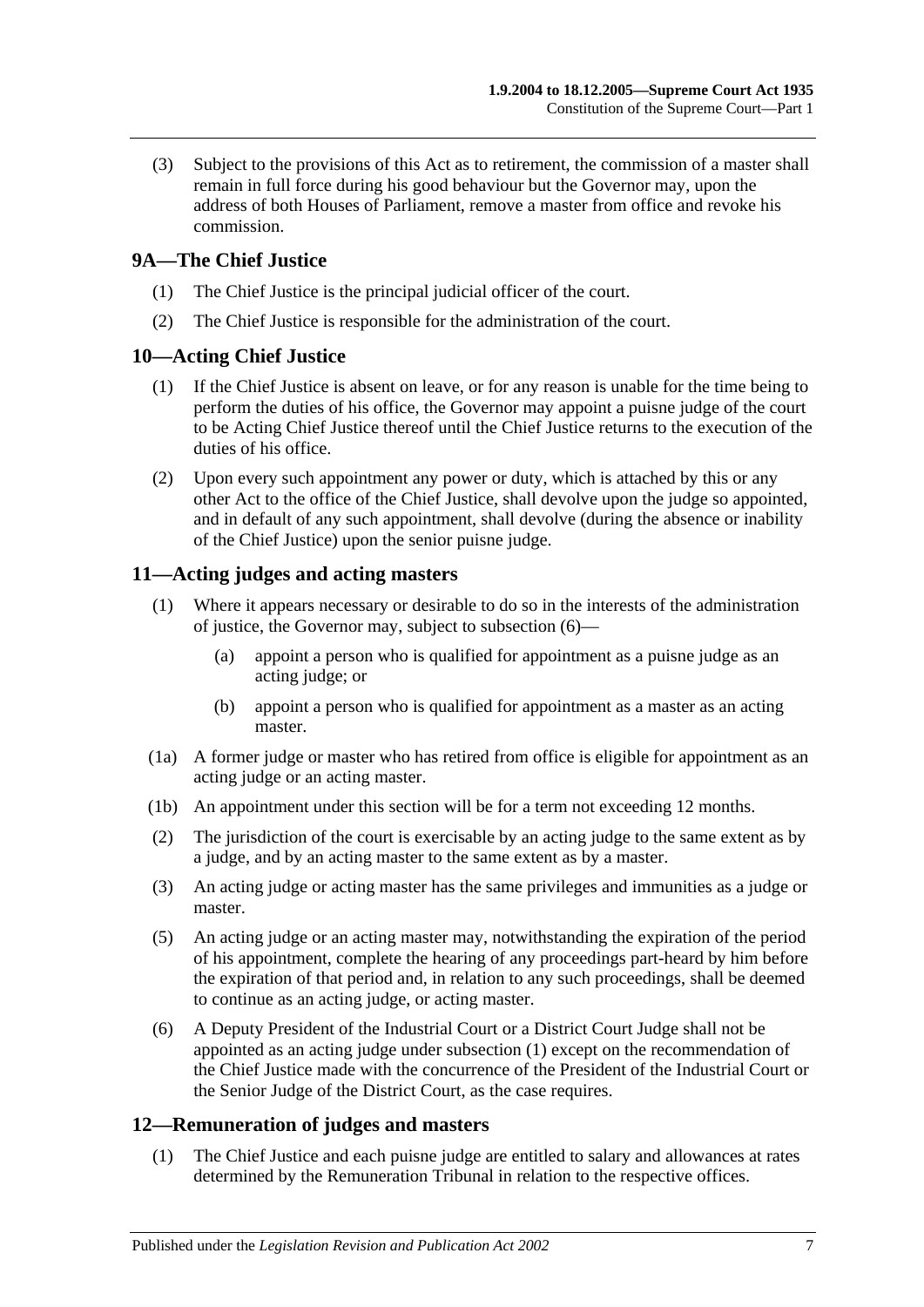(3) Subject to the provisions of this Act as to retirement, the commission of a master shall remain in full force during his good behaviour but the Governor may, upon the address of both Houses of Parliament, remove a master from office and revoke his commission.

## <span id="page-6-0"></span>**9A—The Chief Justice**

- (1) The Chief Justice is the principal judicial officer of the court.
- (2) The Chief Justice is responsible for the administration of the court.

## <span id="page-6-1"></span>**10—Acting Chief Justice**

- (1) If the Chief Justice is absent on leave, or for any reason is unable for the time being to perform the duties of his office, the Governor may appoint a puisne judge of the court to be Acting Chief Justice thereof until the Chief Justice returns to the execution of the duties of his office.
- (2) Upon every such appointment any power or duty, which is attached by this or any other Act to the office of the Chief Justice, shall devolve upon the judge so appointed, and in default of any such appointment, shall devolve (during the absence or inability of the Chief Justice) upon the senior puisne judge.

## <span id="page-6-5"></span><span id="page-6-2"></span>**11—Acting judges and acting masters**

- (1) Where it appears necessary or desirable to do so in the interests of the administration of justice, the Governor may, subject to [subsection](#page-6-4) (6)—
	- (a) appoint a person who is qualified for appointment as a puisne judge as an acting judge; or
	- (b) appoint a person who is qualified for appointment as a master as an acting master.
- (1a) A former judge or master who has retired from office is eligible for appointment as an acting judge or an acting master.
- (1b) An appointment under this section will be for a term not exceeding 12 months.
- (2) The jurisdiction of the court is exercisable by an acting judge to the same extent as by a judge, and by an acting master to the same extent as by a master.
- (3) An acting judge or acting master has the same privileges and immunities as a judge or master.
- (5) An acting judge or an acting master may, notwithstanding the expiration of the period of his appointment, complete the hearing of any proceedings part-heard by him before the expiration of that period and, in relation to any such proceedings, shall be deemed to continue as an acting judge, or acting master.
- <span id="page-6-4"></span>(6) A Deputy President of the Industrial Court or a District Court Judge shall not be appointed as an acting judge under [subsection](#page-6-5) (1) except on the recommendation of the Chief Justice made with the concurrence of the President of the Industrial Court or the Senior Judge of the District Court, as the case requires.

## <span id="page-6-3"></span>**12—Remuneration of judges and masters**

(1) The Chief Justice and each puisne judge are entitled to salary and allowances at rates determined by the Remuneration Tribunal in relation to the respective offices.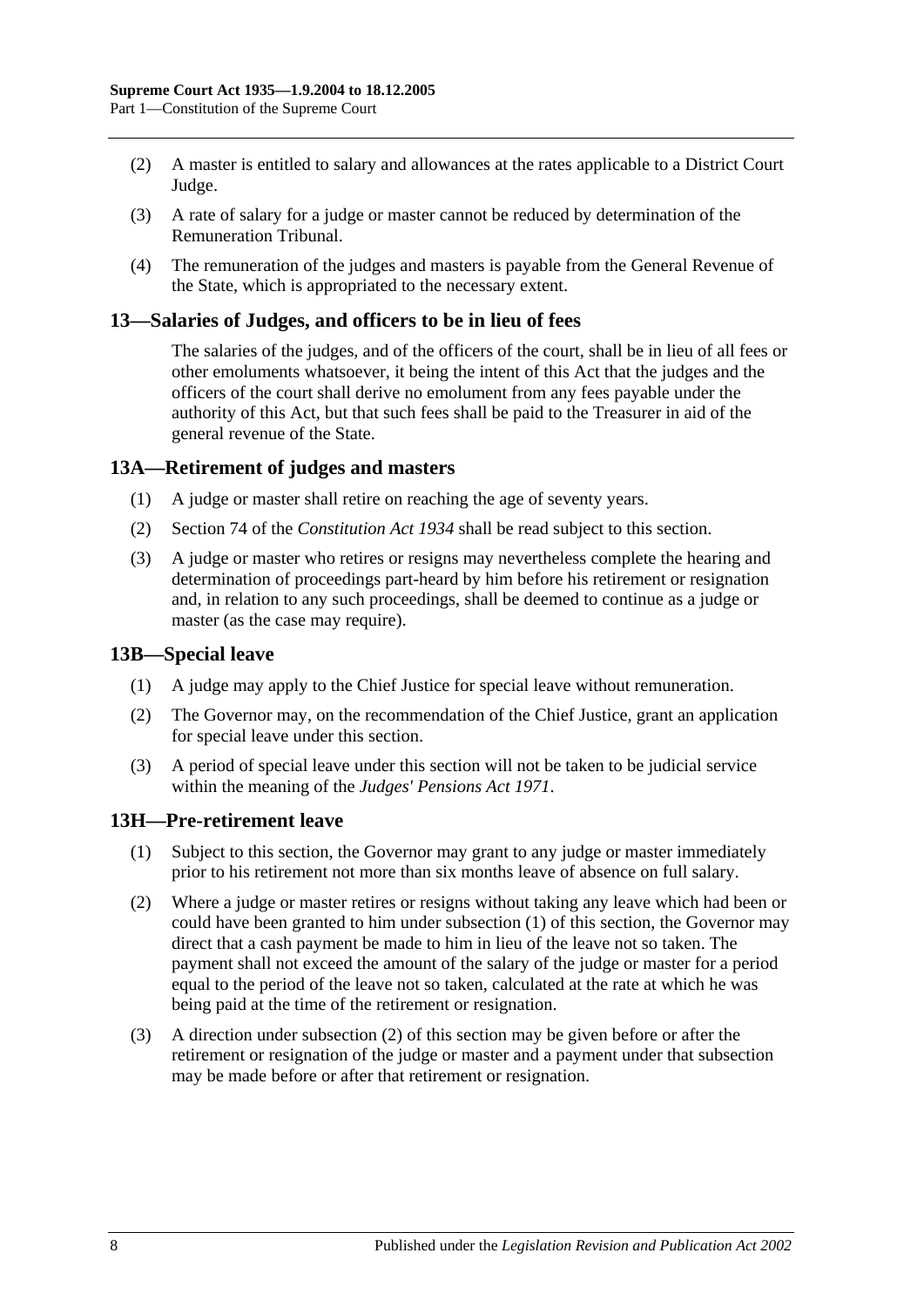- (2) A master is entitled to salary and allowances at the rates applicable to a District Court Judge.
- (3) A rate of salary for a judge or master cannot be reduced by determination of the Remuneration Tribunal.
- (4) The remuneration of the judges and masters is payable from the General Revenue of the State, which is appropriated to the necessary extent.

#### <span id="page-7-0"></span>**13—Salaries of Judges, and officers to be in lieu of fees**

The salaries of the judges, and of the officers of the court, shall be in lieu of all fees or other emoluments whatsoever, it being the intent of this Act that the judges and the officers of the court shall derive no emolument from any fees payable under the authority of this Act, but that such fees shall be paid to the Treasurer in aid of the general revenue of the State.

### <span id="page-7-1"></span>**13A—Retirement of judges and masters**

- (1) A judge or master shall retire on reaching the age of seventy years.
- (2) Section 74 of the *[Constitution Act](http://www.legislation.sa.gov.au/index.aspx?action=legref&type=act&legtitle=Constitution%20Act%201934) 1934* shall be read subject to this section.
- (3) A judge or master who retires or resigns may nevertheless complete the hearing and determination of proceedings part-heard by him before his retirement or resignation and, in relation to any such proceedings, shall be deemed to continue as a judge or master (as the case may require).

#### <span id="page-7-2"></span>**13B—Special leave**

- (1) A judge may apply to the Chief Justice for special leave without remuneration.
- (2) The Governor may, on the recommendation of the Chief Justice, grant an application for special leave under this section.
- (3) A period of special leave under this section will not be taken to be judicial service within the meaning of the *[Judges' Pensions Act](http://www.legislation.sa.gov.au/index.aspx?action=legref&type=act&legtitle=Judges%20Pensions%20Act%201971) 1971*.

#### <span id="page-7-4"></span><span id="page-7-3"></span>**13H—Pre-retirement leave**

- (1) Subject to this section, the Governor may grant to any judge or master immediately prior to his retirement not more than six months leave of absence on full salary.
- <span id="page-7-5"></span>(2) Where a judge or master retires or resigns without taking any leave which had been or could have been granted to him under [subsection](#page-7-4) (1) of this section, the Governor may direct that a cash payment be made to him in lieu of the leave not so taken. The payment shall not exceed the amount of the salary of the judge or master for a period equal to the period of the leave not so taken, calculated at the rate at which he was being paid at the time of the retirement or resignation.
- (3) A direction under [subsection](#page-7-5) (2) of this section may be given before or after the retirement or resignation of the judge or master and a payment under that subsection may be made before or after that retirement or resignation.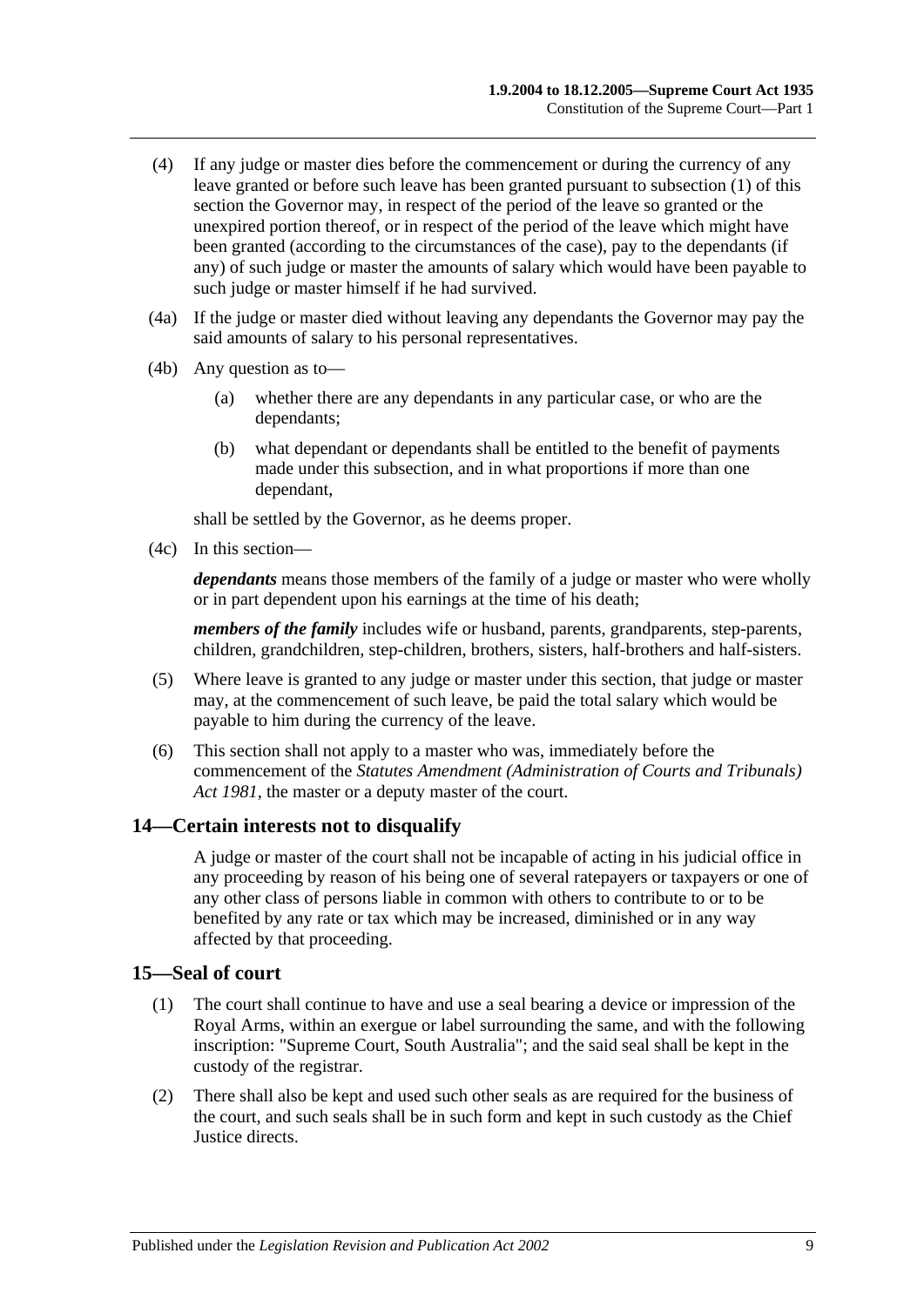- (4) If any judge or master dies before the commencement or during the currency of any leave granted or before such leave has been granted pursuant to [subsection](#page-7-4) (1) of this section the Governor may, in respect of the period of the leave so granted or the unexpired portion thereof, or in respect of the period of the leave which might have been granted (according to the circumstances of the case), pay to the dependants (if any) of such judge or master the amounts of salary which would have been payable to such judge or master himself if he had survived.
- (4a) If the judge or master died without leaving any dependants the Governor may pay the said amounts of salary to his personal representatives.
- (4b) Any question as to—
	- (a) whether there are any dependants in any particular case, or who are the dependants;
	- (b) what dependant or dependants shall be entitled to the benefit of payments made under this subsection, and in what proportions if more than one dependant,

shall be settled by the Governor, as he deems proper.

(4c) In this section—

*dependants* means those members of the family of a judge or master who were wholly or in part dependent upon his earnings at the time of his death;

*members of the family* includes wife or husband, parents, grandparents, step-parents, children, grandchildren, step-children, brothers, sisters, half-brothers and half-sisters.

- (5) Where leave is granted to any judge or master under this section, that judge or master may, at the commencement of such leave, be paid the total salary which would be payable to him during the currency of the leave.
- (6) This section shall not apply to a master who was, immediately before the commencement of the *[Statutes Amendment \(Administration of Courts and Tribunals\)](http://www.legislation.sa.gov.au/index.aspx?action=legref&type=act&legtitle=Statutes%20Amendment%20(Administration%20of%20Courts%20and%20Tribunals)%20Act%201981)  Act [1981](http://www.legislation.sa.gov.au/index.aspx?action=legref&type=act&legtitle=Statutes%20Amendment%20(Administration%20of%20Courts%20and%20Tribunals)%20Act%201981)*, the master or a deputy master of the court.

## <span id="page-8-0"></span>**14—Certain interests not to disqualify**

A judge or master of the court shall not be incapable of acting in his judicial office in any proceeding by reason of his being one of several ratepayers or taxpayers or one of any other class of persons liable in common with others to contribute to or to be benefited by any rate or tax which may be increased, diminished or in any way affected by that proceeding.

#### <span id="page-8-1"></span>**15—Seal of court**

- (1) The court shall continue to have and use a seal bearing a device or impression of the Royal Arms, within an exergue or label surrounding the same, and with the following inscription: "Supreme Court, South Australia"; and the said seal shall be kept in the custody of the registrar.
- (2) There shall also be kept and used such other seals as are required for the business of the court, and such seals shall be in such form and kept in such custody as the Chief Justice directs.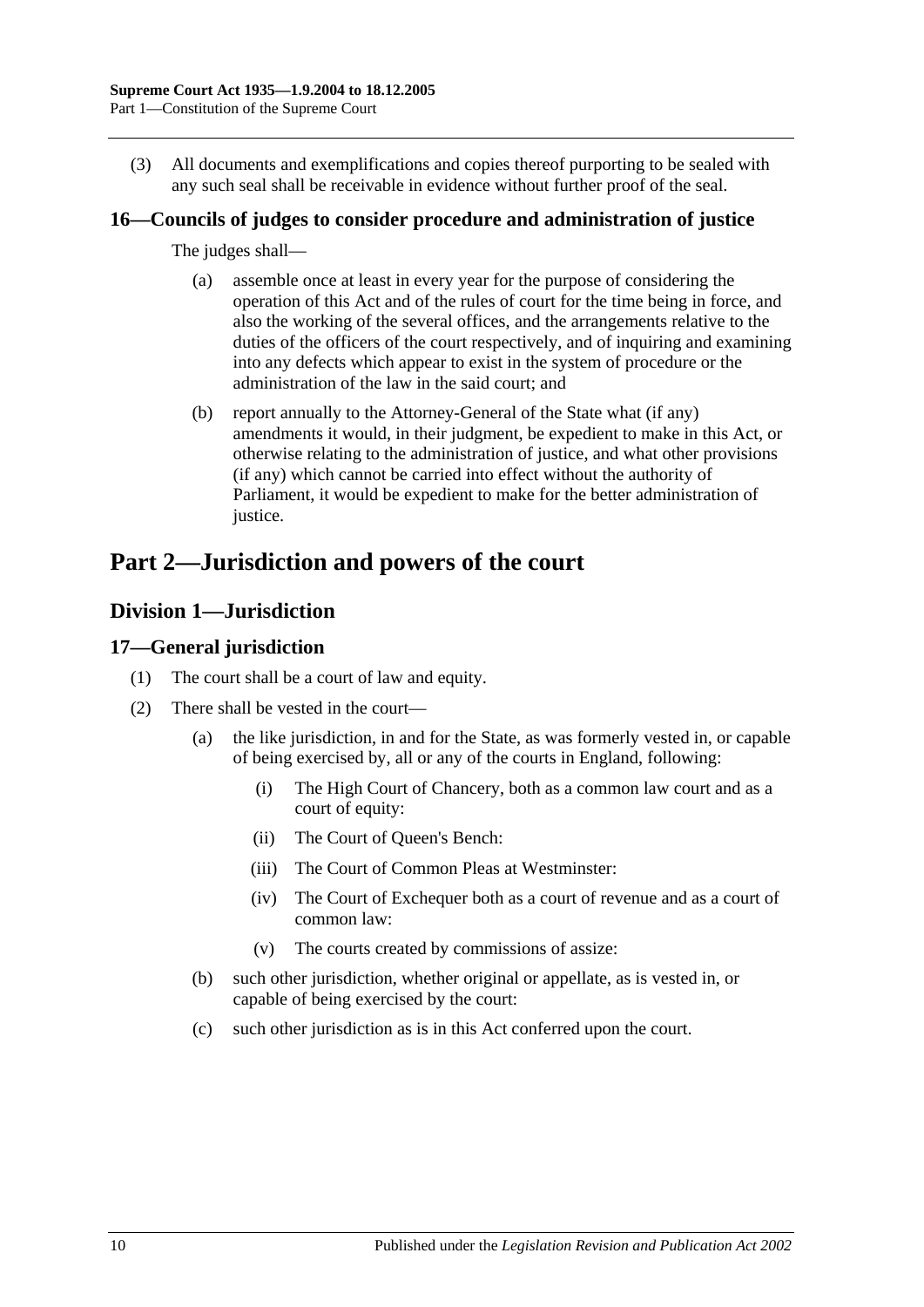(3) All documents and exemplifications and copies thereof purporting to be sealed with any such seal shall be receivable in evidence without further proof of the seal.

## <span id="page-9-0"></span>**16—Councils of judges to consider procedure and administration of justice**

The judges shall—

- (a) assemble once at least in every year for the purpose of considering the operation of this Act and of the rules of court for the time being in force, and also the working of the several offices, and the arrangements relative to the duties of the officers of the court respectively, and of inquiring and examining into any defects which appear to exist in the system of procedure or the administration of the law in the said court; and
- (b) report annually to the Attorney-General of the State what (if any) amendments it would, in their judgment, be expedient to make in this Act, or otherwise relating to the administration of justice, and what other provisions (if any) which cannot be carried into effect without the authority of Parliament, it would be expedient to make for the better administration of justice.

## <span id="page-9-1"></span>**Part 2—Jurisdiction and powers of the court**

## <span id="page-9-2"></span>**Division 1—Jurisdiction**

## <span id="page-9-3"></span>**17—General jurisdiction**

- (1) The court shall be a court of law and equity.
- (2) There shall be vested in the court—
	- (a) the like jurisdiction, in and for the State, as was formerly vested in, or capable of being exercised by, all or any of the courts in England, following:
		- (i) The High Court of Chancery, both as a common law court and as a court of equity:
		- (ii) The Court of Queen's Bench:
		- (iii) The Court of Common Pleas at Westminster:
		- (iv) The Court of Exchequer both as a court of revenue and as a court of common law:
		- (v) The courts created by commissions of assize:
	- (b) such other jurisdiction, whether original or appellate, as is vested in, or capable of being exercised by the court:
	- (c) such other jurisdiction as is in this Act conferred upon the court.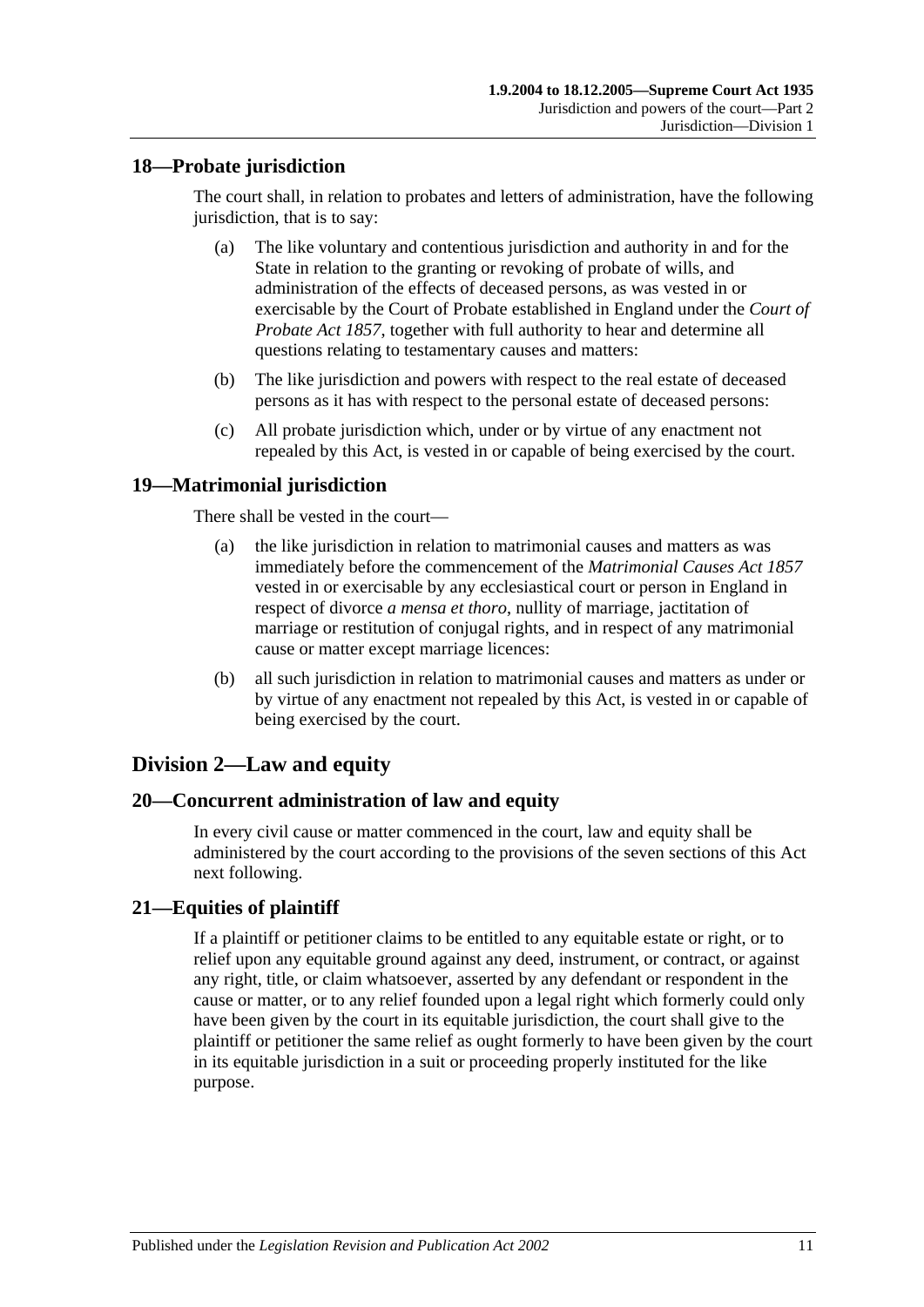## <span id="page-10-0"></span>**18—Probate jurisdiction**

The court shall, in relation to probates and letters of administration, have the following jurisdiction, that is to say:

- (a) The like voluntary and contentious jurisdiction and authority in and for the State in relation to the granting or revoking of probate of wills, and administration of the effects of deceased persons, as was vested in or exercisable by the Court of Probate established in England under the *[Court of](http://www.legislation.sa.gov.au/index.aspx?action=legref&type=act&legtitle=Court%20of%20Probate%20Act%201857)  [Probate Act](http://www.legislation.sa.gov.au/index.aspx?action=legref&type=act&legtitle=Court%20of%20Probate%20Act%201857) 1857*, together with full authority to hear and determine all questions relating to testamentary causes and matters:
- (b) The like jurisdiction and powers with respect to the real estate of deceased persons as it has with respect to the personal estate of deceased persons:
- (c) All probate jurisdiction which, under or by virtue of any enactment not repealed by this Act, is vested in or capable of being exercised by the court.

## <span id="page-10-1"></span>**19—Matrimonial jurisdiction**

There shall be vested in the court—

- (a) the like jurisdiction in relation to matrimonial causes and matters as was immediately before the commencement of the *[Matrimonial Causes Act](http://www.legislation.sa.gov.au/index.aspx?action=legref&type=act&legtitle=Matrimonial%20Causes%20Act%201857) 1857* vested in or exercisable by any ecclesiastical court or person in England in respect of divorce *a mensa et thoro*, nullity of marriage, jactitation of marriage or restitution of conjugal rights, and in respect of any matrimonial cause or matter except marriage licences:
- (b) all such jurisdiction in relation to matrimonial causes and matters as under or by virtue of any enactment not repealed by this Act, is vested in or capable of being exercised by the court.

## <span id="page-10-2"></span>**Division 2—Law and equity**

## <span id="page-10-3"></span>**20—Concurrent administration of law and equity**

In every civil cause or matter commenced in the court, law and equity shall be administered by the court according to the provisions of the seven sections of this Act next following.

## <span id="page-10-4"></span>**21—Equities of plaintiff**

If a plaintiff or petitioner claims to be entitled to any equitable estate or right, or to relief upon any equitable ground against any deed, instrument, or contract, or against any right, title, or claim whatsoever, asserted by any defendant or respondent in the cause or matter, or to any relief founded upon a legal right which formerly could only have been given by the court in its equitable jurisdiction, the court shall give to the plaintiff or petitioner the same relief as ought formerly to have been given by the court in its equitable jurisdiction in a suit or proceeding properly instituted for the like purpose.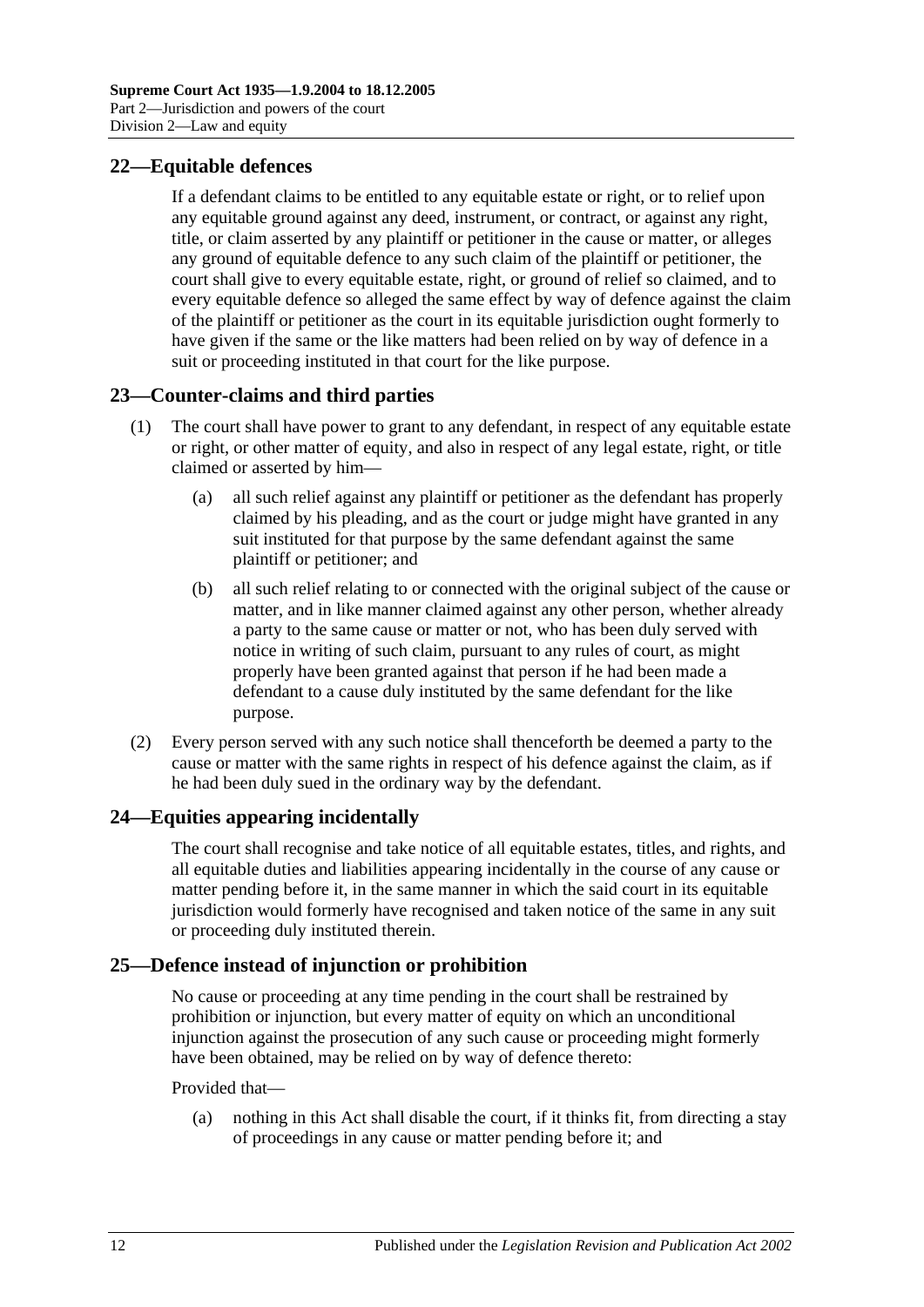## <span id="page-11-0"></span>**22—Equitable defences**

If a defendant claims to be entitled to any equitable estate or right, or to relief upon any equitable ground against any deed, instrument, or contract, or against any right, title, or claim asserted by any plaintiff or petitioner in the cause or matter, or alleges any ground of equitable defence to any such claim of the plaintiff or petitioner, the court shall give to every equitable estate, right, or ground of relief so claimed, and to every equitable defence so alleged the same effect by way of defence against the claim of the plaintiff or petitioner as the court in its equitable jurisdiction ought formerly to have given if the same or the like matters had been relied on by way of defence in a suit or proceeding instituted in that court for the like purpose.

## <span id="page-11-1"></span>**23—Counter-claims and third parties**

- (1) The court shall have power to grant to any defendant, in respect of any equitable estate or right, or other matter of equity, and also in respect of any legal estate, right, or title claimed or asserted by him—
	- (a) all such relief against any plaintiff or petitioner as the defendant has properly claimed by his pleading, and as the court or judge might have granted in any suit instituted for that purpose by the same defendant against the same plaintiff or petitioner; and
	- (b) all such relief relating to or connected with the original subject of the cause or matter, and in like manner claimed against any other person, whether already a party to the same cause or matter or not, who has been duly served with notice in writing of such claim, pursuant to any rules of court, as might properly have been granted against that person if he had been made a defendant to a cause duly instituted by the same defendant for the like purpose.
- (2) Every person served with any such notice shall thenceforth be deemed a party to the cause or matter with the same rights in respect of his defence against the claim, as if he had been duly sued in the ordinary way by the defendant.

## <span id="page-11-2"></span>**24—Equities appearing incidentally**

The court shall recognise and take notice of all equitable estates, titles, and rights, and all equitable duties and liabilities appearing incidentally in the course of any cause or matter pending before it, in the same manner in which the said court in its equitable jurisdiction would formerly have recognised and taken notice of the same in any suit or proceeding duly instituted therein.

## <span id="page-11-3"></span>**25—Defence instead of injunction or prohibition**

No cause or proceeding at any time pending in the court shall be restrained by prohibition or injunction, but every matter of equity on which an unconditional injunction against the prosecution of any such cause or proceeding might formerly have been obtained, may be relied on by way of defence thereto:

#### Provided that—

(a) nothing in this Act shall disable the court, if it thinks fit, from directing a stay of proceedings in any cause or matter pending before it; and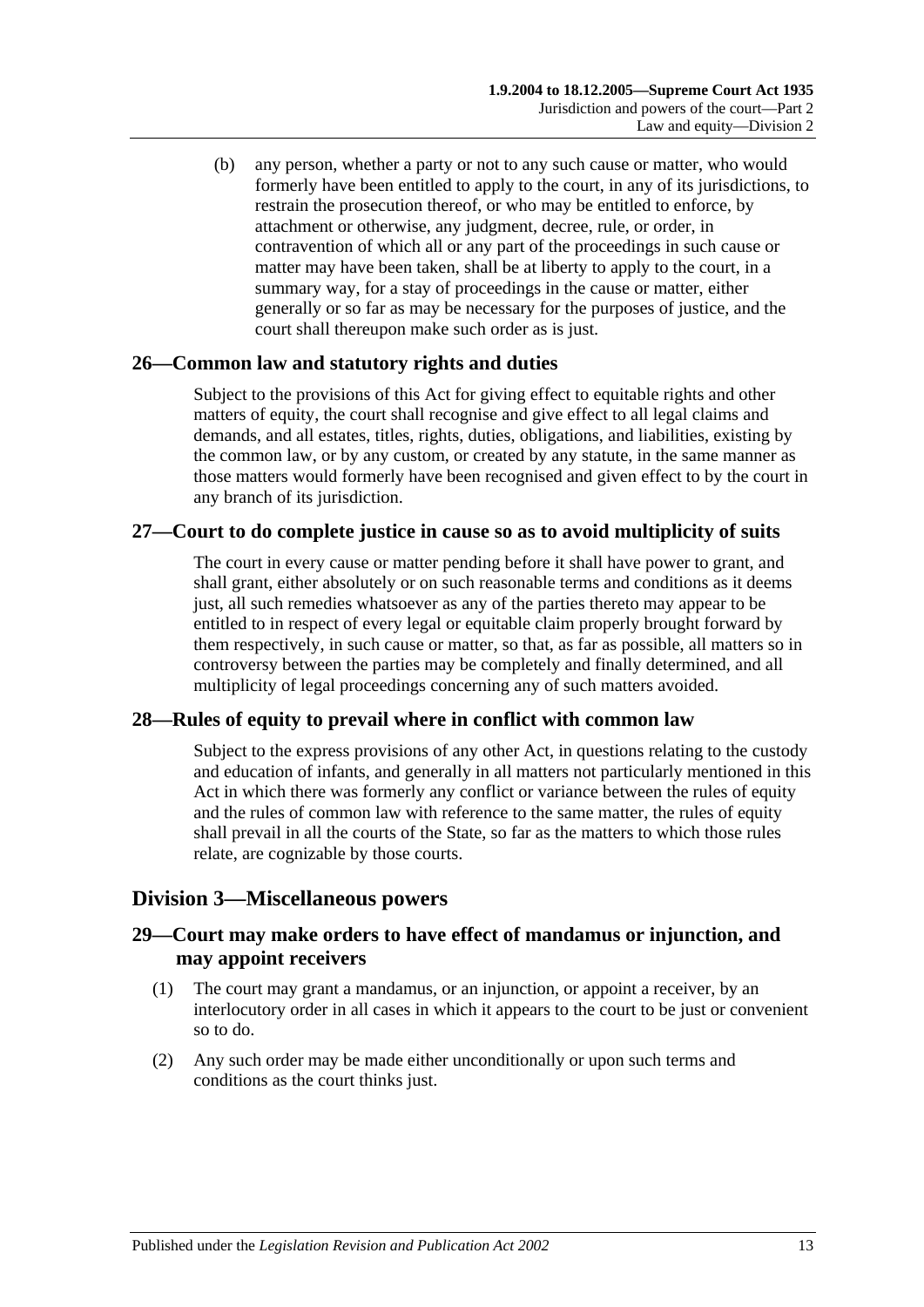(b) any person, whether a party or not to any such cause or matter, who would formerly have been entitled to apply to the court, in any of its jurisdictions, to restrain the prosecution thereof, or who may be entitled to enforce, by attachment or otherwise, any judgment, decree, rule, or order, in contravention of which all or any part of the proceedings in such cause or matter may have been taken, shall be at liberty to apply to the court, in a summary way, for a stay of proceedings in the cause or matter, either generally or so far as may be necessary for the purposes of justice, and the court shall thereupon make such order as is just.

## <span id="page-12-0"></span>**26—Common law and statutory rights and duties**

Subject to the provisions of this Act for giving effect to equitable rights and other matters of equity, the court shall recognise and give effect to all legal claims and demands, and all estates, titles, rights, duties, obligations, and liabilities, existing by the common law, or by any custom, or created by any statute, in the same manner as those matters would formerly have been recognised and given effect to by the court in any branch of its jurisdiction.

## <span id="page-12-1"></span>**27—Court to do complete justice in cause so as to avoid multiplicity of suits**

The court in every cause or matter pending before it shall have power to grant, and shall grant, either absolutely or on such reasonable terms and conditions as it deems just, all such remedies whatsoever as any of the parties thereto may appear to be entitled to in respect of every legal or equitable claim properly brought forward by them respectively, in such cause or matter, so that, as far as possible, all matters so in controversy between the parties may be completely and finally determined, and all multiplicity of legal proceedings concerning any of such matters avoided.

## <span id="page-12-2"></span>**28—Rules of equity to prevail where in conflict with common law**

Subject to the express provisions of any other Act, in questions relating to the custody and education of infants, and generally in all matters not particularly mentioned in this Act in which there was formerly any conflict or variance between the rules of equity and the rules of common law with reference to the same matter, the rules of equity shall prevail in all the courts of the State, so far as the matters to which those rules relate, are cognizable by those courts.

## <span id="page-12-3"></span>**Division 3—Miscellaneous powers**

## <span id="page-12-4"></span>**29—Court may make orders to have effect of mandamus or injunction, and may appoint receivers**

- (1) The court may grant a mandamus, or an injunction, or appoint a receiver, by an interlocutory order in all cases in which it appears to the court to be just or convenient so to do.
- (2) Any such order may be made either unconditionally or upon such terms and conditions as the court thinks just.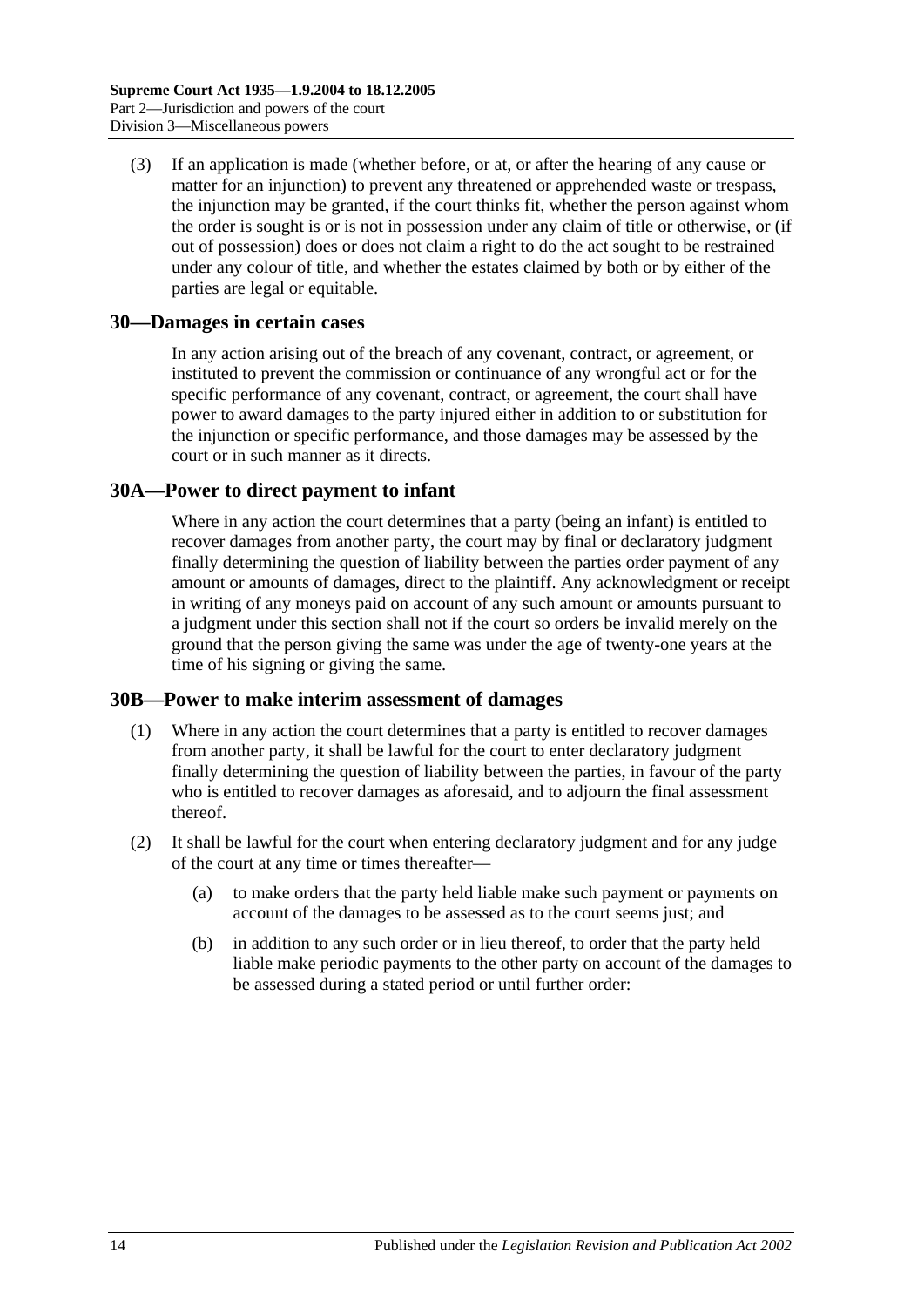(3) If an application is made (whether before, or at, or after the hearing of any cause or matter for an injunction) to prevent any threatened or apprehended waste or trespass, the injunction may be granted, if the court thinks fit, whether the person against whom the order is sought is or is not in possession under any claim of title or otherwise, or (if out of possession) does or does not claim a right to do the act sought to be restrained under any colour of title, and whether the estates claimed by both or by either of the parties are legal or equitable.

### <span id="page-13-0"></span>**30—Damages in certain cases**

In any action arising out of the breach of any covenant, contract, or agreement, or instituted to prevent the commission or continuance of any wrongful act or for the specific performance of any covenant, contract, or agreement, the court shall have power to award damages to the party injured either in addition to or substitution for the injunction or specific performance, and those damages may be assessed by the court or in such manner as it directs.

### <span id="page-13-1"></span>**30A—Power to direct payment to infant**

Where in any action the court determines that a party (being an infant) is entitled to recover damages from another party, the court may by final or declaratory judgment finally determining the question of liability between the parties order payment of any amount or amounts of damages, direct to the plaintiff. Any acknowledgment or receipt in writing of any moneys paid on account of any such amount or amounts pursuant to a judgment under this section shall not if the court so orders be invalid merely on the ground that the person giving the same was under the age of twenty-one years at the time of his signing or giving the same.

#### <span id="page-13-2"></span>**30B—Power to make interim assessment of damages**

- (1) Where in any action the court determines that a party is entitled to recover damages from another party, it shall be lawful for the court to enter declaratory judgment finally determining the question of liability between the parties, in favour of the party who is entitled to recover damages as aforesaid, and to adjourn the final assessment thereof.
- <span id="page-13-3"></span>(2) It shall be lawful for the court when entering declaratory judgment and for any judge of the court at any time or times thereafter—
	- (a) to make orders that the party held liable make such payment or payments on account of the damages to be assessed as to the court seems just; and
	- (b) in addition to any such order or in lieu thereof, to order that the party held liable make periodic payments to the other party on account of the damages to be assessed during a stated period or until further order: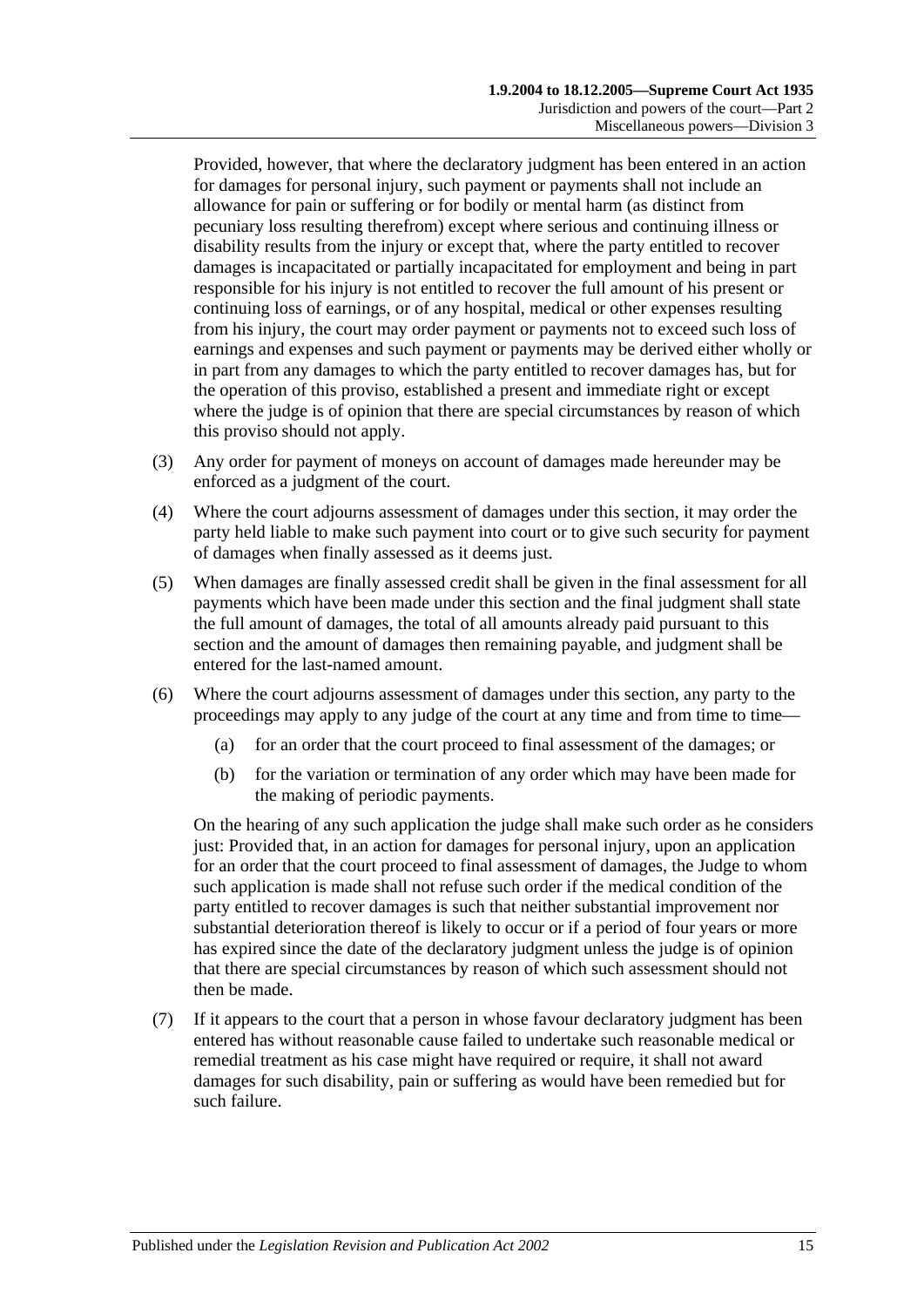Provided, however, that where the declaratory judgment has been entered in an action for damages for personal injury, such payment or payments shall not include an allowance for pain or suffering or for bodily or mental harm (as distinct from pecuniary loss resulting therefrom) except where serious and continuing illness or disability results from the injury or except that, where the party entitled to recover damages is incapacitated or partially incapacitated for employment and being in part responsible for his injury is not entitled to recover the full amount of his present or continuing loss of earnings, or of any hospital, medical or other expenses resulting from his injury, the court may order payment or payments not to exceed such loss of earnings and expenses and such payment or payments may be derived either wholly or in part from any damages to which the party entitled to recover damages has, but for the operation of this proviso, established a present and immediate right or except where the judge is of opinion that there are special circumstances by reason of which this proviso should not apply.

- (3) Any order for payment of moneys on account of damages made hereunder may be enforced as a judgment of the court.
- (4) Where the court adjourns assessment of damages under this section, it may order the party held liable to make such payment into court or to give such security for payment of damages when finally assessed as it deems just.
- (5) When damages are finally assessed credit shall be given in the final assessment for all payments which have been made under this section and the final judgment shall state the full amount of damages, the total of all amounts already paid pursuant to this section and the amount of damages then remaining payable, and judgment shall be entered for the last-named amount.
- (6) Where the court adjourns assessment of damages under this section, any party to the proceedings may apply to any judge of the court at any time and from time to time—
	- (a) for an order that the court proceed to final assessment of the damages; or
	- (b) for the variation or termination of any order which may have been made for the making of periodic payments.

On the hearing of any such application the judge shall make such order as he considers just: Provided that, in an action for damages for personal injury, upon an application for an order that the court proceed to final assessment of damages, the Judge to whom such application is made shall not refuse such order if the medical condition of the party entitled to recover damages is such that neither substantial improvement nor substantial deterioration thereof is likely to occur or if a period of four years or more has expired since the date of the declaratory judgment unless the judge is of opinion that there are special circumstances by reason of which such assessment should not then be made.

(7) If it appears to the court that a person in whose favour declaratory judgment has been entered has without reasonable cause failed to undertake such reasonable medical or remedial treatment as his case might have required or require, it shall not award damages for such disability, pain or suffering as would have been remedied but for such failure.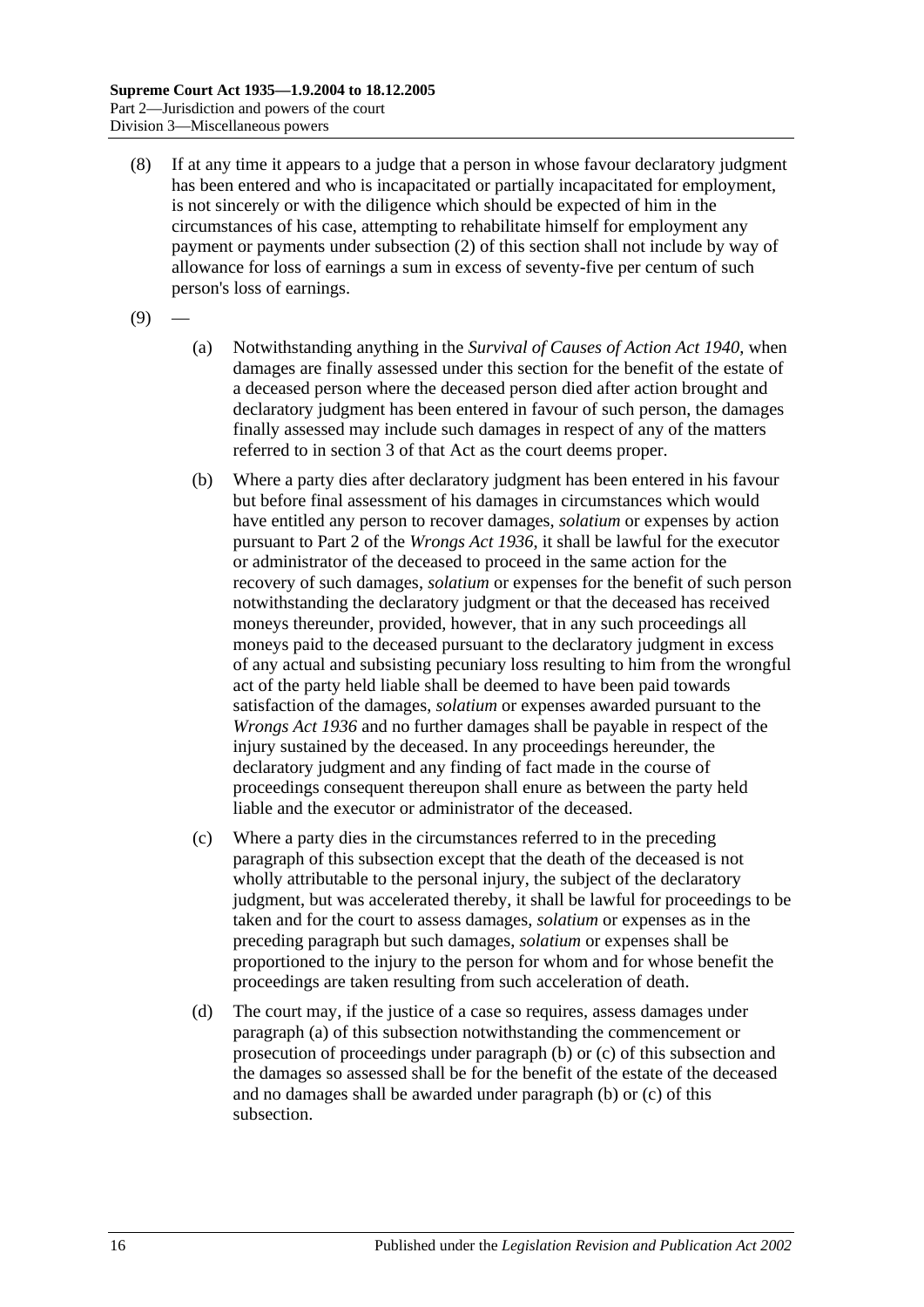- (8) If at any time it appears to a judge that a person in whose favour declaratory judgment has been entered and who is incapacitated or partially incapacitated for employment, is not sincerely or with the diligence which should be expected of him in the circumstances of his case, attempting to rehabilitate himself for employment any payment or payments under [subsection](#page-13-3) (2) of this section shall not include by way of allowance for loss of earnings a sum in excess of seventy-five per centum of such person's loss of earnings.
- <span id="page-15-0"></span> $(9)$
- (a) Notwithstanding anything in the *[Survival of Causes of Action Act](http://www.legislation.sa.gov.au/index.aspx?action=legref&type=act&legtitle=Survival%20of%20Causes%20of%20Action%20Act%201940) 1940*, when damages are finally assessed under this section for the benefit of the estate of a deceased person where the deceased person died after action brought and declaratory judgment has been entered in favour of such person, the damages finally assessed may include such damages in respect of any of the matters referred to in section 3 of that Act as the court deems proper.
- <span id="page-15-1"></span>(b) Where a party dies after declaratory judgment has been entered in his favour but before final assessment of his damages in circumstances which would have entitled any person to recover damages, *solatium* or expenses by action pursuant to Part 2 of the *[Wrongs Act](http://www.legislation.sa.gov.au/index.aspx?action=legref&type=act&legtitle=Wrongs%20Act%201936) 1936*, it shall be lawful for the executor or administrator of the deceased to proceed in the same action for the recovery of such damages, *solatium* or expenses for the benefit of such person notwithstanding the declaratory judgment or that the deceased has received moneys thereunder, provided, however, that in any such proceedings all moneys paid to the deceased pursuant to the declaratory judgment in excess of any actual and subsisting pecuniary loss resulting to him from the wrongful act of the party held liable shall be deemed to have been paid towards satisfaction of the damages, *solatium* or expenses awarded pursuant to the *[Wrongs Act](http://www.legislation.sa.gov.au/index.aspx?action=legref&type=act&legtitle=Wrongs%20Act%201936) 1936* and no further damages shall be payable in respect of the injury sustained by the deceased. In any proceedings hereunder, the declaratory judgment and any finding of fact made in the course of proceedings consequent thereupon shall enure as between the party held liable and the executor or administrator of the deceased.
- <span id="page-15-2"></span>(c) Where a party dies in the circumstances referred to in the preceding paragraph of this subsection except that the death of the deceased is not wholly attributable to the personal injury, the subject of the declaratory judgment, but was accelerated thereby, it shall be lawful for proceedings to be taken and for the court to assess damages, *solatium* or expenses as in the preceding paragraph but such damages, *solatium* or expenses shall be proportioned to the injury to the person for whom and for whose benefit the proceedings are taken resulting from such acceleration of death.
- (d) The court may, if the justice of a case so requires, assess damages under [paragraph](#page-15-0) (a) of this subsection notwithstanding the commencement or prosecution of proceedings under [paragraph](#page-15-1) (b) or [\(c\)](#page-15-2) of this subsection and the damages so assessed shall be for the benefit of the estate of the deceased and no damages shall be awarded under [paragraph](#page-15-1) (b) or [\(c\)](#page-15-2) of this subsection.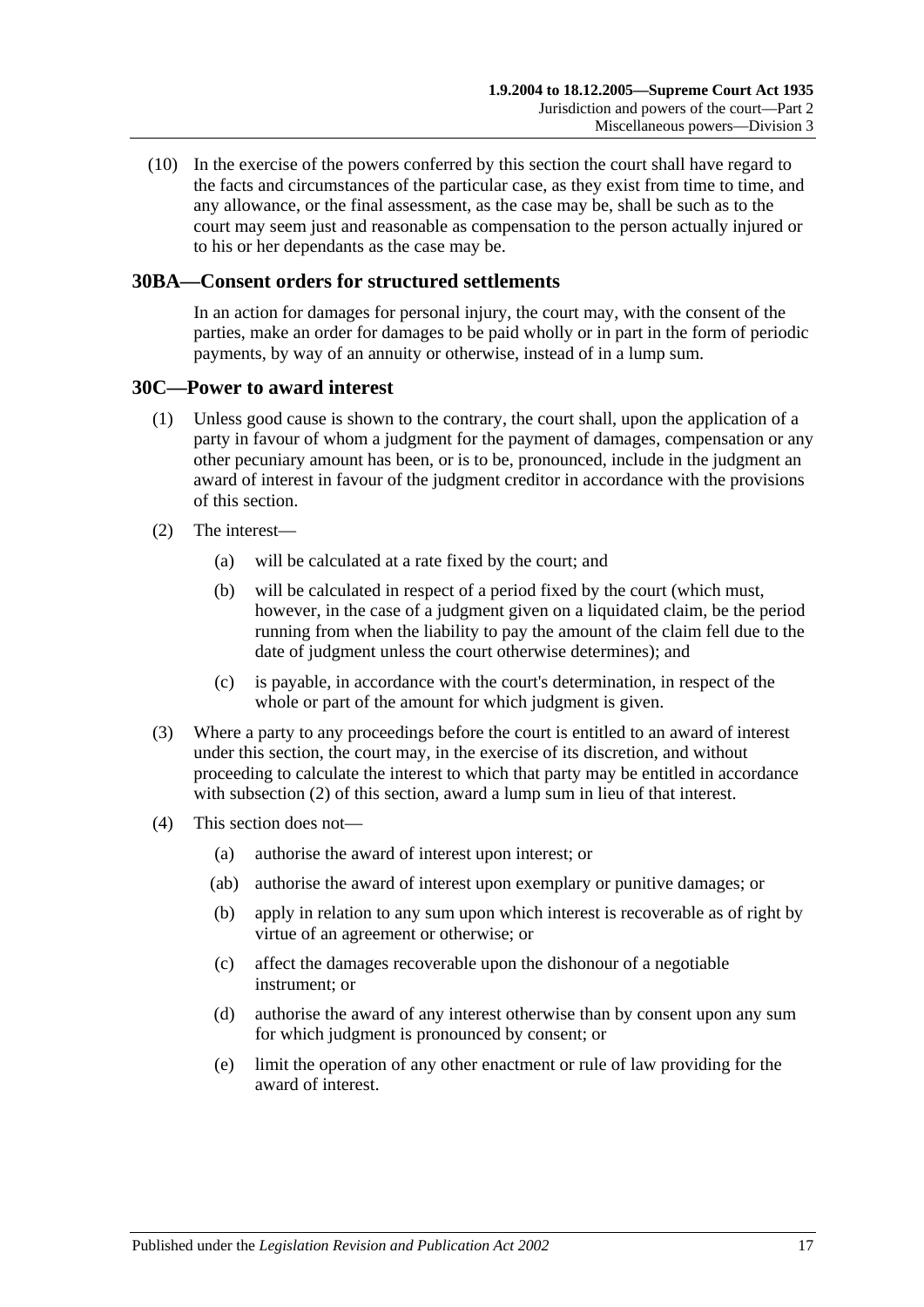(10) In the exercise of the powers conferred by this section the court shall have regard to the facts and circumstances of the particular case, as they exist from time to time, and any allowance, or the final assessment, as the case may be, shall be such as to the court may seem just and reasonable as compensation to the person actually injured or to his or her dependants as the case may be.

## <span id="page-16-0"></span>**30BA—Consent orders for structured settlements**

In an action for damages for personal injury, the court may, with the consent of the parties, make an order for damages to be paid wholly or in part in the form of periodic payments, by way of an annuity or otherwise, instead of in a lump sum.

#### <span id="page-16-1"></span>**30C—Power to award interest**

- (1) Unless good cause is shown to the contrary, the court shall, upon the application of a party in favour of whom a judgment for the payment of damages, compensation or any other pecuniary amount has been, or is to be, pronounced, include in the judgment an award of interest in favour of the judgment creditor in accordance with the provisions of this section.
- <span id="page-16-2"></span>(2) The interest—
	- (a) will be calculated at a rate fixed by the court; and
	- (b) will be calculated in respect of a period fixed by the court (which must, however, in the case of a judgment given on a liquidated claim, be the period running from when the liability to pay the amount of the claim fell due to the date of judgment unless the court otherwise determines); and
	- (c) is payable, in accordance with the court's determination, in respect of the whole or part of the amount for which judgment is given.
- (3) Where a party to any proceedings before the court is entitled to an award of interest under this section, the court may, in the exercise of its discretion, and without proceeding to calculate the interest to which that party may be entitled in accordance with [subsection](#page-16-2) (2) of this section, award a lump sum in lieu of that interest.
- (4) This section does not—
	- (a) authorise the award of interest upon interest; or
	- (ab) authorise the award of interest upon exemplary or punitive damages; or
	- (b) apply in relation to any sum upon which interest is recoverable as of right by virtue of an agreement or otherwise; or
	- (c) affect the damages recoverable upon the dishonour of a negotiable instrument; or
	- (d) authorise the award of any interest otherwise than by consent upon any sum for which judgment is pronounced by consent; or
	- (e) limit the operation of any other enactment or rule of law providing for the award of interest.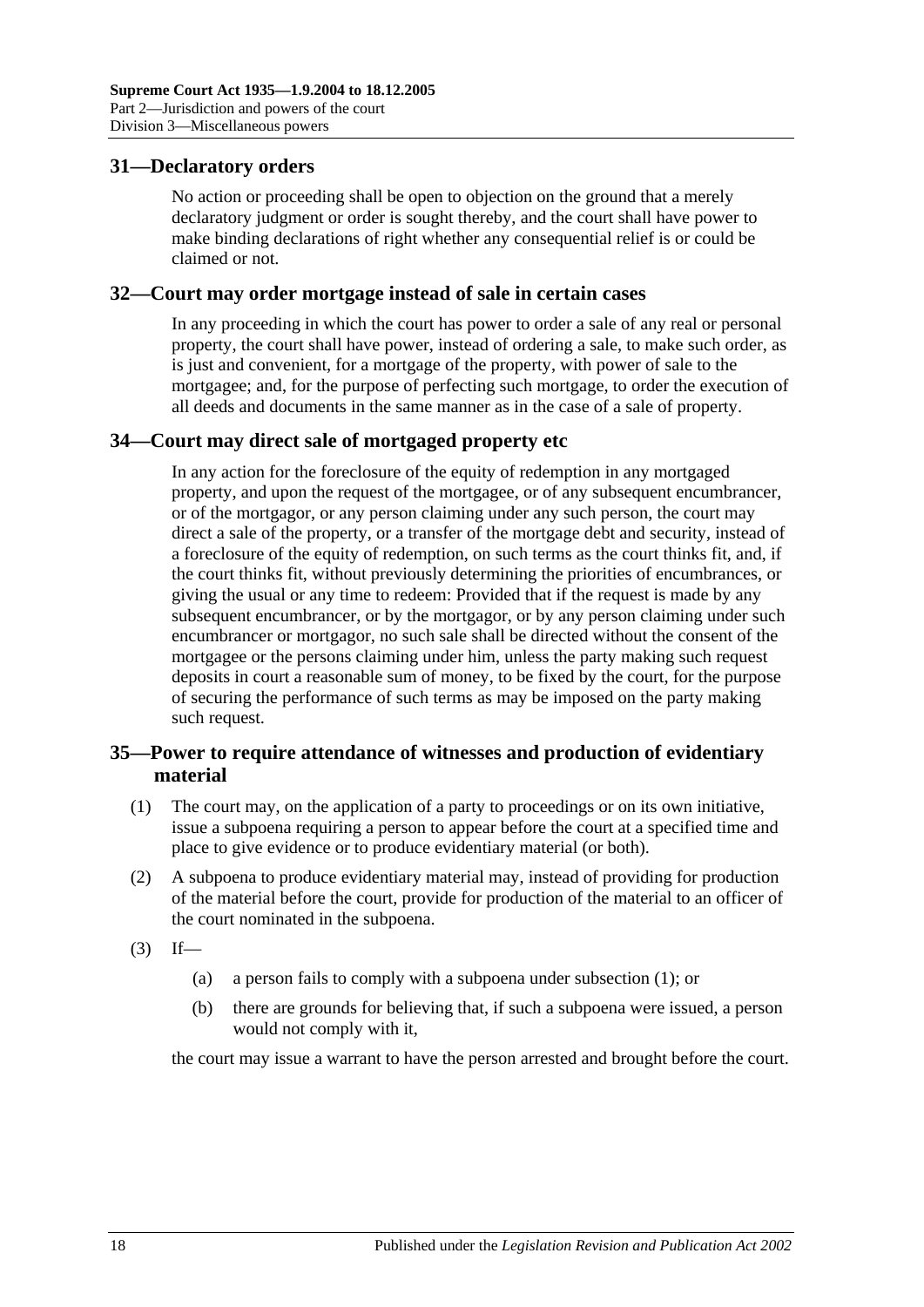### <span id="page-17-0"></span>**31—Declaratory orders**

No action or proceeding shall be open to objection on the ground that a merely declaratory judgment or order is sought thereby, and the court shall have power to make binding declarations of right whether any consequential relief is or could be claimed or not.

#### <span id="page-17-1"></span>**32—Court may order mortgage instead of sale in certain cases**

In any proceeding in which the court has power to order a sale of any real or personal property, the court shall have power, instead of ordering a sale, to make such order, as is just and convenient, for a mortgage of the property, with power of sale to the mortgagee; and, for the purpose of perfecting such mortgage, to order the execution of all deeds and documents in the same manner as in the case of a sale of property.

### <span id="page-17-2"></span>**34—Court may direct sale of mortgaged property etc**

In any action for the foreclosure of the equity of redemption in any mortgaged property, and upon the request of the mortgagee, or of any subsequent encumbrancer, or of the mortgagor, or any person claiming under any such person, the court may direct a sale of the property, or a transfer of the mortgage debt and security, instead of a foreclosure of the equity of redemption, on such terms as the court thinks fit, and, if the court thinks fit, without previously determining the priorities of encumbrances, or giving the usual or any time to redeem: Provided that if the request is made by any subsequent encumbrancer, or by the mortgagor, or by any person claiming under such encumbrancer or mortgagor, no such sale shall be directed without the consent of the mortgagee or the persons claiming under him, unless the party making such request deposits in court a reasonable sum of money, to be fixed by the court, for the purpose of securing the performance of such terms as may be imposed on the party making such request.

## <span id="page-17-3"></span>**35—Power to require attendance of witnesses and production of evidentiary material**

- <span id="page-17-4"></span>(1) The court may, on the application of a party to proceedings or on its own initiative, issue a subpoena requiring a person to appear before the court at a specified time and place to give evidence or to produce evidentiary material (or both).
- (2) A subpoena to produce evidentiary material may, instead of providing for production of the material before the court, provide for production of the material to an officer of the court nominated in the subpoena.
- $(3)$  If—
	- (a) a person fails to comply with a subpoena under [subsection](#page-17-4) (1); or
	- (b) there are grounds for believing that, if such a subpoena were issued, a person would not comply with it,

the court may issue a warrant to have the person arrested and brought before the court.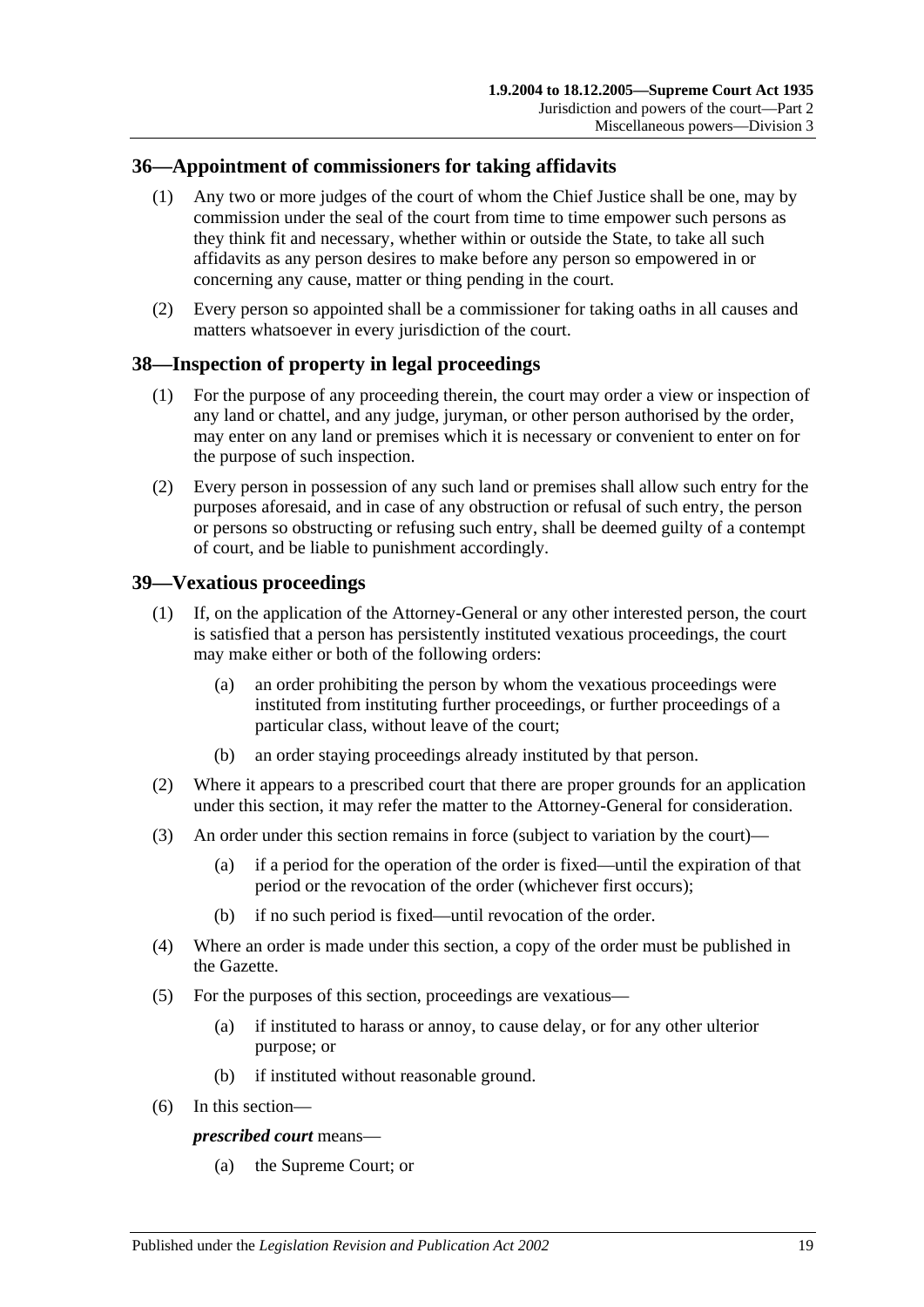## <span id="page-18-0"></span>**36—Appointment of commissioners for taking affidavits**

- (1) Any two or more judges of the court of whom the Chief Justice shall be one, may by commission under the seal of the court from time to time empower such persons as they think fit and necessary, whether within or outside the State, to take all such affidavits as any person desires to make before any person so empowered in or concerning any cause, matter or thing pending in the court.
- (2) Every person so appointed shall be a commissioner for taking oaths in all causes and matters whatsoever in every jurisdiction of the court.

## <span id="page-18-1"></span>**38—Inspection of property in legal proceedings**

- (1) For the purpose of any proceeding therein, the court may order a view or inspection of any land or chattel, and any judge, juryman, or other person authorised by the order, may enter on any land or premises which it is necessary or convenient to enter on for the purpose of such inspection.
- (2) Every person in possession of any such land or premises shall allow such entry for the purposes aforesaid, and in case of any obstruction or refusal of such entry, the person or persons so obstructing or refusing such entry, shall be deemed guilty of a contempt of court, and be liable to punishment accordingly.

## <span id="page-18-2"></span>**39—Vexatious proceedings**

- (1) If, on the application of the Attorney-General or any other interested person, the court is satisfied that a person has persistently instituted vexatious proceedings, the court may make either or both of the following orders:
	- (a) an order prohibiting the person by whom the vexatious proceedings were instituted from instituting further proceedings, or further proceedings of a particular class, without leave of the court;
	- (b) an order staying proceedings already instituted by that person.
- (2) Where it appears to a prescribed court that there are proper grounds for an application under this section, it may refer the matter to the Attorney-General for consideration.
- (3) An order under this section remains in force (subject to variation by the court)—
	- (a) if a period for the operation of the order is fixed—until the expiration of that period or the revocation of the order (whichever first occurs);
	- (b) if no such period is fixed—until revocation of the order.
- (4) Where an order is made under this section, a copy of the order must be published in the Gazette.
- (5) For the purposes of this section, proceedings are vexatious—
	- (a) if instituted to harass or annoy, to cause delay, or for any other ulterior purpose; or
	- (b) if instituted without reasonable ground.
- (6) In this section—

#### *prescribed court* means—

(a) the Supreme Court; or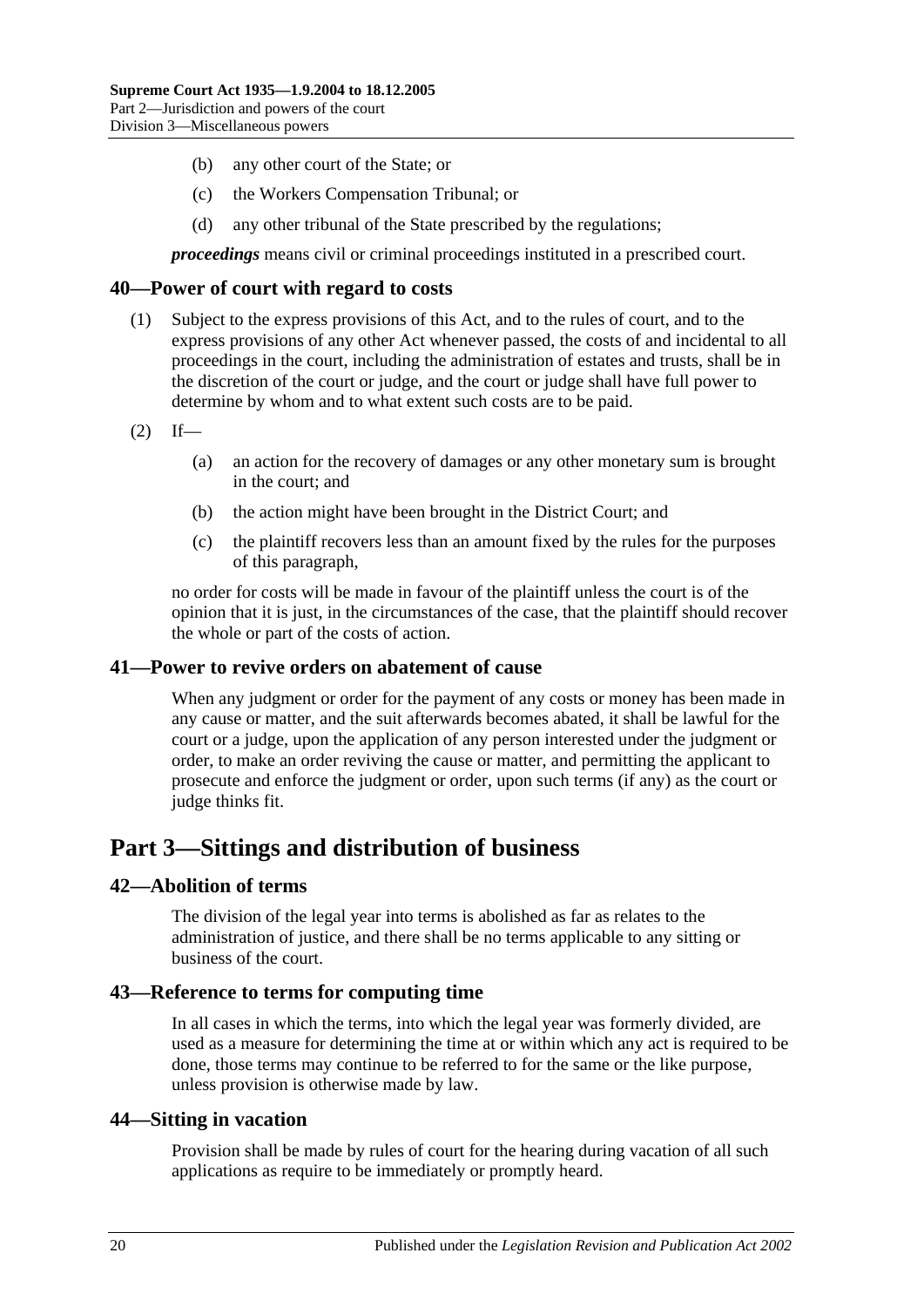- (b) any other court of the State; or
- (c) the Workers Compensation Tribunal; or
- (d) any other tribunal of the State prescribed by the regulations;

*proceedings* means civil or criminal proceedings instituted in a prescribed court.

#### <span id="page-19-0"></span>**40—Power of court with regard to costs**

- (1) Subject to the express provisions of this Act, and to the rules of court, and to the express provisions of any other Act whenever passed, the costs of and incidental to all proceedings in the court, including the administration of estates and trusts, shall be in the discretion of the court or judge, and the court or judge shall have full power to determine by whom and to what extent such costs are to be paid.
- $(2)$  If—
	- (a) an action for the recovery of damages or any other monetary sum is brought in the court; and
	- (b) the action might have been brought in the District Court; and
	- (c) the plaintiff recovers less than an amount fixed by the rules for the purposes of this paragraph,

no order for costs will be made in favour of the plaintiff unless the court is of the opinion that it is just, in the circumstances of the case, that the plaintiff should recover the whole or part of the costs of action.

#### <span id="page-19-1"></span>**41—Power to revive orders on abatement of cause**

When any judgment or order for the payment of any costs or money has been made in any cause or matter, and the suit afterwards becomes abated, it shall be lawful for the court or a judge, upon the application of any person interested under the judgment or order, to make an order reviving the cause or matter, and permitting the applicant to prosecute and enforce the judgment or order, upon such terms (if any) as the court or judge thinks fit.

## <span id="page-19-2"></span>**Part 3—Sittings and distribution of business**

#### <span id="page-19-3"></span>**42—Abolition of terms**

The division of the legal year into terms is abolished as far as relates to the administration of justice, and there shall be no terms applicable to any sitting or business of the court.

#### <span id="page-19-4"></span>**43—Reference to terms for computing time**

In all cases in which the terms, into which the legal year was formerly divided, are used as a measure for determining the time at or within which any act is required to be done, those terms may continue to be referred to for the same or the like purpose, unless provision is otherwise made by law.

#### <span id="page-19-5"></span>**44—Sitting in vacation**

Provision shall be made by rules of court for the hearing during vacation of all such applications as require to be immediately or promptly heard.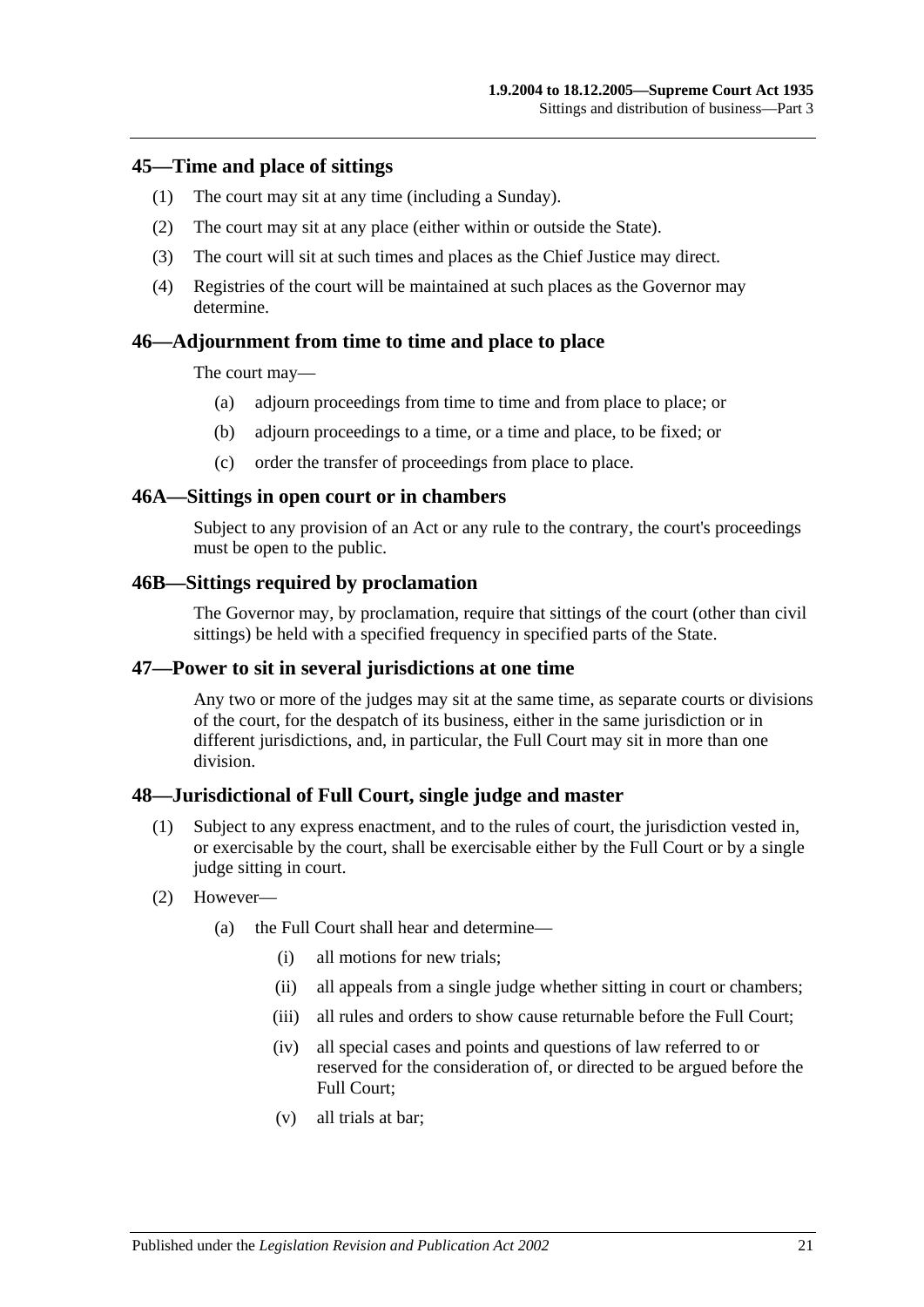#### <span id="page-20-0"></span>**45—Time and place of sittings**

- (1) The court may sit at any time (including a Sunday).
- (2) The court may sit at any place (either within or outside the State).
- (3) The court will sit at such times and places as the Chief Justice may direct.
- (4) Registries of the court will be maintained at such places as the Governor may determine.

### <span id="page-20-1"></span>**46—Adjournment from time to time and place to place**

The court may—

- (a) adjourn proceedings from time to time and from place to place; or
- (b) adjourn proceedings to a time, or a time and place, to be fixed; or
- (c) order the transfer of proceedings from place to place.

#### <span id="page-20-2"></span>**46A—Sittings in open court or in chambers**

Subject to any provision of an Act or any rule to the contrary, the court's proceedings must be open to the public.

#### <span id="page-20-3"></span>**46B—Sittings required by proclamation**

The Governor may, by proclamation, require that sittings of the court (other than civil sittings) be held with a specified frequency in specified parts of the State.

#### <span id="page-20-4"></span>**47—Power to sit in several jurisdictions at one time**

Any two or more of the judges may sit at the same time, as separate courts or divisions of the court, for the despatch of its business, either in the same jurisdiction or in different jurisdictions, and, in particular, the Full Court may sit in more than one division.

#### <span id="page-20-5"></span>**48—Jurisdictional of Full Court, single judge and master**

- (1) Subject to any express enactment, and to the rules of court, the jurisdiction vested in, or exercisable by the court, shall be exercisable either by the Full Court or by a single judge sitting in court.
- (2) However—
	- (a) the Full Court shall hear and determine—
		- (i) all motions for new trials;
		- (ii) all appeals from a single judge whether sitting in court or chambers;
		- (iii) all rules and orders to show cause returnable before the Full Court;
		- (iv) all special cases and points and questions of law referred to or reserved for the consideration of, or directed to be argued before the Full Court;
		- (v) all trials at bar;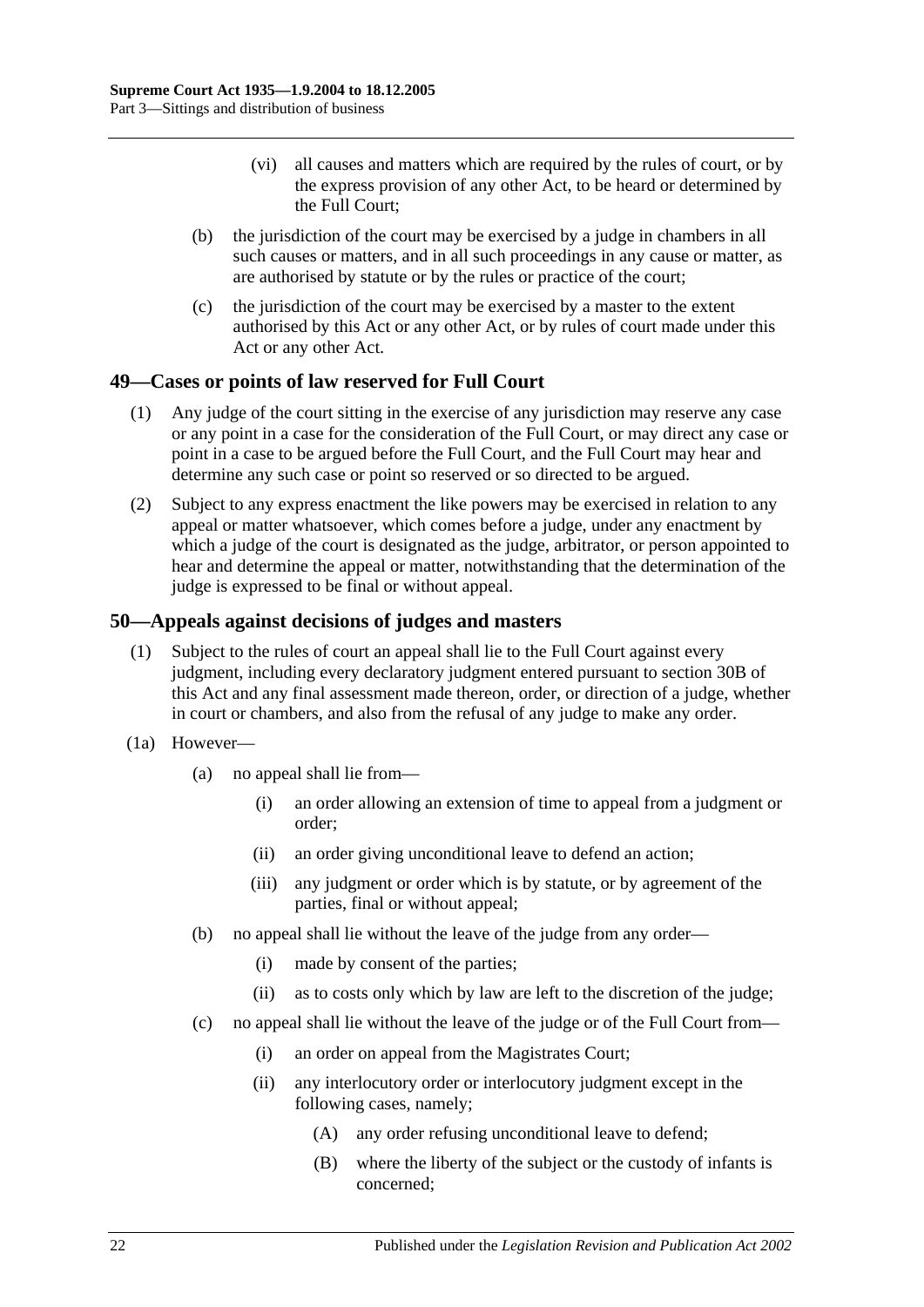- (vi) all causes and matters which are required by the rules of court, or by the express provision of any other Act, to be heard or determined by the Full Court;
- (b) the jurisdiction of the court may be exercised by a judge in chambers in all such causes or matters, and in all such proceedings in any cause or matter, as are authorised by statute or by the rules or practice of the court;
- (c) the jurisdiction of the court may be exercised by a master to the extent authorised by this Act or any other Act, or by rules of court made under this Act or any other Act.

## <span id="page-21-0"></span>**49—Cases or points of law reserved for Full Court**

- (1) Any judge of the court sitting in the exercise of any jurisdiction may reserve any case or any point in a case for the consideration of the Full Court, or may direct any case or point in a case to be argued before the Full Court, and the Full Court may hear and determine any such case or point so reserved or so directed to be argued.
- (2) Subject to any express enactment the like powers may be exercised in relation to any appeal or matter whatsoever, which comes before a judge, under any enactment by which a judge of the court is designated as the judge, arbitrator, or person appointed to hear and determine the appeal or matter, notwithstanding that the determination of the judge is expressed to be final or without appeal.

## <span id="page-21-1"></span>**50—Appeals against decisions of judges and masters**

- (1) Subject to the rules of court an appeal shall lie to the Full Court against every judgment, including every declaratory judgment entered pursuant to [section](#page-13-2) 30B of this Act and any final assessment made thereon, order, or direction of a judge, whether in court or chambers, and also from the refusal of any judge to make any order.
- (1a) However—
	- (a) no appeal shall lie from—
		- (i) an order allowing an extension of time to appeal from a judgment or order;
		- (ii) an order giving unconditional leave to defend an action;
		- (iii) any judgment or order which is by statute, or by agreement of the parties, final or without appeal;
	- (b) no appeal shall lie without the leave of the judge from any order—
		- (i) made by consent of the parties;
		- (ii) as to costs only which by law are left to the discretion of the judge;
	- (c) no appeal shall lie without the leave of the judge or of the Full Court from—
		- (i) an order on appeal from the Magistrates Court;
		- (ii) any interlocutory order or interlocutory judgment except in the following cases, namely;
			- (A) any order refusing unconditional leave to defend;
			- (B) where the liberty of the subject or the custody of infants is concerned;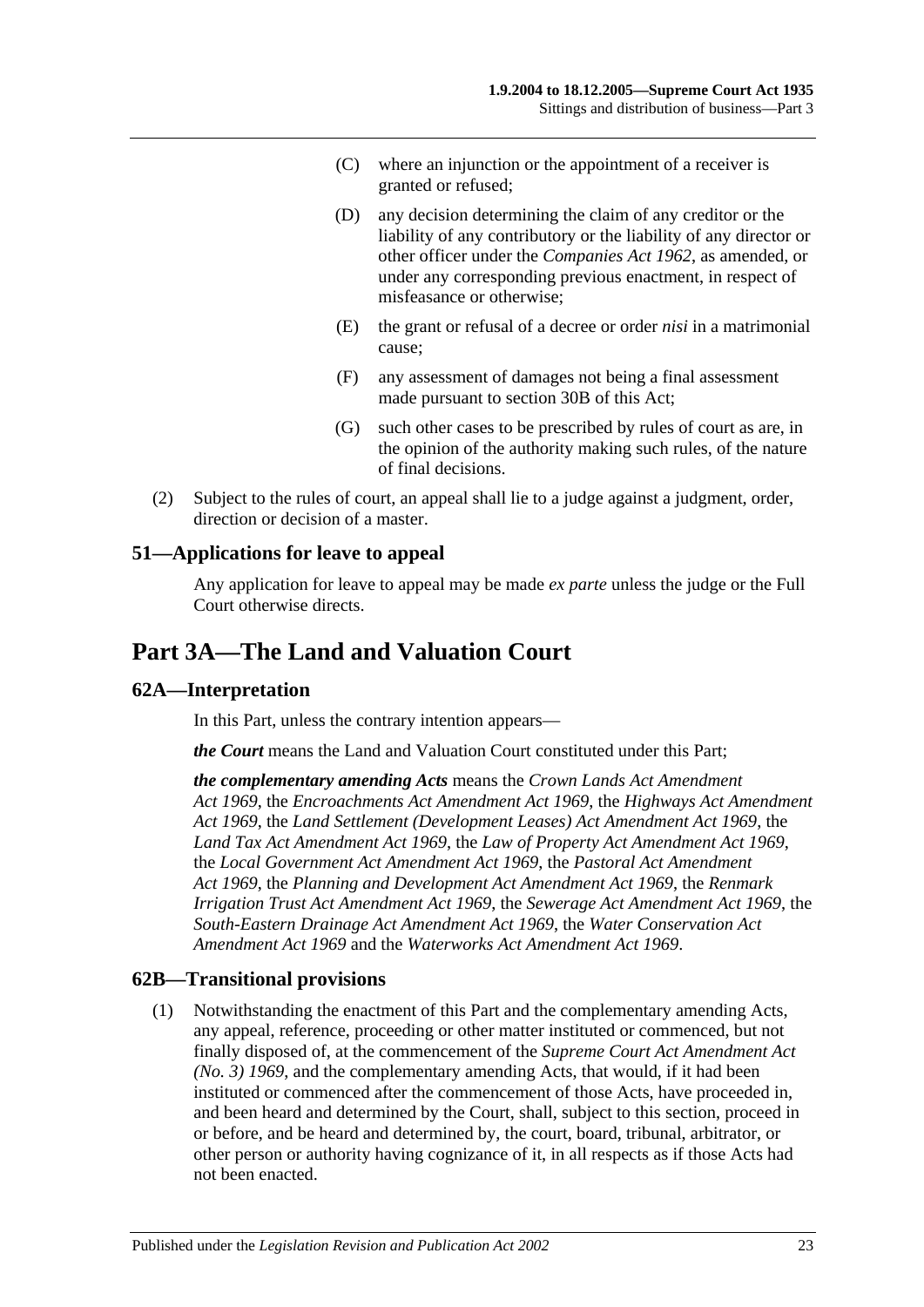- (C) where an injunction or the appointment of a receiver is granted or refused;
- (D) any decision determining the claim of any creditor or the liability of any contributory or the liability of any director or other officer under the *[Companies Act](http://www.legislation.sa.gov.au/index.aspx?action=legref&type=act&legtitle=Companies%20Act%201962) 1962*, as amended, or under any corresponding previous enactment, in respect of misfeasance or otherwise;
- (E) the grant or refusal of a decree or order *nisi* in a matrimonial cause;
- (F) any assessment of damages not being a final assessment made pursuant to [section](#page-13-2) 30B of this Act;
- (G) such other cases to be prescribed by rules of court as are, in the opinion of the authority making such rules, of the nature of final decisions.
- (2) Subject to the rules of court, an appeal shall lie to a judge against a judgment, order, direction or decision of a master.

### <span id="page-22-0"></span>**51—Applications for leave to appeal**

Any application for leave to appeal may be made *ex parte* unless the judge or the Full Court otherwise directs.

## <span id="page-22-1"></span>**Part 3A—The Land and Valuation Court**

## <span id="page-22-2"></span>**62A—Interpretation**

In this Part, unless the contrary intention appears—

*the Court* means the Land and Valuation Court constituted under this Part;

*the complementary amending Acts* means the *[Crown Lands Act Amendment](http://www.legislation.sa.gov.au/index.aspx?action=legref&type=act&legtitle=Crown%20Lands%20Act%20Amendment%20Act%201969)  Act [1969](http://www.legislation.sa.gov.au/index.aspx?action=legref&type=act&legtitle=Crown%20Lands%20Act%20Amendment%20Act%201969)*, the *[Encroachments Act Amendment Act](http://www.legislation.sa.gov.au/index.aspx?action=legref&type=act&legtitle=Encroachments%20Act%20Amendment%20Act%201969) 1969*, the *[Highways Act Amendment](http://www.legislation.sa.gov.au/index.aspx?action=legref&type=act&legtitle=Highways%20Act%20Amendment%20Act%201969)  Act [1969](http://www.legislation.sa.gov.au/index.aspx?action=legref&type=act&legtitle=Highways%20Act%20Amendment%20Act%201969)*, the *[Land Settlement \(Development Leases\) Act Amendment Act](http://www.legislation.sa.gov.au/index.aspx?action=legref&type=act&legtitle=Land%20Settlement%20(Development%20Leases)%20Act%20Amendment%20Act%201969) 1969*, the *[Land Tax Act Amendment Act](http://www.legislation.sa.gov.au/index.aspx?action=legref&type=act&legtitle=Land%20Tax%20Act%20Amendment%20Act%201969) 1969*, the *[Law of Property Act Amendment Act](http://www.legislation.sa.gov.au/index.aspx?action=legref&type=act&legtitle=Law%20of%20Property%20Act%20Amendment%20Act%201969) 1969*, the *[Local Government Act Amendment Act](http://www.legislation.sa.gov.au/index.aspx?action=legref&type=act&legtitle=Local%20Government%20Act%20Amendment%20Act%201969) 1969*, the *[Pastoral Act Amendment](http://www.legislation.sa.gov.au/index.aspx?action=legref&type=act&legtitle=Pastoral%20Act%20Amendment%20Act%201969)  Act [1969](http://www.legislation.sa.gov.au/index.aspx?action=legref&type=act&legtitle=Pastoral%20Act%20Amendment%20Act%201969)*, the *[Planning and Development Act Amendment Act](http://www.legislation.sa.gov.au/index.aspx?action=legref&type=act&legtitle=Planning%20and%20Development%20Act%20Amendment%20Act%201969) 1969*, the *[Renmark](http://www.legislation.sa.gov.au/index.aspx?action=legref&type=act&legtitle=Renmark%20Irrigation%20Trust%20Act%20Amendment%20Act%201969)  [Irrigation Trust Act Amendment Act](http://www.legislation.sa.gov.au/index.aspx?action=legref&type=act&legtitle=Renmark%20Irrigation%20Trust%20Act%20Amendment%20Act%201969) 1969*, the *[Sewerage Act Amendment Act](http://www.legislation.sa.gov.au/index.aspx?action=legref&type=act&legtitle=Sewerage%20Act%20Amendment%20Act%201969) 1969*, the *[South-Eastern Drainage Act Amendment Act](http://www.legislation.sa.gov.au/index.aspx?action=legref&type=act&legtitle=South-Eastern%20Drainage%20Act%20Amendment%20Act%201969) 1969*, the *[Water Conservation Act](http://www.legislation.sa.gov.au/index.aspx?action=legref&type=act&legtitle=Water%20Conservation%20Act%20Amendment%20Act%201969)  [Amendment Act](http://www.legislation.sa.gov.au/index.aspx?action=legref&type=act&legtitle=Water%20Conservation%20Act%20Amendment%20Act%201969) 1969* and the *[Waterworks Act Amendment Act](http://www.legislation.sa.gov.au/index.aspx?action=legref&type=act&legtitle=Waterworks%20Act%20Amendment%20Act%201969) 1969*.

#### <span id="page-22-4"></span><span id="page-22-3"></span>**62B—Transitional provisions**

(1) Notwithstanding the enactment of this Part and the complementary amending Acts, any appeal, reference, proceeding or other matter instituted or commenced, but not finally disposed of, at the commencement of the *[Supreme Court Act Amendment Act](http://www.legislation.sa.gov.au/index.aspx?action=legref&type=act&legtitle=Supreme%20Court%20Act%20Amendment%20Act%20(No.%203)%201969)  [\(No. 3\)](http://www.legislation.sa.gov.au/index.aspx?action=legref&type=act&legtitle=Supreme%20Court%20Act%20Amendment%20Act%20(No.%203)%201969) 1969*, and the complementary amending Acts, that would, if it had been instituted or commenced after the commencement of those Acts, have proceeded in, and been heard and determined by the Court, shall, subject to this section, proceed in or before, and be heard and determined by, the court, board, tribunal, arbitrator, or other person or authority having cognizance of it, in all respects as if those Acts had not been enacted.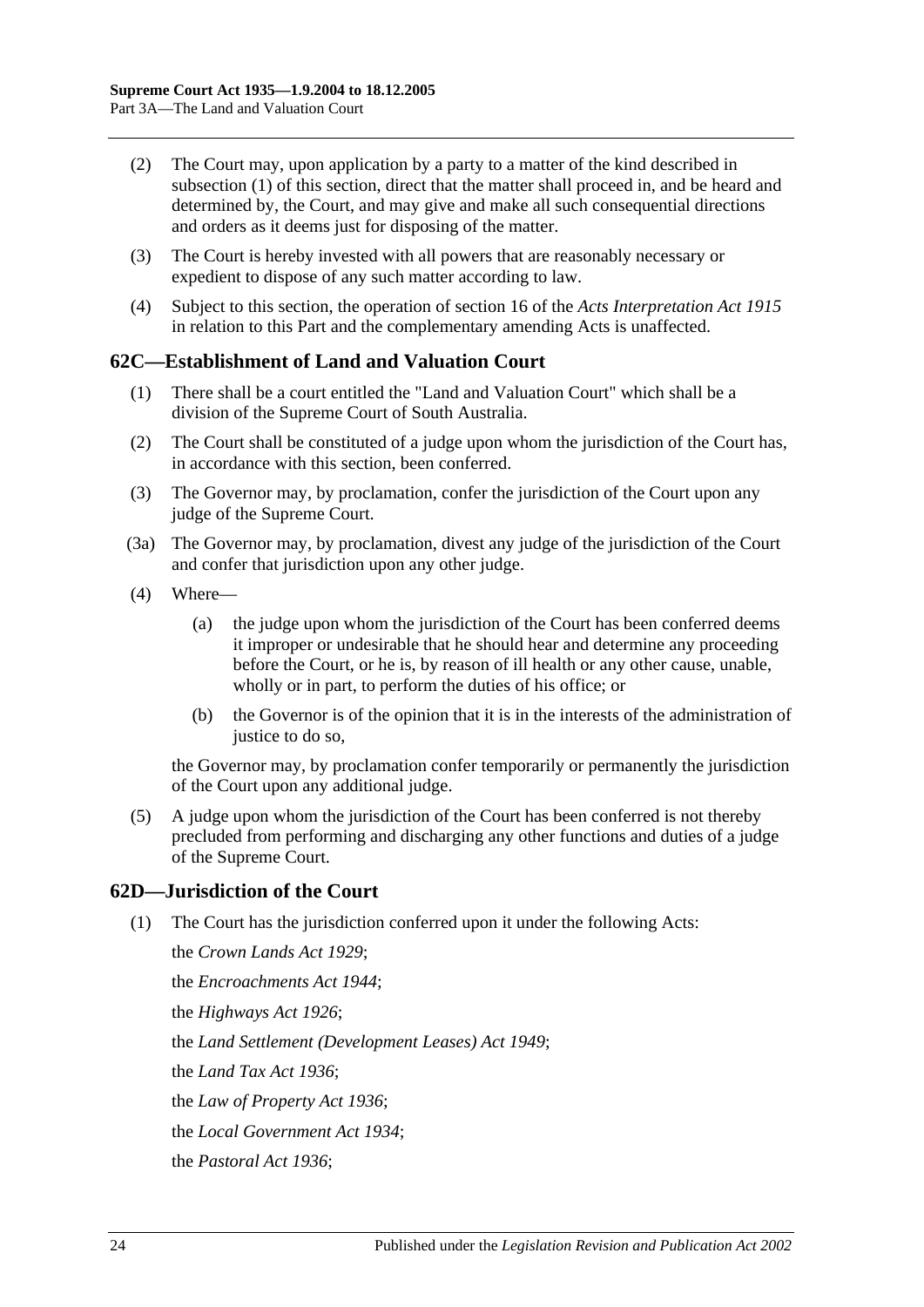- (2) The Court may, upon application by a party to a matter of the kind described in [subsection](#page-22-4) (1) of this section, direct that the matter shall proceed in, and be heard and determined by, the Court, and may give and make all such consequential directions and orders as it deems just for disposing of the matter.
- (3) The Court is hereby invested with all powers that are reasonably necessary or expedient to dispose of any such matter according to law.
- (4) Subject to this section, the operation of section 16 of the *[Acts Interpretation Act](http://www.legislation.sa.gov.au/index.aspx?action=legref&type=act&legtitle=Acts%20Interpretation%20Act%201915) 1915* in relation to this Part and the complementary amending Acts is unaffected.

### <span id="page-23-0"></span>**62C—Establishment of Land and Valuation Court**

- (1) There shall be a court entitled the "Land and Valuation Court" which shall be a division of the Supreme Court of South Australia.
- (2) The Court shall be constituted of a judge upon whom the jurisdiction of the Court has, in accordance with this section, been conferred.
- (3) The Governor may, by proclamation, confer the jurisdiction of the Court upon any judge of the Supreme Court.
- (3a) The Governor may, by proclamation, divest any judge of the jurisdiction of the Court and confer that jurisdiction upon any other judge.
- (4) Where—
	- (a) the judge upon whom the jurisdiction of the Court has been conferred deems it improper or undesirable that he should hear and determine any proceeding before the Court, or he is, by reason of ill health or any other cause, unable, wholly or in part, to perform the duties of his office; or
	- (b) the Governor is of the opinion that it is in the interests of the administration of justice to do so,

the Governor may, by proclamation confer temporarily or permanently the jurisdiction of the Court upon any additional judge.

(5) A judge upon whom the jurisdiction of the Court has been conferred is not thereby precluded from performing and discharging any other functions and duties of a judge of the Supreme Court.

## <span id="page-23-1"></span>**62D—Jurisdiction of the Court**

(1) The Court has the jurisdiction conferred upon it under the following Acts:

the *[Crown Lands Act](http://www.legislation.sa.gov.au/index.aspx?action=legref&type=act&legtitle=Crown%20Lands%20Act%201929) 1929*; the *[Encroachments Act](http://www.legislation.sa.gov.au/index.aspx?action=legref&type=act&legtitle=Encroachments%20Act%201944) 1944*; the *[Highways Act](http://www.legislation.sa.gov.au/index.aspx?action=legref&type=act&legtitle=Highways%20Act%201926) 1926*; the *[Land Settlement \(Development Leases\) Act](http://www.legislation.sa.gov.au/index.aspx?action=legref&type=act&legtitle=Land%20Settlement%20(Development%20Leases)%20Act%201949) 1949*; the *[Land Tax Act](http://www.legislation.sa.gov.au/index.aspx?action=legref&type=act&legtitle=Land%20Tax%20Act%201936) 1936*; the *[Law of Property Act](http://www.legislation.sa.gov.au/index.aspx?action=legref&type=act&legtitle=Law%20of%20Property%20Act%201936) 1936*; the *[Local Government Act](http://www.legislation.sa.gov.au/index.aspx?action=legref&type=act&legtitle=Local%20Government%20Act%201934) 1934*; the *[Pastoral Act](http://www.legislation.sa.gov.au/index.aspx?action=legref&type=act&legtitle=Pastoral%20Act%201936) 1936*;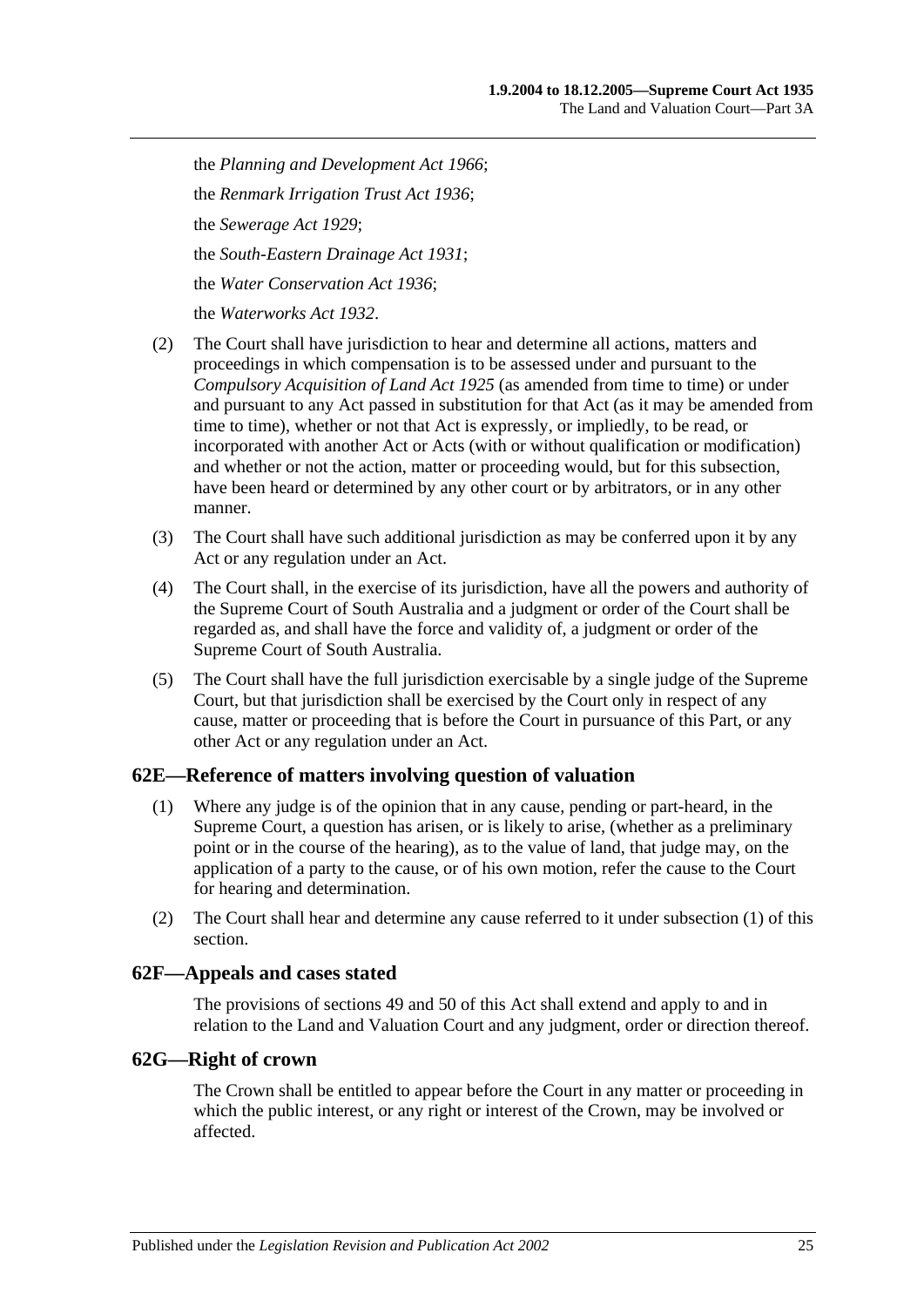the *[Planning and Development Act](http://www.legislation.sa.gov.au/index.aspx?action=legref&type=act&legtitle=Planning%20and%20Development%20Act%201966) 1966*; the *[Renmark Irrigation Trust Act](http://www.legislation.sa.gov.au/index.aspx?action=legref&type=act&legtitle=Renmark%20Irrigation%20Trust%20Act%201936) 1936*; the *[Sewerage Act](http://www.legislation.sa.gov.au/index.aspx?action=legref&type=act&legtitle=Sewerage%20Act%201929) 1929*; the *[South-Eastern Drainage Act](http://www.legislation.sa.gov.au/index.aspx?action=legref&type=act&legtitle=South-Eastern%20Drainage%20Act%201931) 1931*; the *[Water Conservation Act](http://www.legislation.sa.gov.au/index.aspx?action=legref&type=act&legtitle=Water%20Conservation%20Act%201936) 1936*; the *[Waterworks Act](http://www.legislation.sa.gov.au/index.aspx?action=legref&type=act&legtitle=Waterworks%20Act%201932) 1932*.

- (2) The Court shall have jurisdiction to hear and determine all actions, matters and proceedings in which compensation is to be assessed under and pursuant to the *[Compulsory Acquisition of Land Act](http://www.legislation.sa.gov.au/index.aspx?action=legref&type=act&legtitle=Compulsory%20Acquisition%20of%20Land%20Act%201925) 1925* (as amended from time to time) or under and pursuant to any Act passed in substitution for that Act (as it may be amended from time to time), whether or not that Act is expressly, or impliedly, to be read, or incorporated with another Act or Acts (with or without qualification or modification) and whether or not the action, matter or proceeding would, but for this subsection, have been heard or determined by any other court or by arbitrators, or in any other manner.
- (3) The Court shall have such additional jurisdiction as may be conferred upon it by any Act or any regulation under an Act.
- (4) The Court shall, in the exercise of its jurisdiction, have all the powers and authority of the Supreme Court of South Australia and a judgment or order of the Court shall be regarded as, and shall have the force and validity of, a judgment or order of the Supreme Court of South Australia.
- (5) The Court shall have the full jurisdiction exercisable by a single judge of the Supreme Court, but that jurisdiction shall be exercised by the Court only in respect of any cause, matter or proceeding that is before the Court in pursuance of this Part, or any other Act or any regulation under an Act.

## <span id="page-24-3"></span><span id="page-24-0"></span>**62E—Reference of matters involving question of valuation**

- (1) Where any judge is of the opinion that in any cause, pending or part-heard, in the Supreme Court, a question has arisen, or is likely to arise, (whether as a preliminary point or in the course of the hearing), as to the value of land, that judge may, on the application of a party to the cause, or of his own motion, refer the cause to the Court for hearing and determination.
- (2) The Court shall hear and determine any cause referred to it under [subsection](#page-24-3) (1) of this section.

## <span id="page-24-1"></span>**62F—Appeals and cases stated**

The provisions of [sections](#page-21-0) 49 and [50](#page-21-1) of this Act shall extend and apply to and in relation to the Land and Valuation Court and any judgment, order or direction thereof.

## <span id="page-24-2"></span>**62G—Right of crown**

The Crown shall be entitled to appear before the Court in any matter or proceeding in which the public interest, or any right or interest of the Crown, may be involved or affected.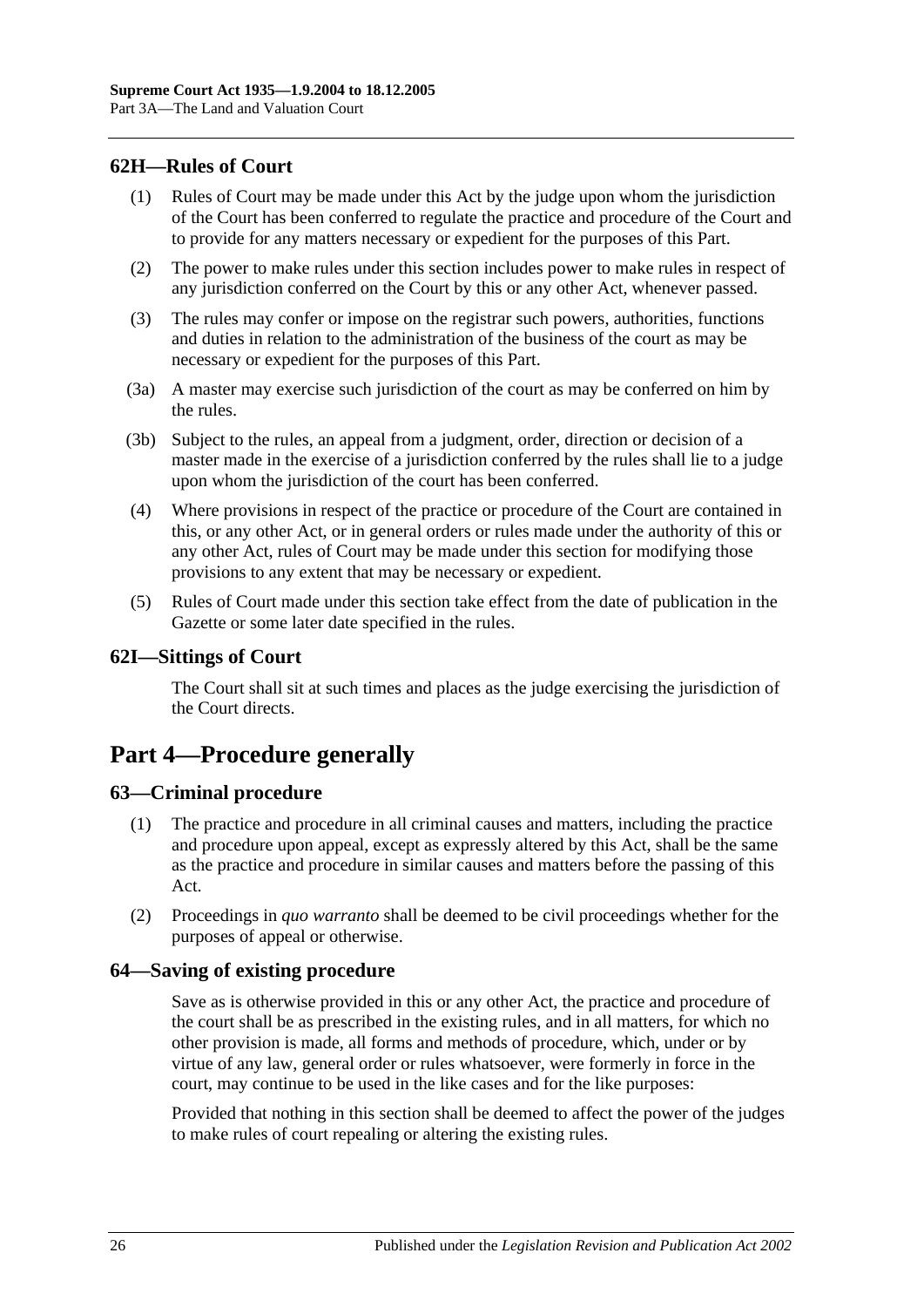## <span id="page-25-0"></span>**62H—Rules of Court**

- (1) Rules of Court may be made under this Act by the judge upon whom the jurisdiction of the Court has been conferred to regulate the practice and procedure of the Court and to provide for any matters necessary or expedient for the purposes of this Part.
- (2) The power to make rules under this section includes power to make rules in respect of any jurisdiction conferred on the Court by this or any other Act, whenever passed.
- (3) The rules may confer or impose on the registrar such powers, authorities, functions and duties in relation to the administration of the business of the court as may be necessary or expedient for the purposes of this Part.
- (3a) A master may exercise such jurisdiction of the court as may be conferred on him by the rules.
- (3b) Subject to the rules, an appeal from a judgment, order, direction or decision of a master made in the exercise of a jurisdiction conferred by the rules shall lie to a judge upon whom the jurisdiction of the court has been conferred.
- (4) Where provisions in respect of the practice or procedure of the Court are contained in this, or any other Act, or in general orders or rules made under the authority of this or any other Act, rules of Court may be made under this section for modifying those provisions to any extent that may be necessary or expedient.
- (5) Rules of Court made under this section take effect from the date of publication in the Gazette or some later date specified in the rules.

### <span id="page-25-1"></span>**62I—Sittings of Court**

The Court shall sit at such times and places as the judge exercising the jurisdiction of the Court directs.

## <span id="page-25-2"></span>**Part 4—Procedure generally**

## <span id="page-25-3"></span>**63—Criminal procedure**

- (1) The practice and procedure in all criminal causes and matters, including the practice and procedure upon appeal, except as expressly altered by this Act, shall be the same as the practice and procedure in similar causes and matters before the passing of this Act.
- (2) Proceedings in *quo warranto* shall be deemed to be civil proceedings whether for the purposes of appeal or otherwise.

## <span id="page-25-4"></span>**64—Saving of existing procedure**

Save as is otherwise provided in this or any other Act, the practice and procedure of the court shall be as prescribed in the existing rules, and in all matters, for which no other provision is made, all forms and methods of procedure, which, under or by virtue of any law, general order or rules whatsoever, were formerly in force in the court, may continue to be used in the like cases and for the like purposes:

Provided that nothing in this section shall be deemed to affect the power of the judges to make rules of court repealing or altering the existing rules.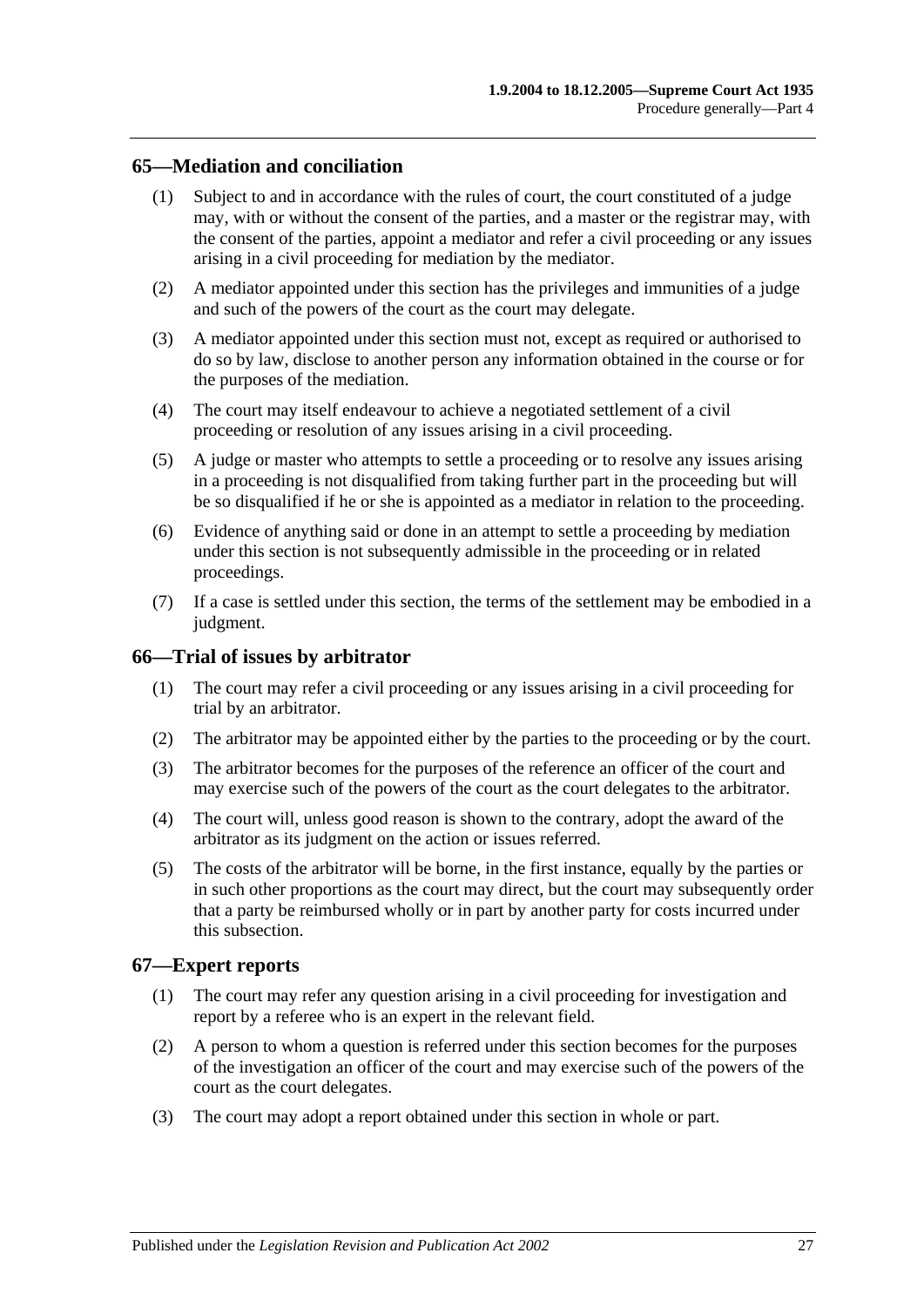### <span id="page-26-0"></span>**65—Mediation and conciliation**

- (1) Subject to and in accordance with the rules of court, the court constituted of a judge may, with or without the consent of the parties, and a master or the registrar may, with the consent of the parties, appoint a mediator and refer a civil proceeding or any issues arising in a civil proceeding for mediation by the mediator.
- (2) A mediator appointed under this section has the privileges and immunities of a judge and such of the powers of the court as the court may delegate.
- (3) A mediator appointed under this section must not, except as required or authorised to do so by law, disclose to another person any information obtained in the course or for the purposes of the mediation.
- (4) The court may itself endeavour to achieve a negotiated settlement of a civil proceeding or resolution of any issues arising in a civil proceeding.
- (5) A judge or master who attempts to settle a proceeding or to resolve any issues arising in a proceeding is not disqualified from taking further part in the proceeding but will be so disqualified if he or she is appointed as a mediator in relation to the proceeding.
- (6) Evidence of anything said or done in an attempt to settle a proceeding by mediation under this section is not subsequently admissible in the proceeding or in related proceedings.
- (7) If a case is settled under this section, the terms of the settlement may be embodied in a judgment.

#### <span id="page-26-1"></span>**66—Trial of issues by arbitrator**

- (1) The court may refer a civil proceeding or any issues arising in a civil proceeding for trial by an arbitrator.
- (2) The arbitrator may be appointed either by the parties to the proceeding or by the court.
- (3) The arbitrator becomes for the purposes of the reference an officer of the court and may exercise such of the powers of the court as the court delegates to the arbitrator.
- (4) The court will, unless good reason is shown to the contrary, adopt the award of the arbitrator as its judgment on the action or issues referred.
- (5) The costs of the arbitrator will be borne, in the first instance, equally by the parties or in such other proportions as the court may direct, but the court may subsequently order that a party be reimbursed wholly or in part by another party for costs incurred under this subsection.

#### <span id="page-26-2"></span>**67—Expert reports**

- (1) The court may refer any question arising in a civil proceeding for investigation and report by a referee who is an expert in the relevant field.
- (2) A person to whom a question is referred under this section becomes for the purposes of the investigation an officer of the court and may exercise such of the powers of the court as the court delegates.
- (3) The court may adopt a report obtained under this section in whole or part.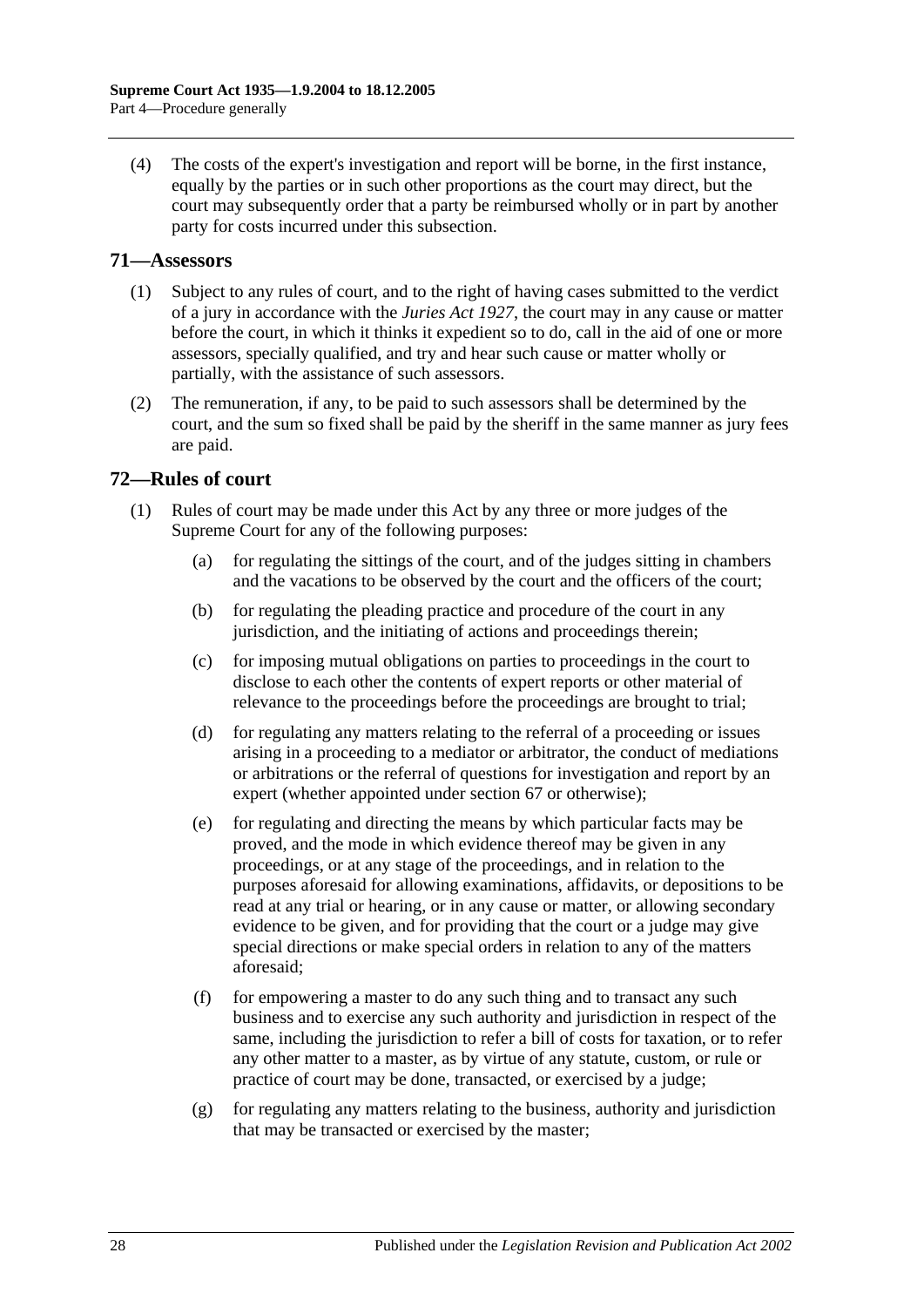(4) The costs of the expert's investigation and report will be borne, in the first instance, equally by the parties or in such other proportions as the court may direct, but the court may subsequently order that a party be reimbursed wholly or in part by another party for costs incurred under this subsection.

### <span id="page-27-0"></span>**71—Assessors**

- (1) Subject to any rules of court, and to the right of having cases submitted to the verdict of a jury in accordance with the *[Juries Act](http://www.legislation.sa.gov.au/index.aspx?action=legref&type=act&legtitle=Juries%20Act%201927) 1927*, the court may in any cause or matter before the court, in which it thinks it expedient so to do, call in the aid of one or more assessors, specially qualified, and try and hear such cause or matter wholly or partially, with the assistance of such assessors.
- (2) The remuneration, if any, to be paid to such assessors shall be determined by the court, and the sum so fixed shall be paid by the sheriff in the same manner as jury fees are paid.

## <span id="page-27-1"></span>**72—Rules of court**

- (1) Rules of court may be made under this Act by any three or more judges of the Supreme Court for any of the following purposes:
	- (a) for regulating the sittings of the court, and of the judges sitting in chambers and the vacations to be observed by the court and the officers of the court;
	- (b) for regulating the pleading practice and procedure of the court in any jurisdiction, and the initiating of actions and proceedings therein;
	- (c) for imposing mutual obligations on parties to proceedings in the court to disclose to each other the contents of expert reports or other material of relevance to the proceedings before the proceedings are brought to trial;
	- (d) for regulating any matters relating to the referral of a proceeding or issues arising in a proceeding to a mediator or arbitrator, the conduct of mediations or arbitrations or the referral of questions for investigation and report by an expert (whether appointed under [section](#page-26-2) 67 or otherwise);
	- (e) for regulating and directing the means by which particular facts may be proved, and the mode in which evidence thereof may be given in any proceedings, or at any stage of the proceedings, and in relation to the purposes aforesaid for allowing examinations, affidavits, or depositions to be read at any trial or hearing, or in any cause or matter, or allowing secondary evidence to be given, and for providing that the court or a judge may give special directions or make special orders in relation to any of the matters aforesaid;
	- (f) for empowering a master to do any such thing and to transact any such business and to exercise any such authority and jurisdiction in respect of the same, including the jurisdiction to refer a bill of costs for taxation, or to refer any other matter to a master, as by virtue of any statute, custom, or rule or practice of court may be done, transacted, or exercised by a judge;
	- (g) for regulating any matters relating to the business, authority and jurisdiction that may be transacted or exercised by the master;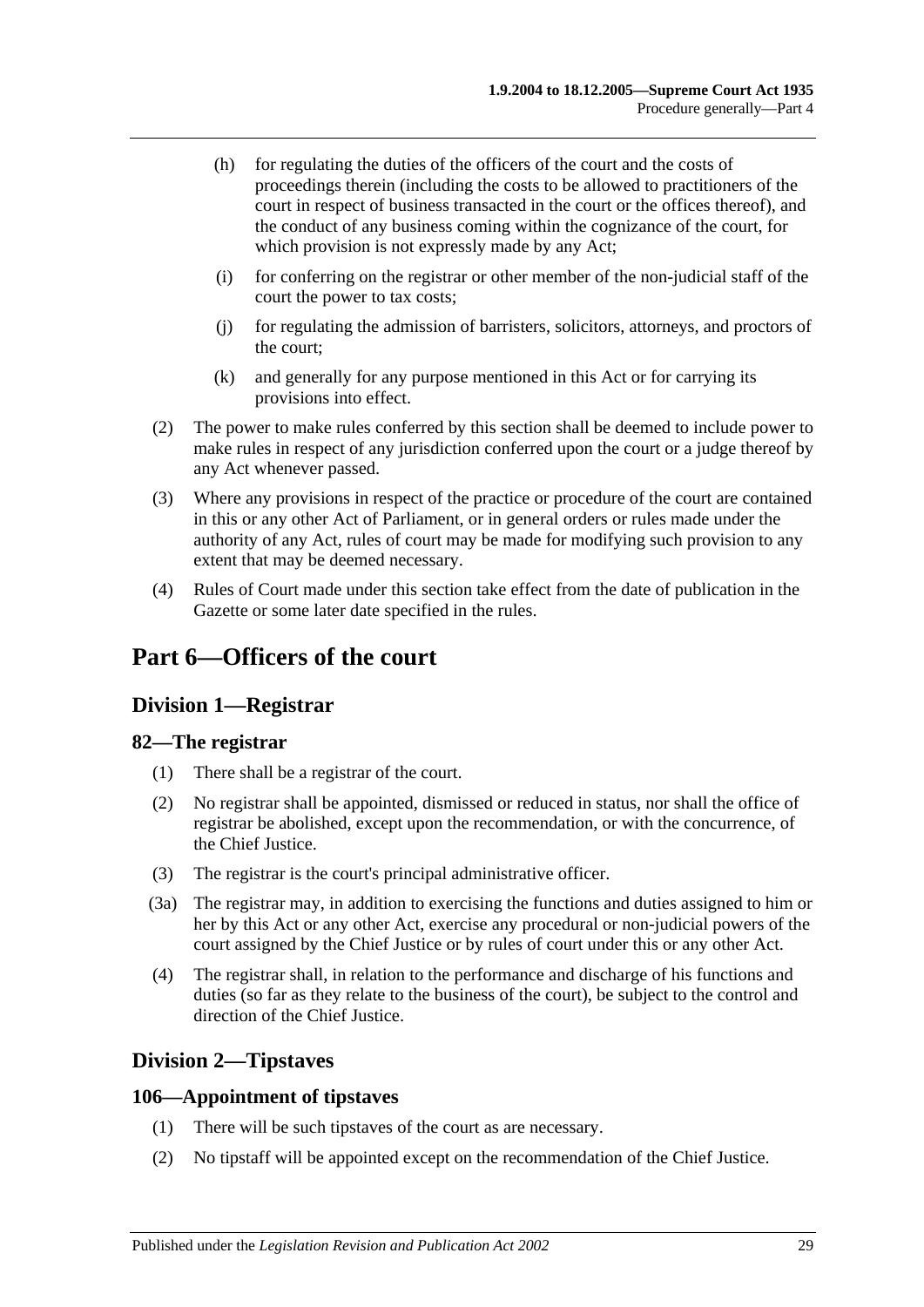- (h) for regulating the duties of the officers of the court and the costs of proceedings therein (including the costs to be allowed to practitioners of the court in respect of business transacted in the court or the offices thereof), and the conduct of any business coming within the cognizance of the court, for which provision is not expressly made by any Act;
- (i) for conferring on the registrar or other member of the non-judicial staff of the court the power to tax costs;
- (j) for regulating the admission of barristers, solicitors, attorneys, and proctors of the court;
- (k) and generally for any purpose mentioned in this Act or for carrying its provisions into effect.
- (2) The power to make rules conferred by this section shall be deemed to include power to make rules in respect of any jurisdiction conferred upon the court or a judge thereof by any Act whenever passed.
- (3) Where any provisions in respect of the practice or procedure of the court are contained in this or any other Act of Parliament, or in general orders or rules made under the authority of any Act, rules of court may be made for modifying such provision to any extent that may be deemed necessary.
- (4) Rules of Court made under this section take effect from the date of publication in the Gazette or some later date specified in the rules.

## <span id="page-28-1"></span><span id="page-28-0"></span>**Part 6—Officers of the court**

## **Division 1—Registrar**

## <span id="page-28-2"></span>**82—The registrar**

- (1) There shall be a registrar of the court.
- (2) No registrar shall be appointed, dismissed or reduced in status, nor shall the office of registrar be abolished, except upon the recommendation, or with the concurrence, of the Chief Justice.
- (3) The registrar is the court's principal administrative officer.
- (3a) The registrar may, in addition to exercising the functions and duties assigned to him or her by this Act or any other Act, exercise any procedural or non-judicial powers of the court assigned by the Chief Justice or by rules of court under this or any other Act.
- (4) The registrar shall, in relation to the performance and discharge of his functions and duties (so far as they relate to the business of the court), be subject to the control and direction of the Chief Justice.

## <span id="page-28-3"></span>**Division 2—Tipstaves**

## <span id="page-28-4"></span>**106—Appointment of tipstaves**

- (1) There will be such tipstaves of the court as are necessary.
- (2) No tipstaff will be appointed except on the recommendation of the Chief Justice.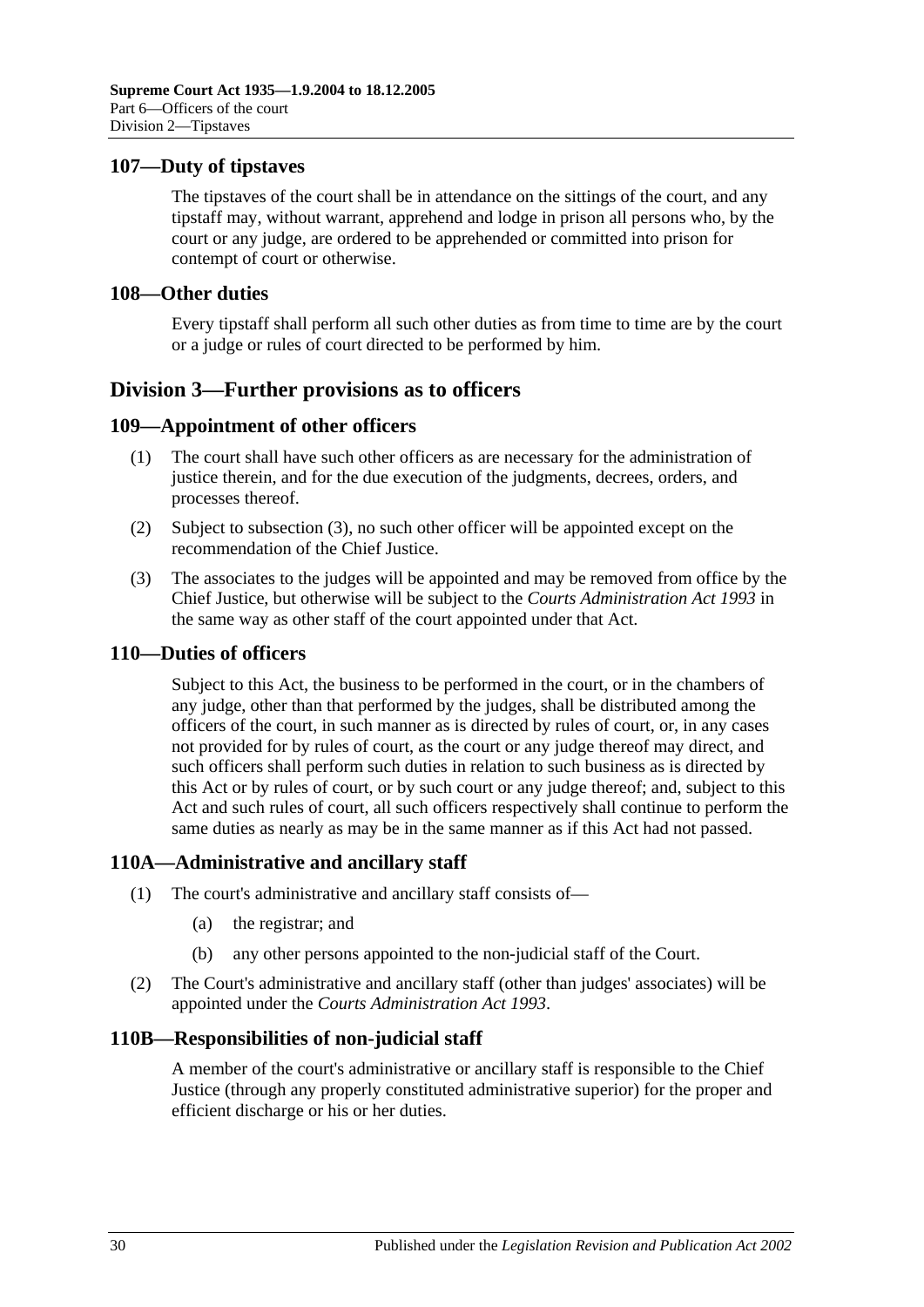### <span id="page-29-0"></span>**107—Duty of tipstaves**

The tipstaves of the court shall be in attendance on the sittings of the court, and any tipstaff may, without warrant, apprehend and lodge in prison all persons who, by the court or any judge, are ordered to be apprehended or committed into prison for contempt of court or otherwise.

#### <span id="page-29-1"></span>**108—Other duties**

Every tipstaff shall perform all such other duties as from time to time are by the court or a judge or rules of court directed to be performed by him.

## <span id="page-29-2"></span>**Division 3—Further provisions as to officers**

### <span id="page-29-3"></span>**109—Appointment of other officers**

- (1) The court shall have such other officers as are necessary for the administration of justice therein, and for the due execution of the judgments, decrees, orders, and processes thereof.
- (2) Subject to [subsection](#page-29-7) (3), no such other officer will be appointed except on the recommendation of the Chief Justice.
- <span id="page-29-7"></span>(3) The associates to the judges will be appointed and may be removed from office by the Chief Justice, but otherwise will be subject to the *[Courts Administration Act](http://www.legislation.sa.gov.au/index.aspx?action=legref&type=act&legtitle=Courts%20Administration%20Act%201993) 1993* in the same way as other staff of the court appointed under that Act.

#### <span id="page-29-4"></span>**110—Duties of officers**

Subject to this Act, the business to be performed in the court, or in the chambers of any judge, other than that performed by the judges, shall be distributed among the officers of the court, in such manner as is directed by rules of court, or, in any cases not provided for by rules of court, as the court or any judge thereof may direct, and such officers shall perform such duties in relation to such business as is directed by this Act or by rules of court, or by such court or any judge thereof; and, subject to this Act and such rules of court, all such officers respectively shall continue to perform the same duties as nearly as may be in the same manner as if this Act had not passed.

#### <span id="page-29-5"></span>**110A—Administrative and ancillary staff**

- (1) The court's administrative and ancillary staff consists of—
	- (a) the registrar; and
	- (b) any other persons appointed to the non-judicial staff of the Court.
- (2) The Court's administrative and ancillary staff (other than judges' associates) will be appointed under the *[Courts Administration Act](http://www.legislation.sa.gov.au/index.aspx?action=legref&type=act&legtitle=Courts%20Administration%20Act%201993) 1993*.

#### <span id="page-29-6"></span>**110B—Responsibilities of non-judicial staff**

A member of the court's administrative or ancillary staff is responsible to the Chief Justice (through any properly constituted administrative superior) for the proper and efficient discharge or his or her duties.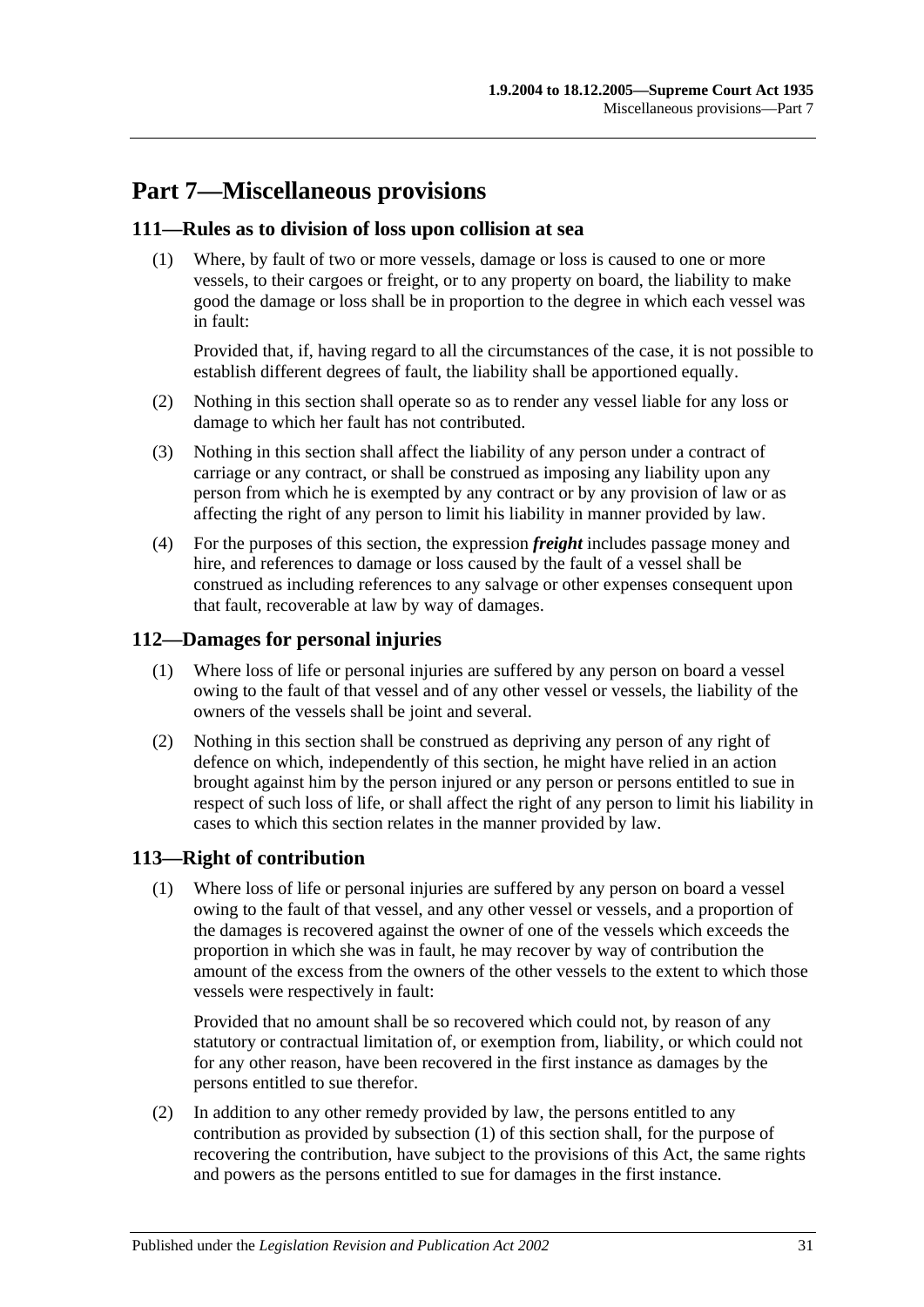## <span id="page-30-0"></span>**Part 7—Miscellaneous provisions**

## <span id="page-30-1"></span>**111—Rules as to division of loss upon collision at sea**

(1) Where, by fault of two or more vessels, damage or loss is caused to one or more vessels, to their cargoes or freight, or to any property on board, the liability to make good the damage or loss shall be in proportion to the degree in which each vessel was in fault:

Provided that, if, having regard to all the circumstances of the case, it is not possible to establish different degrees of fault, the liability shall be apportioned equally.

- (2) Nothing in this section shall operate so as to render any vessel liable for any loss or damage to which her fault has not contributed.
- (3) Nothing in this section shall affect the liability of any person under a contract of carriage or any contract, or shall be construed as imposing any liability upon any person from which he is exempted by any contract or by any provision of law or as affecting the right of any person to limit his liability in manner provided by law.
- (4) For the purposes of this section, the expression *freight* includes passage money and hire, and references to damage or loss caused by the fault of a vessel shall be construed as including references to any salvage or other expenses consequent upon that fault, recoverable at law by way of damages.

## <span id="page-30-2"></span>**112—Damages for personal injuries**

- (1) Where loss of life or personal injuries are suffered by any person on board a vessel owing to the fault of that vessel and of any other vessel or vessels, the liability of the owners of the vessels shall be joint and several.
- (2) Nothing in this section shall be construed as depriving any person of any right of defence on which, independently of this section, he might have relied in an action brought against him by the person injured or any person or persons entitled to sue in respect of such loss of life, or shall affect the right of any person to limit his liability in cases to which this section relates in the manner provided by law.

## <span id="page-30-4"></span><span id="page-30-3"></span>**113—Right of contribution**

(1) Where loss of life or personal injuries are suffered by any person on board a vessel owing to the fault of that vessel, and any other vessel or vessels, and a proportion of the damages is recovered against the owner of one of the vessels which exceeds the proportion in which she was in fault, he may recover by way of contribution the amount of the excess from the owners of the other vessels to the extent to which those vessels were respectively in fault:

Provided that no amount shall be so recovered which could not, by reason of any statutory or contractual limitation of, or exemption from, liability, or which could not for any other reason, have been recovered in the first instance as damages by the persons entitled to sue therefor.

(2) In addition to any other remedy provided by law, the persons entitled to any contribution as provided by [subsection](#page-30-4) (1) of this section shall, for the purpose of recovering the contribution, have subject to the provisions of this Act, the same rights and powers as the persons entitled to sue for damages in the first instance.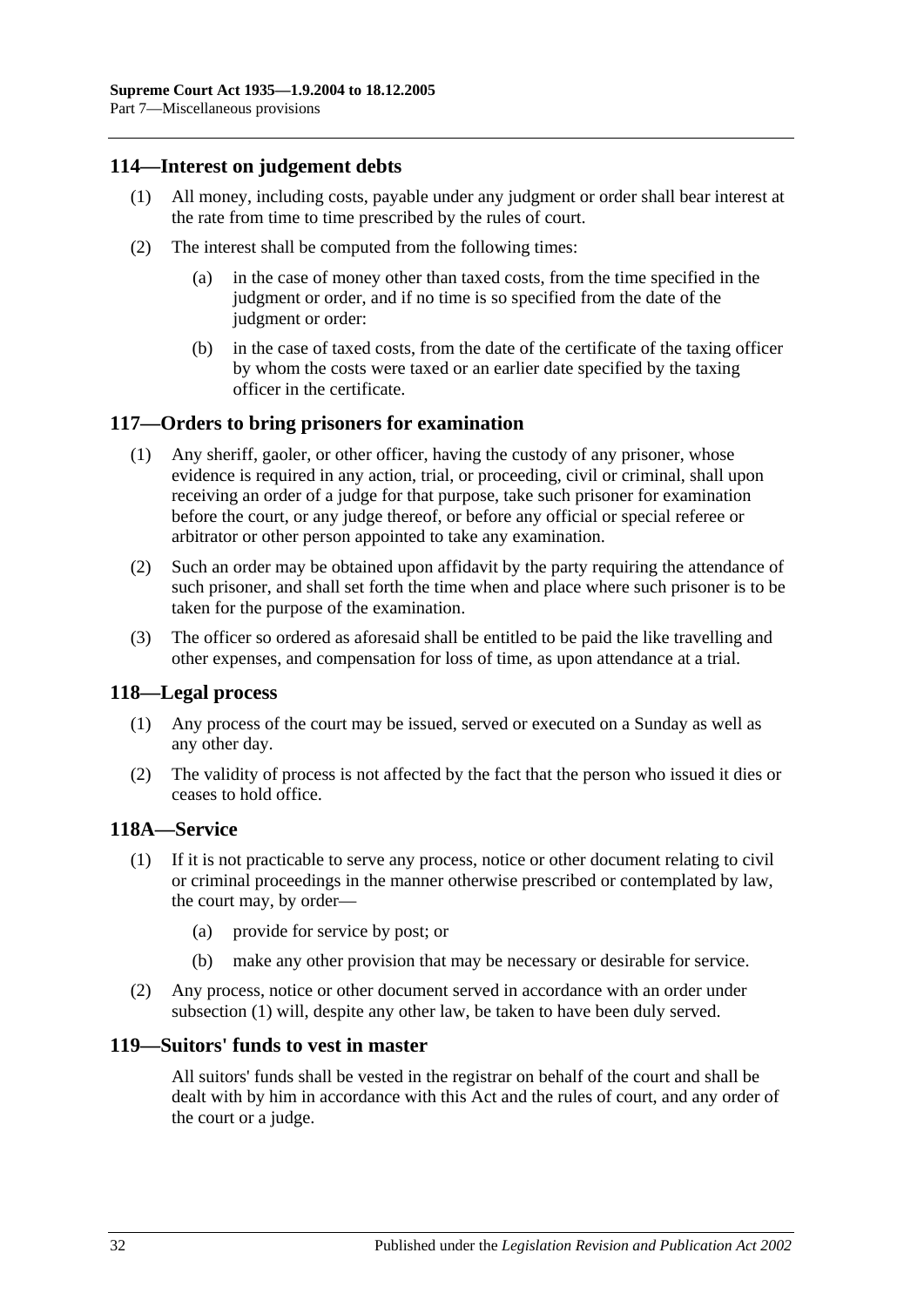### <span id="page-31-0"></span>**114—Interest on judgement debts**

- (1) All money, including costs, payable under any judgment or order shall bear interest at the rate from time to time prescribed by the rules of court.
- (2) The interest shall be computed from the following times:
	- (a) in the case of money other than taxed costs, from the time specified in the judgment or order, and if no time is so specified from the date of the judgment or order:
	- (b) in the case of taxed costs, from the date of the certificate of the taxing officer by whom the costs were taxed or an earlier date specified by the taxing officer in the certificate.

### <span id="page-31-1"></span>**117—Orders to bring prisoners for examination**

- (1) Any sheriff, gaoler, or other officer, having the custody of any prisoner, whose evidence is required in any action, trial, or proceeding, civil or criminal, shall upon receiving an order of a judge for that purpose, take such prisoner for examination before the court, or any judge thereof, or before any official or special referee or arbitrator or other person appointed to take any examination.
- (2) Such an order may be obtained upon affidavit by the party requiring the attendance of such prisoner, and shall set forth the time when and place where such prisoner is to be taken for the purpose of the examination.
- (3) The officer so ordered as aforesaid shall be entitled to be paid the like travelling and other expenses, and compensation for loss of time, as upon attendance at a trial.

#### <span id="page-31-2"></span>**118—Legal process**

- (1) Any process of the court may be issued, served or executed on a Sunday as well as any other day.
- (2) The validity of process is not affected by the fact that the person who issued it dies or ceases to hold office.

#### <span id="page-31-5"></span><span id="page-31-3"></span>**118A—Service**

- (1) If it is not practicable to serve any process, notice or other document relating to civil or criminal proceedings in the manner otherwise prescribed or contemplated by law, the court may, by order—
	- (a) provide for service by post; or
	- (b) make any other provision that may be necessary or desirable for service.
- (2) Any process, notice or other document served in accordance with an order under [subsection](#page-31-5) (1) will, despite any other law, be taken to have been duly served.

#### <span id="page-31-4"></span>**119—Suitors' funds to vest in master**

All suitors' funds shall be vested in the registrar on behalf of the court and shall be dealt with by him in accordance with this Act and the rules of court, and any order of the court or a judge.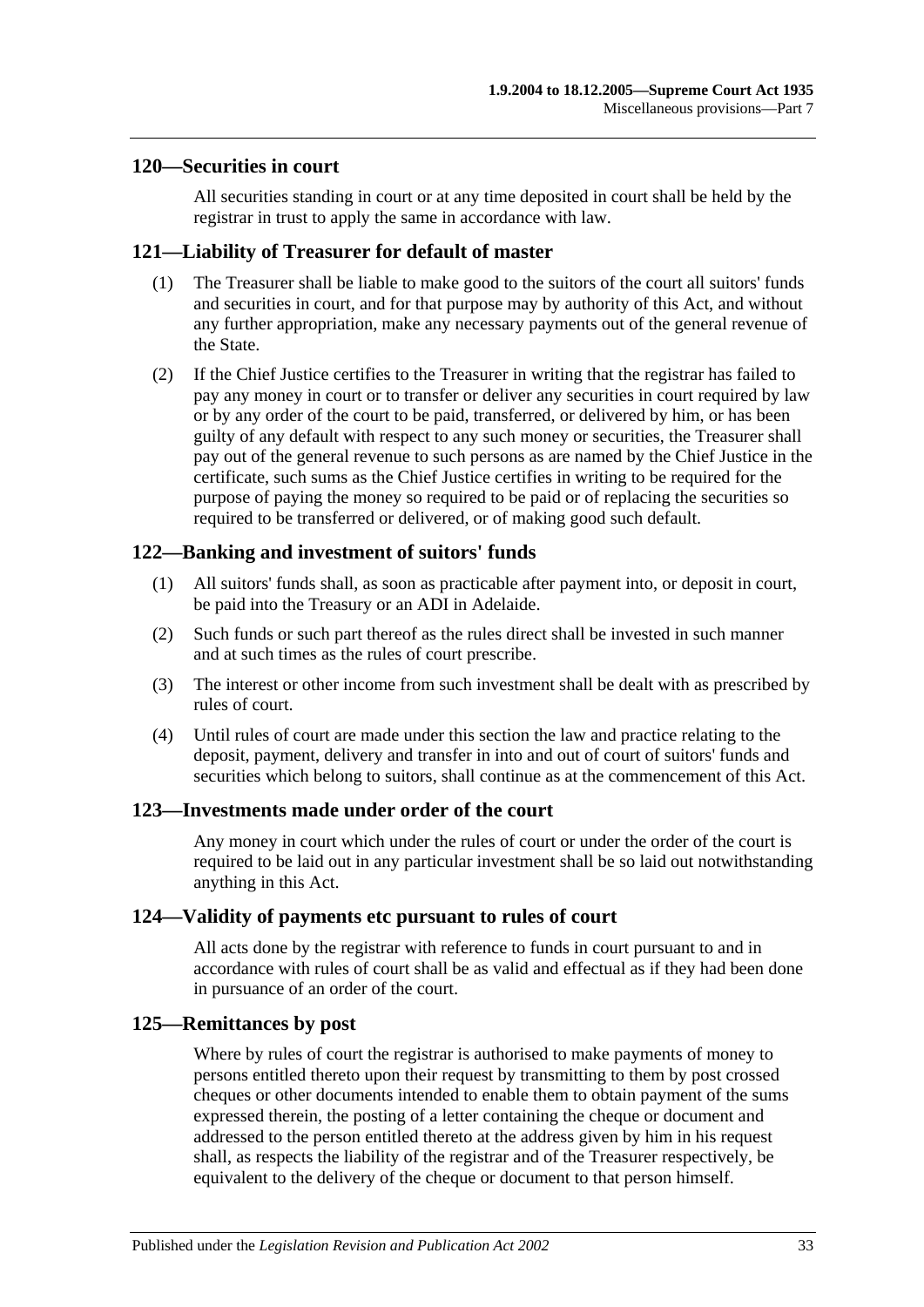### <span id="page-32-0"></span>**120—Securities in court**

All securities standing in court or at any time deposited in court shall be held by the registrar in trust to apply the same in accordance with law.

### <span id="page-32-1"></span>**121—Liability of Treasurer for default of master**

- (1) The Treasurer shall be liable to make good to the suitors of the court all suitors' funds and securities in court, and for that purpose may by authority of this Act, and without any further appropriation, make any necessary payments out of the general revenue of the State.
- (2) If the Chief Justice certifies to the Treasurer in writing that the registrar has failed to pay any money in court or to transfer or deliver any securities in court required by law or by any order of the court to be paid, transferred, or delivered by him, or has been guilty of any default with respect to any such money or securities, the Treasurer shall pay out of the general revenue to such persons as are named by the Chief Justice in the certificate, such sums as the Chief Justice certifies in writing to be required for the purpose of paying the money so required to be paid or of replacing the securities so required to be transferred or delivered, or of making good such default.

## <span id="page-32-2"></span>**122—Banking and investment of suitors' funds**

- (1) All suitors' funds shall, as soon as practicable after payment into, or deposit in court, be paid into the Treasury or an ADI in Adelaide.
- (2) Such funds or such part thereof as the rules direct shall be invested in such manner and at such times as the rules of court prescribe.
- (3) The interest or other income from such investment shall be dealt with as prescribed by rules of court.
- (4) Until rules of court are made under this section the law and practice relating to the deposit, payment, delivery and transfer in into and out of court of suitors' funds and securities which belong to suitors, shall continue as at the commencement of this Act.

#### <span id="page-32-3"></span>**123—Investments made under order of the court**

Any money in court which under the rules of court or under the order of the court is required to be laid out in any particular investment shall be so laid out notwithstanding anything in this Act.

#### <span id="page-32-4"></span>**124—Validity of payments etc pursuant to rules of court**

All acts done by the registrar with reference to funds in court pursuant to and in accordance with rules of court shall be as valid and effectual as if they had been done in pursuance of an order of the court.

#### <span id="page-32-5"></span>**125—Remittances by post**

Where by rules of court the registrar is authorised to make payments of money to persons entitled thereto upon their request by transmitting to them by post crossed cheques or other documents intended to enable them to obtain payment of the sums expressed therein, the posting of a letter containing the cheque or document and addressed to the person entitled thereto at the address given by him in his request shall, as respects the liability of the registrar and of the Treasurer respectively, be equivalent to the delivery of the cheque or document to that person himself.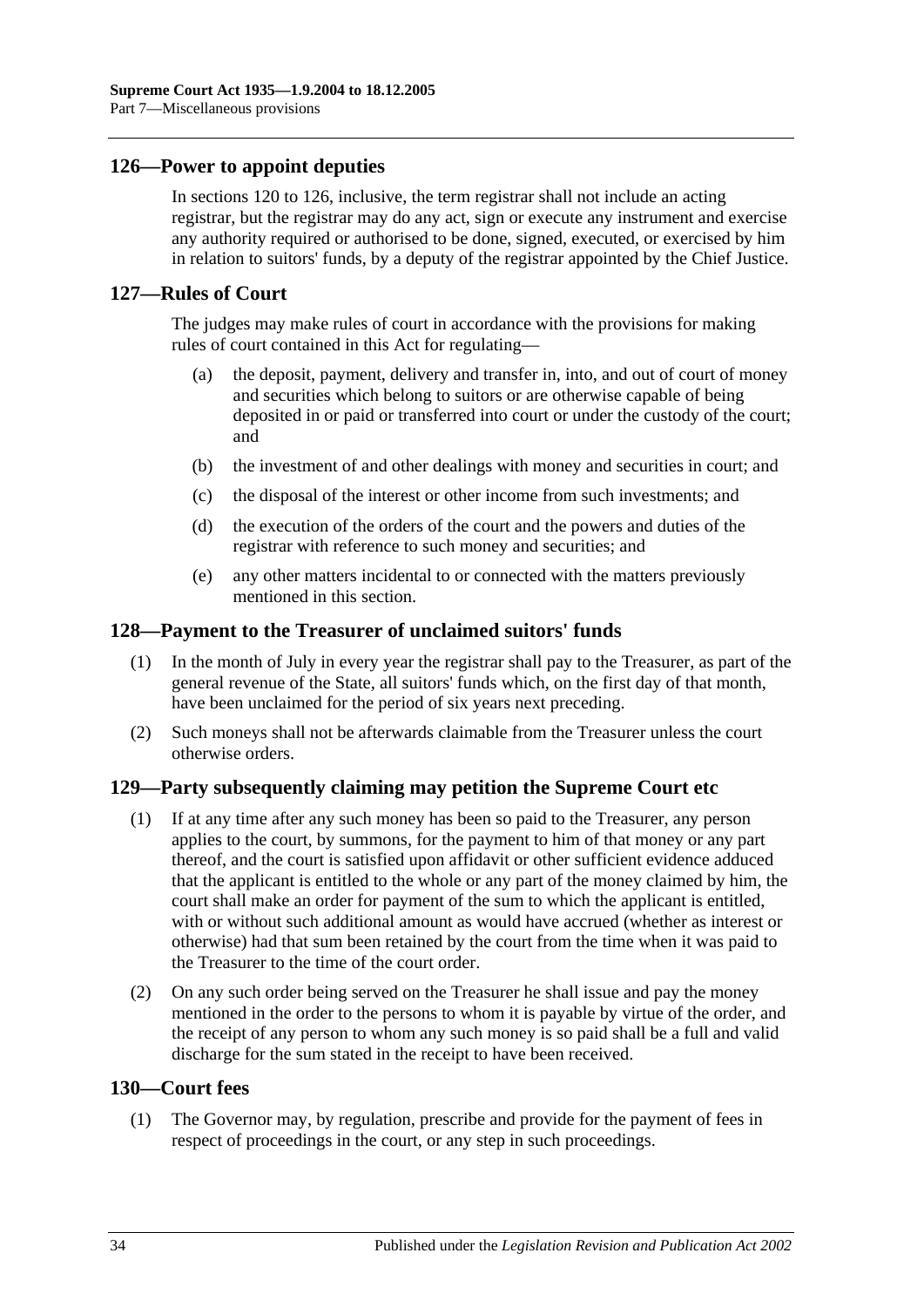### <span id="page-33-0"></span>**126—Power to appoint deputies**

In [sections](#page-32-0) 120 to 126, inclusive, the term registrar shall not include an acting registrar, but the registrar may do any act, sign or execute any instrument and exercise any authority required or authorised to be done, signed, executed, or exercised by him in relation to suitors' funds, by a deputy of the registrar appointed by the Chief Justice.

#### <span id="page-33-1"></span>**127—Rules of Court**

The judges may make rules of court in accordance with the provisions for making rules of court contained in this Act for regulating—

- (a) the deposit, payment, delivery and transfer in, into, and out of court of money and securities which belong to suitors or are otherwise capable of being deposited in or paid or transferred into court or under the custody of the court; and
- (b) the investment of and other dealings with money and securities in court; and
- (c) the disposal of the interest or other income from such investments; and
- (d) the execution of the orders of the court and the powers and duties of the registrar with reference to such money and securities; and
- (e) any other matters incidental to or connected with the matters previously mentioned in this section.

#### <span id="page-33-2"></span>**128—Payment to the Treasurer of unclaimed suitors' funds**

- (1) In the month of July in every year the registrar shall pay to the Treasurer, as part of the general revenue of the State, all suitors' funds which, on the first day of that month, have been unclaimed for the period of six years next preceding.
- (2) Such moneys shall not be afterwards claimable from the Treasurer unless the court otherwise orders.

#### <span id="page-33-3"></span>**129—Party subsequently claiming may petition the Supreme Court etc**

- (1) If at any time after any such money has been so paid to the Treasurer, any person applies to the court, by summons, for the payment to him of that money or any part thereof, and the court is satisfied upon affidavit or other sufficient evidence adduced that the applicant is entitled to the whole or any part of the money claimed by him, the court shall make an order for payment of the sum to which the applicant is entitled, with or without such additional amount as would have accrued (whether as interest or otherwise) had that sum been retained by the court from the time when it was paid to the Treasurer to the time of the court order.
- (2) On any such order being served on the Treasurer he shall issue and pay the money mentioned in the order to the persons to whom it is payable by virtue of the order, and the receipt of any person to whom any such money is so paid shall be a full and valid discharge for the sum stated in the receipt to have been received.

### <span id="page-33-4"></span>**130—Court fees**

(1) The Governor may, by regulation, prescribe and provide for the payment of fees in respect of proceedings in the court, or any step in such proceedings.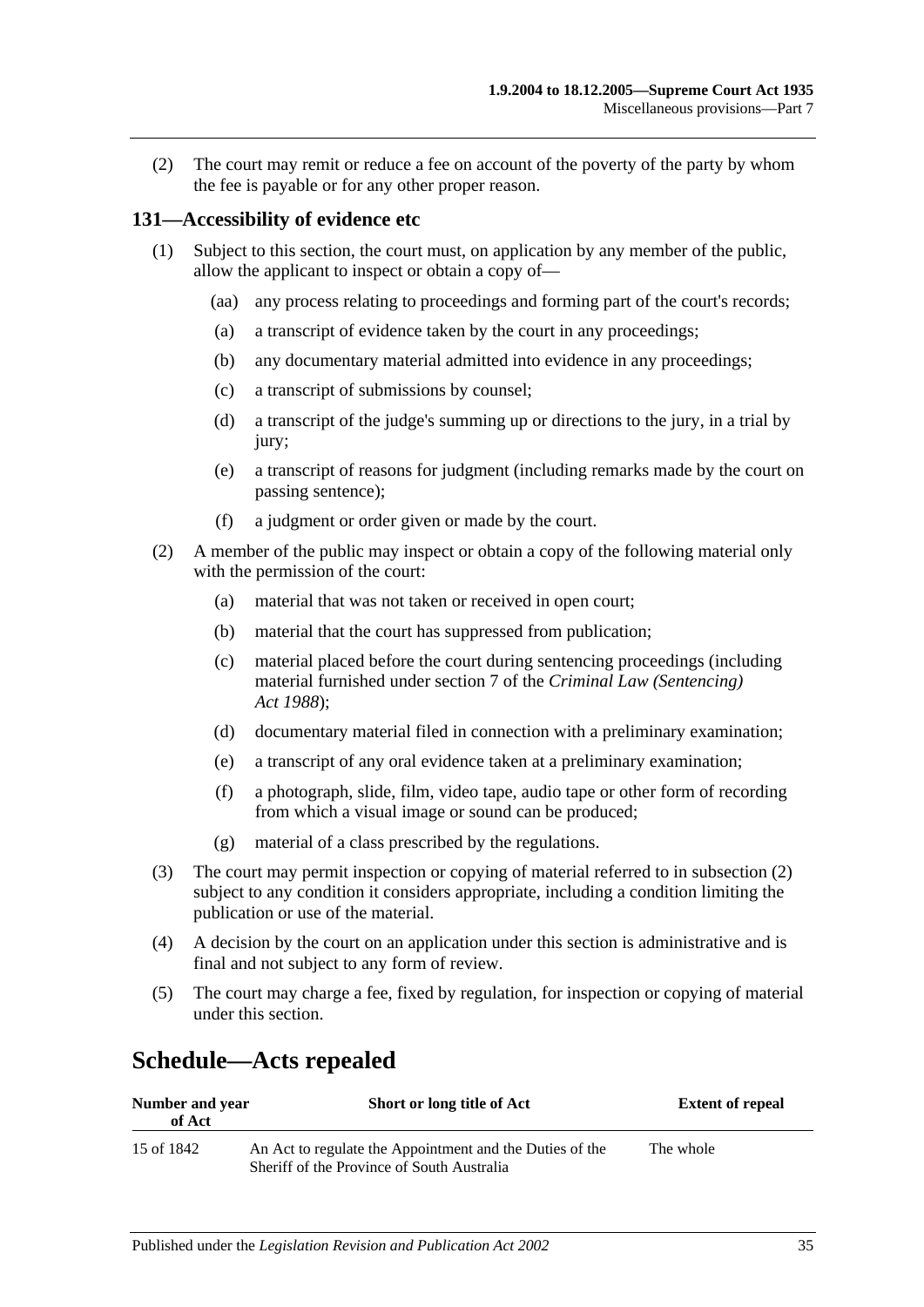(2) The court may remit or reduce a fee on account of the poverty of the party by whom the fee is payable or for any other proper reason.

### <span id="page-34-0"></span>**131—Accessibility of evidence etc**

- (1) Subject to this section, the court must, on application by any member of the public, allow the applicant to inspect or obtain a copy of—
	- (aa) any process relating to proceedings and forming part of the court's records;
	- (a) a transcript of evidence taken by the court in any proceedings;
	- (b) any documentary material admitted into evidence in any proceedings;
	- (c) a transcript of submissions by counsel;
	- (d) a transcript of the judge's summing up or directions to the jury, in a trial by jury;
	- (e) a transcript of reasons for judgment (including remarks made by the court on passing sentence);
	- (f) a judgment or order given or made by the court.
- <span id="page-34-2"></span>(2) A member of the public may inspect or obtain a copy of the following material only with the permission of the court:
	- (a) material that was not taken or received in open court;
	- (b) material that the court has suppressed from publication;
	- (c) material placed before the court during sentencing proceedings (including material furnished under section 7 of the *[Criminal Law \(Sentencing\)](http://www.legislation.sa.gov.au/index.aspx?action=legref&type=act&legtitle=Criminal%20Law%20(Sentencing)%20Act%201988)  Act [1988](http://www.legislation.sa.gov.au/index.aspx?action=legref&type=act&legtitle=Criminal%20Law%20(Sentencing)%20Act%201988)*);
	- (d) documentary material filed in connection with a preliminary examination;
	- (e) a transcript of any oral evidence taken at a preliminary examination;
	- (f) a photograph, slide, film, video tape, audio tape or other form of recording from which a visual image or sound can be produced;
	- (g) material of a class prescribed by the regulations.
- (3) The court may permit inspection or copying of material referred to in [subsection](#page-34-2) (2) subject to any condition it considers appropriate, including a condition limiting the publication or use of the material.
- (4) A decision by the court on an application under this section is administrative and is final and not subject to any form of review.
- (5) The court may charge a fee, fixed by regulation, for inspection or copying of material under this section.

## <span id="page-34-1"></span>**Schedule—Acts repealed**

| Number and year | Short or long title of Act                                                                             | <b>Extent of repeal</b> |
|-----------------|--------------------------------------------------------------------------------------------------------|-------------------------|
| of Act          |                                                                                                        |                         |
| 15 of 1842      | An Act to regulate the Appointment and the Duties of the<br>Sheriff of the Province of South Australia | The whole               |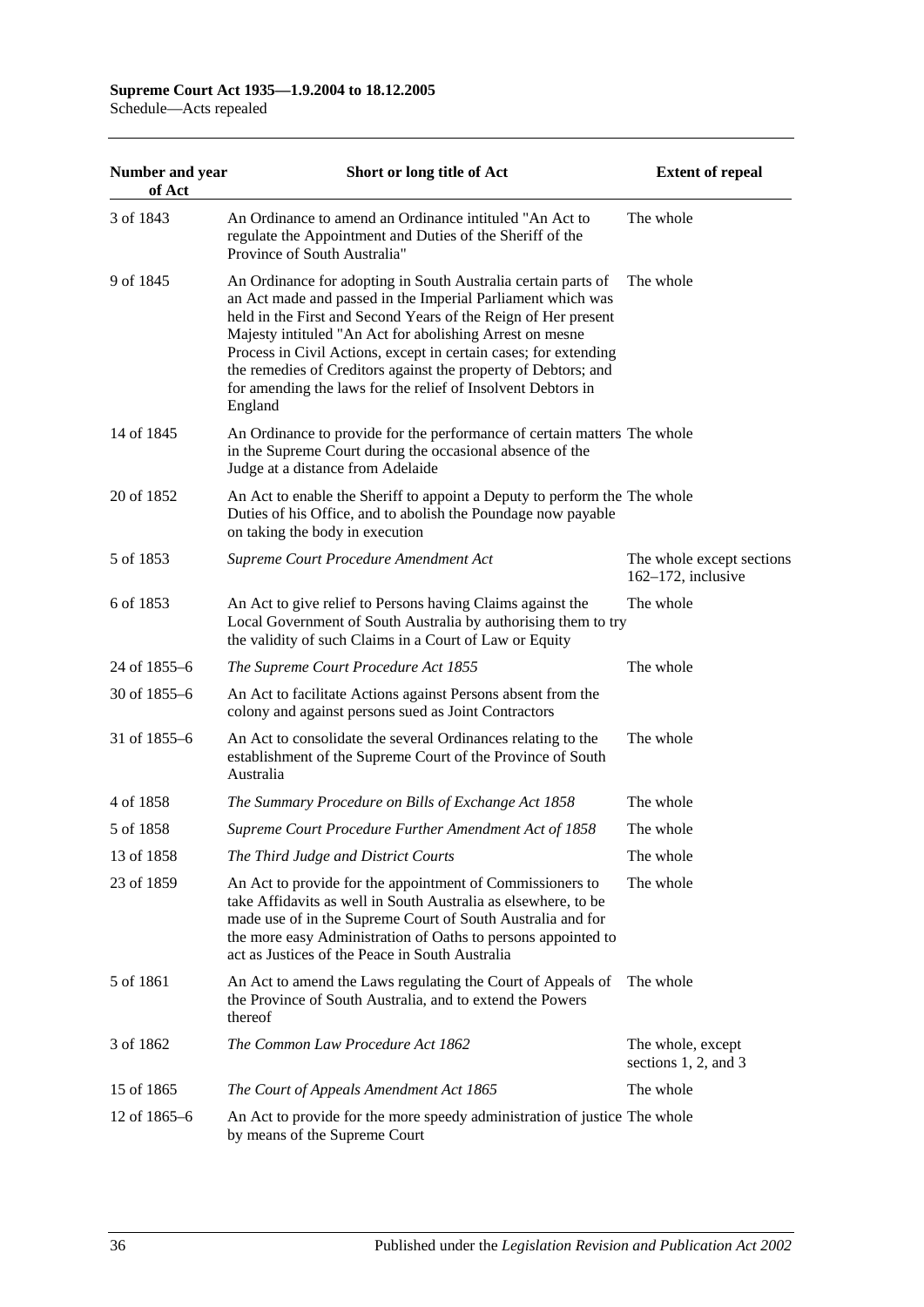| Number and year<br>of Act | Short or long title of Act                                                                                                                                                                                                                                                                                                                                                                                                                                                  | <b>Extent of repeal</b>                            |
|---------------------------|-----------------------------------------------------------------------------------------------------------------------------------------------------------------------------------------------------------------------------------------------------------------------------------------------------------------------------------------------------------------------------------------------------------------------------------------------------------------------------|----------------------------------------------------|
| 3 of 1843                 | An Ordinance to amend an Ordinance intituled "An Act to<br>regulate the Appointment and Duties of the Sheriff of the<br>Province of South Australia"                                                                                                                                                                                                                                                                                                                        | The whole                                          |
| 9 of 1845                 | An Ordinance for adopting in South Australia certain parts of<br>an Act made and passed in the Imperial Parliament which was<br>held in the First and Second Years of the Reign of Her present<br>Majesty intituled "An Act for abolishing Arrest on mesne<br>Process in Civil Actions, except in certain cases; for extending<br>the remedies of Creditors against the property of Debtors; and<br>for amending the laws for the relief of Insolvent Debtors in<br>England | The whole                                          |
| 14 of 1845                | An Ordinance to provide for the performance of certain matters The whole<br>in the Supreme Court during the occasional absence of the<br>Judge at a distance from Adelaide                                                                                                                                                                                                                                                                                                  |                                                    |
| 20 of 1852                | An Act to enable the Sheriff to appoint a Deputy to perform the The whole<br>Duties of his Office, and to abolish the Poundage now payable<br>on taking the body in execution                                                                                                                                                                                                                                                                                               |                                                    |
| 5 of 1853                 | Supreme Court Procedure Amendment Act                                                                                                                                                                                                                                                                                                                                                                                                                                       | The whole except sections<br>$162-172$ , inclusive |
| 6 of 1853                 | An Act to give relief to Persons having Claims against the<br>Local Government of South Australia by authorising them to try<br>the validity of such Claims in a Court of Law or Equity                                                                                                                                                                                                                                                                                     | The whole                                          |
| 24 of 1855-6              | The Supreme Court Procedure Act 1855                                                                                                                                                                                                                                                                                                                                                                                                                                        | The whole                                          |
| 30 of 1855-6              | An Act to facilitate Actions against Persons absent from the<br>colony and against persons sued as Joint Contractors                                                                                                                                                                                                                                                                                                                                                        |                                                    |
| 31 of 1855-6              | An Act to consolidate the several Ordinances relating to the<br>establishment of the Supreme Court of the Province of South<br>Australia                                                                                                                                                                                                                                                                                                                                    | The whole                                          |
| 4 of 1858                 | The Summary Procedure on Bills of Exchange Act 1858                                                                                                                                                                                                                                                                                                                                                                                                                         | The whole                                          |
| 5 of 1858                 | Supreme Court Procedure Further Amendment Act of 1858                                                                                                                                                                                                                                                                                                                                                                                                                       | The whole                                          |
| 13 of 1858                | The Third Judge and District Courts                                                                                                                                                                                                                                                                                                                                                                                                                                         | The whole                                          |
| 23 of 1859                | An Act to provide for the appointment of Commissioners to<br>take Affidavits as well in South Australia as elsewhere, to be<br>made use of in the Supreme Court of South Australia and for<br>the more easy Administration of Oaths to persons appointed to<br>act as Justices of the Peace in South Australia                                                                                                                                                              | The whole                                          |
| 5 of 1861                 | An Act to amend the Laws regulating the Court of Appeals of<br>the Province of South Australia, and to extend the Powers<br>thereof                                                                                                                                                                                                                                                                                                                                         | The whole                                          |
| 3 of 1862                 | The Common Law Procedure Act 1862                                                                                                                                                                                                                                                                                                                                                                                                                                           | The whole, except<br>sections 1, 2, and 3          |
| 15 of 1865                | The Court of Appeals Amendment Act 1865                                                                                                                                                                                                                                                                                                                                                                                                                                     | The whole                                          |
| 12 of 1865–6              | An Act to provide for the more speedy administration of justice The whole<br>by means of the Supreme Court                                                                                                                                                                                                                                                                                                                                                                  |                                                    |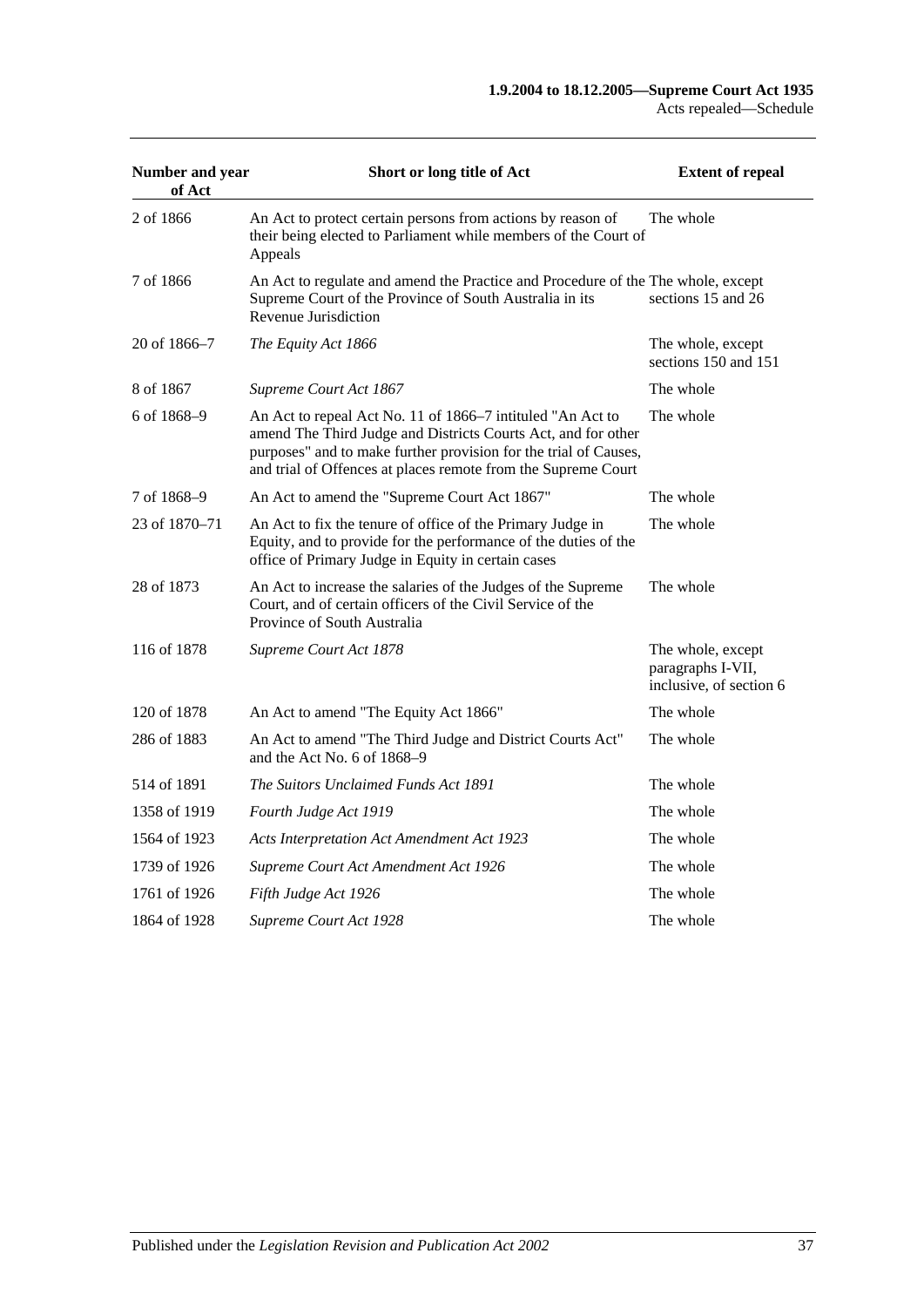| Number and year<br>of Act | Short or long title of Act                                                                                                                                                                                                                                       | <b>Extent of repeal</b>                                           |  |
|---------------------------|------------------------------------------------------------------------------------------------------------------------------------------------------------------------------------------------------------------------------------------------------------------|-------------------------------------------------------------------|--|
| 2 of 1866                 | An Act to protect certain persons from actions by reason of<br>their being elected to Parliament while members of the Court of<br>Appeals                                                                                                                        | The whole                                                         |  |
| 7 of 1866                 | An Act to regulate and amend the Practice and Procedure of the The whole, except<br>Supreme Court of the Province of South Australia in its<br>Revenue Jurisdiction                                                                                              | sections 15 and 26                                                |  |
| 20 of 1866-7              | The Equity Act 1866                                                                                                                                                                                                                                              | The whole, except<br>sections 150 and 151                         |  |
| 8 of 1867                 | Supreme Court Act 1867                                                                                                                                                                                                                                           | The whole                                                         |  |
| 6 of 1868–9               | An Act to repeal Act No. 11 of 1866–7 intituled "An Act to<br>amend The Third Judge and Districts Courts Act, and for other<br>purposes" and to make further provision for the trial of Causes,<br>and trial of Offences at places remote from the Supreme Court | The whole                                                         |  |
| 7 of 1868-9               | An Act to amend the "Supreme Court Act 1867"                                                                                                                                                                                                                     | The whole                                                         |  |
| 23 of 1870–71             | An Act to fix the tenure of office of the Primary Judge in<br>Equity, and to provide for the performance of the duties of the<br>office of Primary Judge in Equity in certain cases                                                                              | The whole                                                         |  |
| 28 of 1873                | An Act to increase the salaries of the Judges of the Supreme<br>Court, and of certain officers of the Civil Service of the<br>Province of South Australia                                                                                                        | The whole                                                         |  |
| 116 of 1878               | Supreme Court Act 1878                                                                                                                                                                                                                                           | The whole, except<br>paragraphs I-VII,<br>inclusive, of section 6 |  |
| 120 of 1878               | An Act to amend "The Equity Act 1866"                                                                                                                                                                                                                            | The whole                                                         |  |
| 286 of 1883               | An Act to amend "The Third Judge and District Courts Act"<br>and the Act No. 6 of 1868–9                                                                                                                                                                         | The whole                                                         |  |
| 514 of 1891               | The Suitors Unclaimed Funds Act 1891                                                                                                                                                                                                                             | The whole                                                         |  |
| 1358 of 1919              | Fourth Judge Act 1919                                                                                                                                                                                                                                            | The whole                                                         |  |
| 1564 of 1923              | <b>Acts Interpretation Act Amendment Act 1923</b>                                                                                                                                                                                                                | The whole                                                         |  |
| 1739 of 1926              | Supreme Court Act Amendment Act 1926                                                                                                                                                                                                                             | The whole                                                         |  |
| 1761 of 1926              | Fifth Judge Act 1926                                                                                                                                                                                                                                             | The whole                                                         |  |
| 1864 of 1928              | Supreme Court Act 1928                                                                                                                                                                                                                                           | The whole                                                         |  |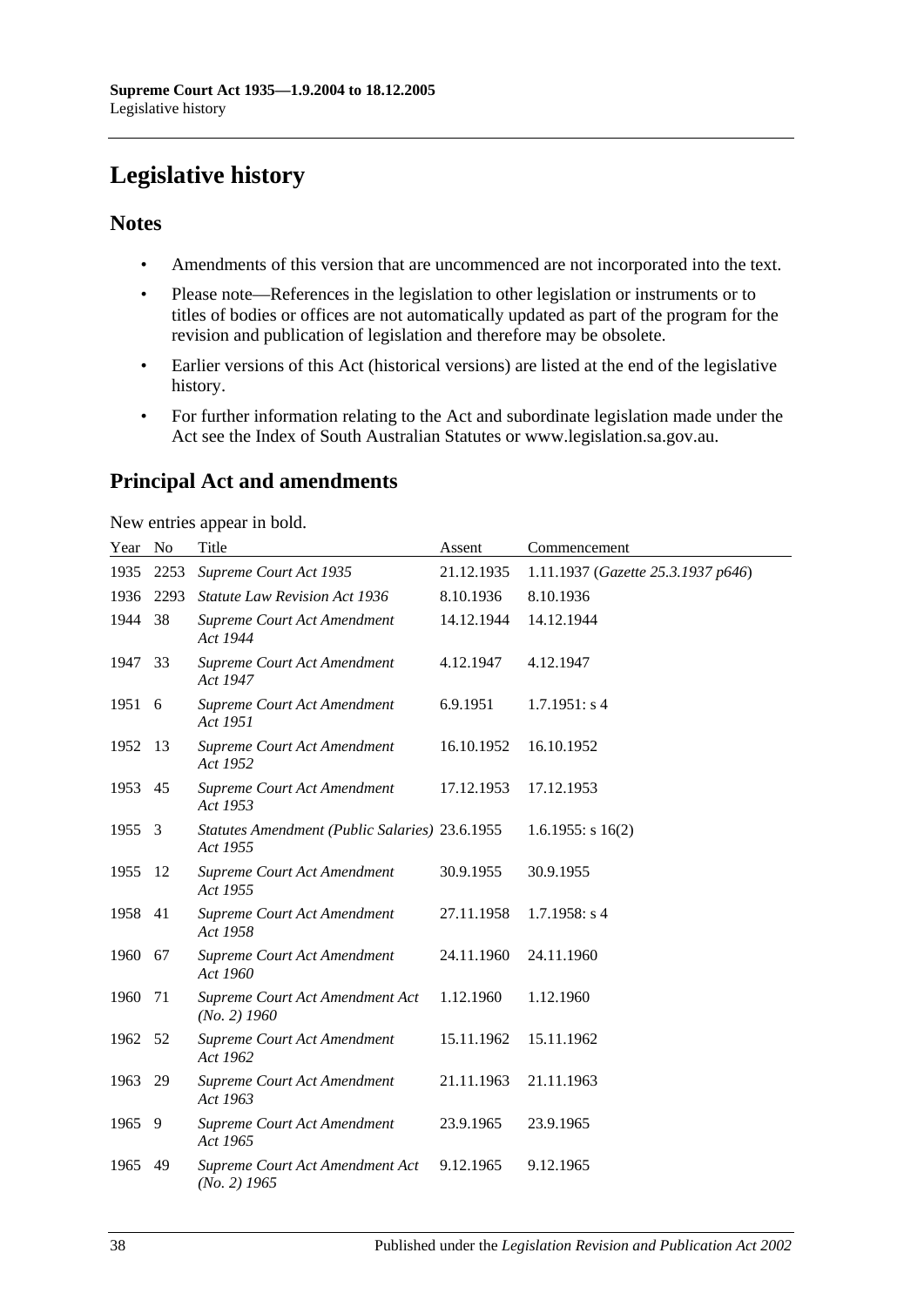# <span id="page-37-0"></span>**Legislative history**

## **Notes**

- Amendments of this version that are uncommenced are not incorporated into the text.
- Please note—References in the legislation to other legislation or instruments or to titles of bodies or offices are not automatically updated as part of the program for the revision and publication of legislation and therefore may be obsolete.
- Earlier versions of this Act (historical versions) are listed at the end of the legislative history.
- For further information relating to the Act and subordinate legislation made under the Act see the Index of South Australian Statutes or www.legislation.sa.gov.au.

## **Principal Act and amendments**

New entries appear in bold.

| Year No |      | Title                                                      | Assent     | Commencement                       |
|---------|------|------------------------------------------------------------|------------|------------------------------------|
| 1935    | 2253 | Supreme Court Act 1935                                     | 21.12.1935 | 1.11.1937 (Gazette 25.3.1937 p646) |
| 1936    | 2293 | <b>Statute Law Revision Act 1936</b>                       | 8.10.1936  | 8.10.1936                          |
| 1944    | 38   | Supreme Court Act Amendment<br>Act 1944                    | 14.12.1944 | 14.12.1944                         |
| 1947    | 33   | Supreme Court Act Amendment<br>Act 1947                    | 4.12.1947  | 4.12.1947                          |
| 1951 6  |      | Supreme Court Act Amendment<br>Act 1951                    | 6.9.1951   | 1.7.1951: s4                       |
| 1952    | 13   | Supreme Court Act Amendment<br>Act 1952                    | 16.10.1952 | 16.10.1952                         |
| 1953    | 45   | Supreme Court Act Amendment<br>Act 1953                    | 17.12.1953 | 17.12.1953                         |
| 1955    | 3    | Statutes Amendment (Public Salaries) 23.6.1955<br>Act 1955 |            | $1.6.1955$ : s $16(2)$             |
| 1955    | 12   | Supreme Court Act Amendment<br>Act 1955                    | 30.9.1955  | 30.9.1955                          |
| 1958    | 41   | Supreme Court Act Amendment<br>Act 1958                    | 27.11.1958 | $1.7.1958$ : s 4                   |
| 1960    | 67   | Supreme Court Act Amendment<br>Act 1960                    | 24.11.1960 | 24.11.1960                         |
| 1960    | 71   | Supreme Court Act Amendment Act<br>$(No. 2)$ 1960          | 1.12.1960  | 1.12.1960                          |
| 1962    | 52   | Supreme Court Act Amendment<br>Act 1962                    | 15.11.1962 | 15.11.1962                         |
| 1963    | 29   | Supreme Court Act Amendment<br>Act 1963                    | 21.11.1963 | 21.11.1963                         |
| 1965    | 9    | Supreme Court Act Amendment<br>Act 1965                    | 23.9.1965  | 23.9.1965                          |
| 1965    | 49   | Supreme Court Act Amendment Act<br>$(No. 2)$ 1965          | 9.12.1965  | 9.12.1965                          |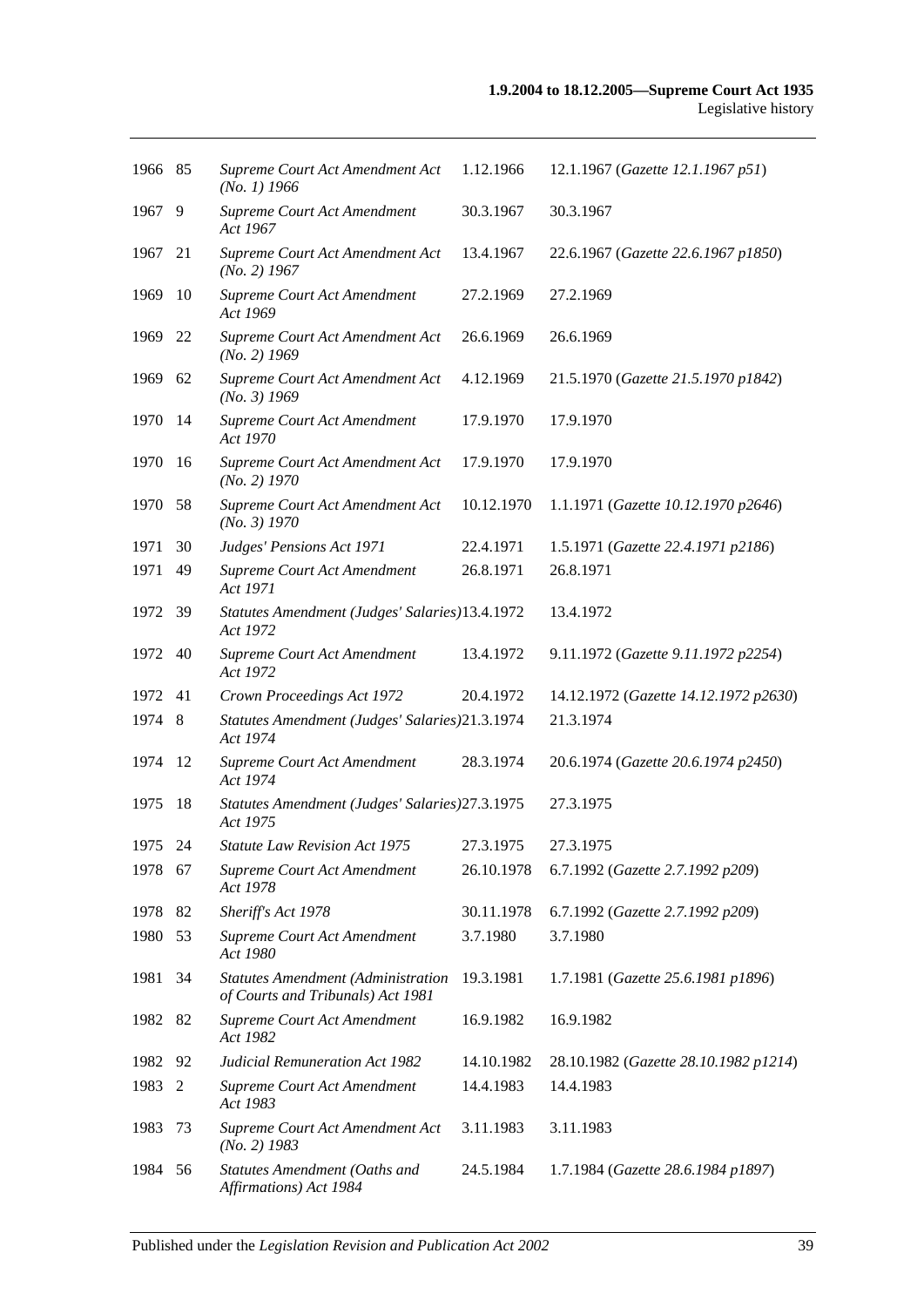| 1966 85 |     | Supreme Court Act Amendment Act<br>$(No. 1)$ 1966                              | 1.12.1966  | 12.1.1967 (Gazette 12.1.1967 p51)     |
|---------|-----|--------------------------------------------------------------------------------|------------|---------------------------------------|
| 1967    | 9   | Supreme Court Act Amendment<br>Act 1967                                        | 30.3.1967  | 30.3.1967                             |
| 1967    | 21  | Supreme Court Act Amendment Act<br>$(No. 2)$ 1967                              | 13.4.1967  | 22.6.1967 (Gazette 22.6.1967 p1850)   |
| 1969    | 10  | Supreme Court Act Amendment<br>Act 1969                                        | 27.2.1969  | 27.2.1969                             |
| 1969    | 22  | Supreme Court Act Amendment Act<br>$(No. 2)$ 1969                              | 26.6.1969  | 26.6.1969                             |
| 1969    | 62  | Supreme Court Act Amendment Act<br>$(No. 3)$ 1969                              | 4.12.1969  | 21.5.1970 (Gazette 21.5.1970 p1842)   |
| 1970    | 14  | Supreme Court Act Amendment<br>Act 1970                                        | 17.9.1970  | 17.9.1970                             |
| 1970    | -16 | Supreme Court Act Amendment Act<br>$(No. 2)$ 1970                              | 17.9.1970  | 17.9.1970                             |
| 1970    | 58  | Supreme Court Act Amendment Act<br>(No. 3) 1970                                | 10.12.1970 | 1.1.1971 (Gazette 10.12.1970 p2646)   |
| 1971    | 30  | Judges' Pensions Act 1971                                                      | 22.4.1971  | 1.5.1971 (Gazette 22.4.1971 p2186)    |
| 1971    | 49  | Supreme Court Act Amendment<br>Act 1971                                        | 26.8.1971  | 26.8.1971                             |
| 1972    | 39  | Statutes Amendment (Judges' Salaries)13.4.1972<br>Act 1972                     |            | 13.4.1972                             |
| 1972    | 40  | Supreme Court Act Amendment<br>Act 1972                                        | 13.4.1972  | 9.11.1972 (Gazette 9.11.1972 p2254)   |
| 1972    | 41  | Crown Proceedings Act 1972                                                     | 20.4.1972  | 14.12.1972 (Gazette 14.12.1972 p2630) |
|         |     | Statutes Amendment (Judges' Salaries)21.3.1974                                 |            | 21.3.1974                             |
| 1974    | 8   | Act 1974                                                                       |            |                                       |
| 1974    | 12  | Supreme Court Act Amendment<br>Act 1974                                        | 28.3.1974  | 20.6.1974 (Gazette 20.6.1974 p2450)   |
| 1975    | 18  | Statutes Amendment (Judges' Salaries) 27.3.1975<br>Act 1975                    |            | 27.3.1975                             |
| 1975 24 |     | <b>Statute Law Revision Act 1975</b>                                           | 27.3.1975  | 27.3.1975                             |
| 1978 67 |     | Supreme Court Act Amendment<br>Act 1978                                        | 26.10.1978 | 6.7.1992 (Gazette 2.7.1992 p209)      |
| 1978    | 82  | Sheriff's Act 1978                                                             | 30.11.1978 | 6.7.1992 (Gazette 2.7.1992 p209)      |
| 1980    | 53  | Supreme Court Act Amendment<br>Act 1980                                        | 3.7.1980   | 3.7.1980                              |
| 1981    | 34  | <b>Statutes Amendment (Administration</b><br>of Courts and Tribunals) Act 1981 | 19.3.1981  | 1.7.1981 (Gazette 25.6.1981 p1896)    |
| 1982    | 82  | Supreme Court Act Amendment<br>Act 1982                                        | 16.9.1982  | 16.9.1982                             |
| 1982    | 92  | <b>Judicial Remuneration Act 1982</b>                                          | 14.10.1982 | 28.10.1982 (Gazette 28.10.1982 p1214) |
| 1983    | 2   | Supreme Court Act Amendment<br>Act 1983                                        | 14.4.1983  | 14.4.1983                             |
| 1983    | 73  | Supreme Court Act Amendment Act<br>$(No. 2)$ 1983                              | 3.11.1983  | 3.11.1983                             |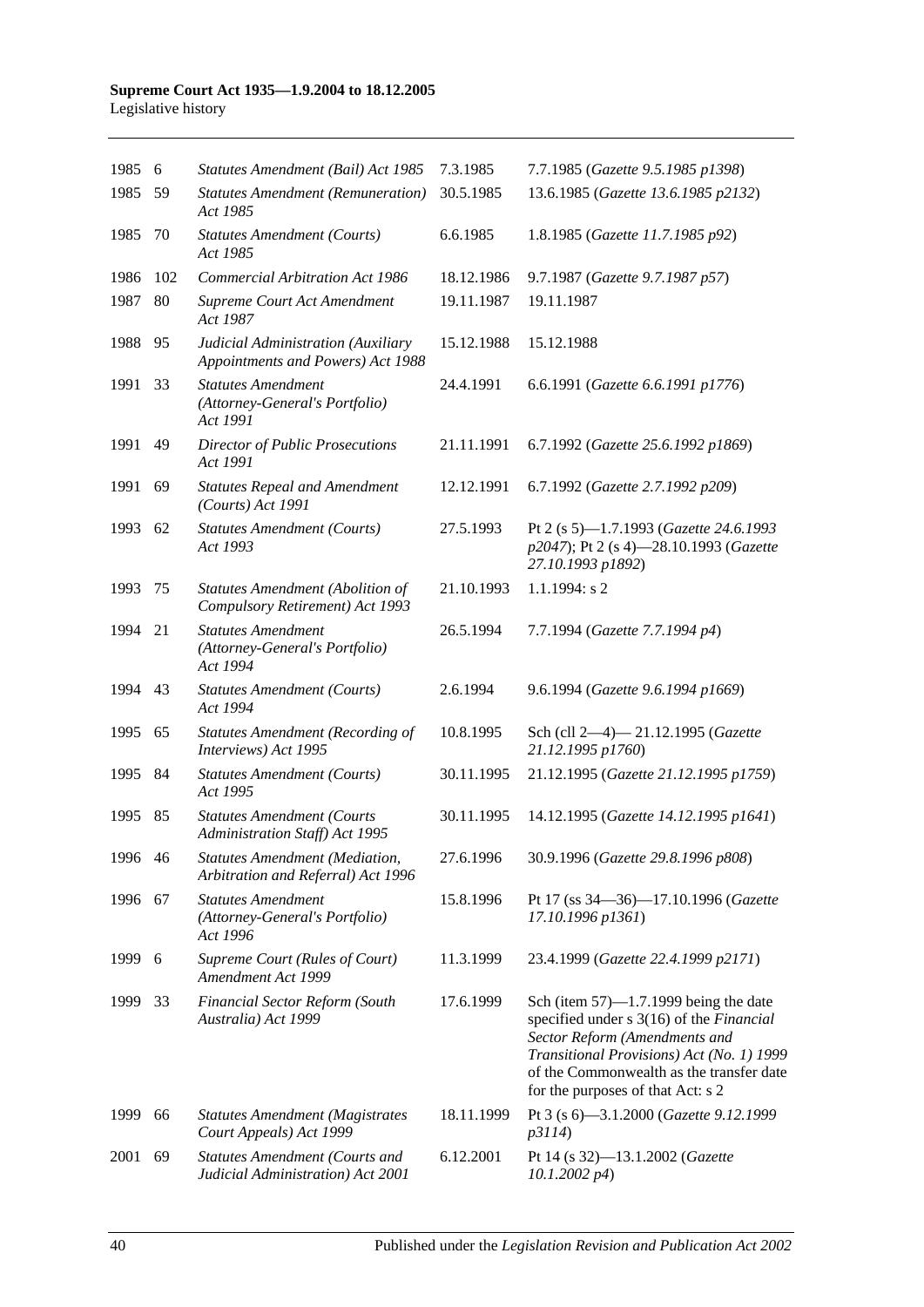#### **Supreme Court Act 1935—1.9.2004 to 18.12.2005** Legislative history

| 1985 6  |     | Statutes Amendment (Bail) Act 1985                                         | 7.3.1985   | 7.7.1985 (Gazette 9.5.1985 p1398)                                                                                                                                                                                                                   |
|---------|-----|----------------------------------------------------------------------------|------------|-----------------------------------------------------------------------------------------------------------------------------------------------------------------------------------------------------------------------------------------------------|
| 1985    | 59  | <b>Statutes Amendment (Remuneration)</b><br>Act 1985                       | 30.5.1985  | 13.6.1985 (Gazette 13.6.1985 p2132)                                                                                                                                                                                                                 |
| 1985    | 70  | <b>Statutes Amendment (Courts)</b><br>Act 1985                             | 6.6.1985   | 1.8.1985 (Gazette 11.7.1985 p92)                                                                                                                                                                                                                    |
| 1986    | 102 | <b>Commercial Arbitration Act 1986</b>                                     | 18.12.1986 | 9.7.1987 (Gazette 9.7.1987 p57)                                                                                                                                                                                                                     |
| 1987    | 80  | Supreme Court Act Amendment<br>Act 1987                                    | 19.11.1987 | 19.11.1987                                                                                                                                                                                                                                          |
| 1988    | 95  | Judicial Administration (Auxiliary<br>Appointments and Powers) Act 1988    | 15.12.1988 | 15.12.1988                                                                                                                                                                                                                                          |
| 1991    | 33  | <b>Statutes Amendment</b><br>(Attorney-General's Portfolio)<br>Act 1991    | 24.4.1991  | 6.6.1991 (Gazette 6.6.1991 p1776)                                                                                                                                                                                                                   |
| 1991    | 49  | <b>Director of Public Prosecutions</b><br>Act 1991                         | 21.11.1991 | 6.7.1992 (Gazette 25.6.1992 p1869)                                                                                                                                                                                                                  |
| 1991    | 69  | <b>Statutes Repeal and Amendment</b><br>(Courts) Act 1991                  | 12.12.1991 | 6.7.1992 (Gazette 2.7.1992 p209)                                                                                                                                                                                                                    |
| 1993    | 62  | <b>Statutes Amendment (Courts)</b><br>Act 1993                             | 27.5.1993  | Pt 2 (s 5)-1.7.1993 (Gazette 24.6.1993<br>p2047); Pt 2 (s 4)-28.10.1993 (Gazette<br>27.10.1993 p1892)                                                                                                                                               |
| 1993    | 75  | Statutes Amendment (Abolition of<br>Compulsory Retirement) Act 1993        | 21.10.1993 | $1.1.1994$ : s 2                                                                                                                                                                                                                                    |
| 1994    | 21  | <b>Statutes Amendment</b><br>(Attorney-General's Portfolio)<br>Act 1994    | 26.5.1994  | 7.7.1994 (Gazette 7.7.1994 p4)                                                                                                                                                                                                                      |
| 1994    | 43  | <b>Statutes Amendment (Courts)</b><br>Act 1994                             | 2.6.1994   | 9.6.1994 (Gazette 9.6.1994 p1669)                                                                                                                                                                                                                   |
| 1995    | 65  | <b>Statutes Amendment (Recording of</b><br>Interviews) Act 1995            | 10.8.1995  | Sch (cll 2-4)-21.12.1995 (Gazette<br>21.12.1995 p1760)                                                                                                                                                                                              |
| 1995    | -84 | <b>Statutes Amendment (Courts)</b><br>Act 1995                             | 30.11.1995 | 21.12.1995 (Gazette 21.12.1995 p1759)                                                                                                                                                                                                               |
| 1995    | 85  | <b>Statutes Amendment (Courts</b><br>Administration Staff) Act 1995        | 30.11.1995 | 14.12.1995 (Gazette 14.12.1995 p1641)                                                                                                                                                                                                               |
| 1996 46 |     | Statutes Amendment (Mediation,<br>Arbitration and Referral) Act 1996       | 27.6.1996  | 30.9.1996 (Gazette 29.8.1996 p808)                                                                                                                                                                                                                  |
| 1996    | 67  | <b>Statutes Amendment</b><br>(Attorney-General's Portfolio)<br>Act 1996    | 15.8.1996  | Pt 17 (ss 34-36)-17.10.1996 (Gazette<br>17.10.1996 p1361)                                                                                                                                                                                           |
| 1999 6  |     | Supreme Court (Rules of Court)<br>Amendment Act 1999                       | 11.3.1999  | 23.4.1999 (Gazette 22.4.1999 p2171)                                                                                                                                                                                                                 |
| 1999    | 33  | <b>Financial Sector Reform (South</b><br>Australia) Act 1999               | 17.6.1999  | Sch (item $57$ )—1.7.1999 being the date<br>specified under s 3(16) of the Financial<br>Sector Reform (Amendments and<br>Transitional Provisions) Act (No. 1) 1999<br>of the Commonwealth as the transfer date<br>for the purposes of that Act: s 2 |
| 1999    | 66  | <b>Statutes Amendment (Magistrates</b><br>Court Appeals) Act 1999          | 18.11.1999 | Pt 3 (s 6)-3.1.2000 (Gazette 9.12.1999<br>p3114)                                                                                                                                                                                                    |
| 2001    | 69  | <b>Statutes Amendment (Courts and</b><br>Judicial Administration) Act 2001 | 6.12.2001  | Pt 14 (s 32)-13.1.2002 (Gazette<br>$10.1.2002\ p4)$                                                                                                                                                                                                 |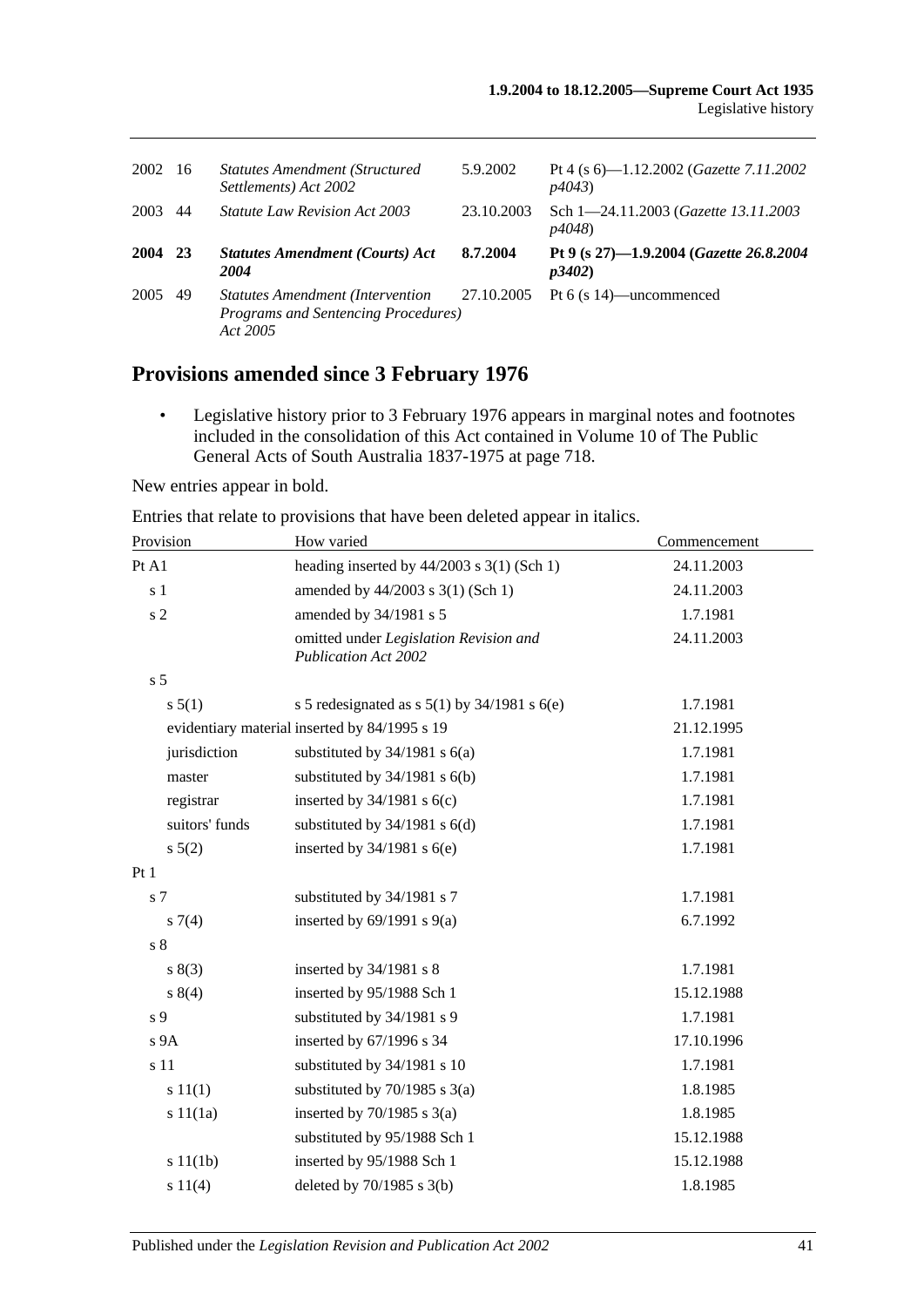| 2002    | -16 | <b>Statutes Amendment (Structured)</b><br>Settlements) Act 2002 | 5.9.2002   | Pt 4 (s 6)—1.12.2002 ( <i>Gazette 7.11.2002</i><br>p4043       |
|---------|-----|-----------------------------------------------------------------|------------|----------------------------------------------------------------|
| 2003    | 44  | <i>Statute Law Revision Act 2003</i>                            | 23.10.2003 | Sch 1-24.11.2003 ( <i>Gazette 13.11.2003</i><br><i>p4048</i> ) |
| 2004 23 |     | <b>Statutes Amendment (Courts) Act</b><br>2004                  | 8.7.2004   | Pt 9 (s 27)-1.9.2004 (Gazette 26.8.2004<br>p3402               |
|         |     |                                                                 |            |                                                                |

## **Provisions amended since 3 February 1976**

• Legislative history prior to 3 February 1976 appears in marginal notes and footnotes included in the consolidation of this Act contained in Volume 10 of The Public General Acts of South Australia 1837-1975 at page 718.

New entries appear in bold.

Entries that relate to provisions that have been deleted appear in italics.

| Provision      | How varied                                                            | Commencement |
|----------------|-----------------------------------------------------------------------|--------------|
| Pt A1          | heading inserted by $44/2003$ s 3(1) (Sch 1)                          | 24.11.2003   |
| s 1            | amended by 44/2003 s 3(1) (Sch 1)                                     | 24.11.2003   |
| $\sqrt{s}$ 2   | amended by 34/1981 s 5                                                | 1.7.1981     |
|                | omitted under Legislation Revision and<br><b>Publication Act 2002</b> | 24.11.2003   |
| s <sub>5</sub> |                                                                       |              |
| s 5(1)         | s 5 redesignated as s $5(1)$ by $34/1981$ s $6(e)$                    | 1.7.1981     |
|                | evidentiary material inserted by 84/1995 s 19                         | 21.12.1995   |
| jurisdiction   | substituted by $34/1981$ s $6(a)$                                     | 1.7.1981     |
| master         | substituted by $34/1981$ s $6(b)$                                     | 1.7.1981     |
| registrar      | inserted by $34/1981$ s $6(c)$                                        | 1.7.1981     |
| suitors' funds | substituted by $34/1981$ s $6(d)$                                     | 1.7.1981     |
| s 5(2)         | inserted by $34/1981$ s $6(e)$                                        | 1.7.1981     |
| Pt1            |                                                                       |              |
| s <sub>7</sub> | substituted by 34/1981 s 7                                            | 1.7.1981     |
| $s \, 7(4)$    | inserted by $69/1991$ s $9(a)$                                        | 6.7.1992     |
| s <sub>8</sub> |                                                                       |              |
| s(3)           | inserted by 34/1981 s 8                                               | 1.7.1981     |
| s 8(4)         | inserted by 95/1988 Sch 1                                             | 15.12.1988   |
| s 9            | substituted by 34/1981 s 9                                            | 1.7.1981     |
| s 9A           | inserted by 67/1996 s 34                                              | 17.10.1996   |
| s 11           | substituted by 34/1981 s 10                                           | 1.7.1981     |
| s 11(1)        | substituted by $70/1985$ s $3(a)$                                     | 1.8.1985     |
| s 11(1a)       | inserted by $70/1985$ s $3(a)$                                        | 1.8.1985     |
|                | substituted by 95/1988 Sch 1                                          | 15.12.1988   |
| s 11(1b)       | inserted by 95/1988 Sch 1                                             | 15.12.1988   |
| s 11(4)        | deleted by 70/1985 s 3(b)                                             | 1.8.1985     |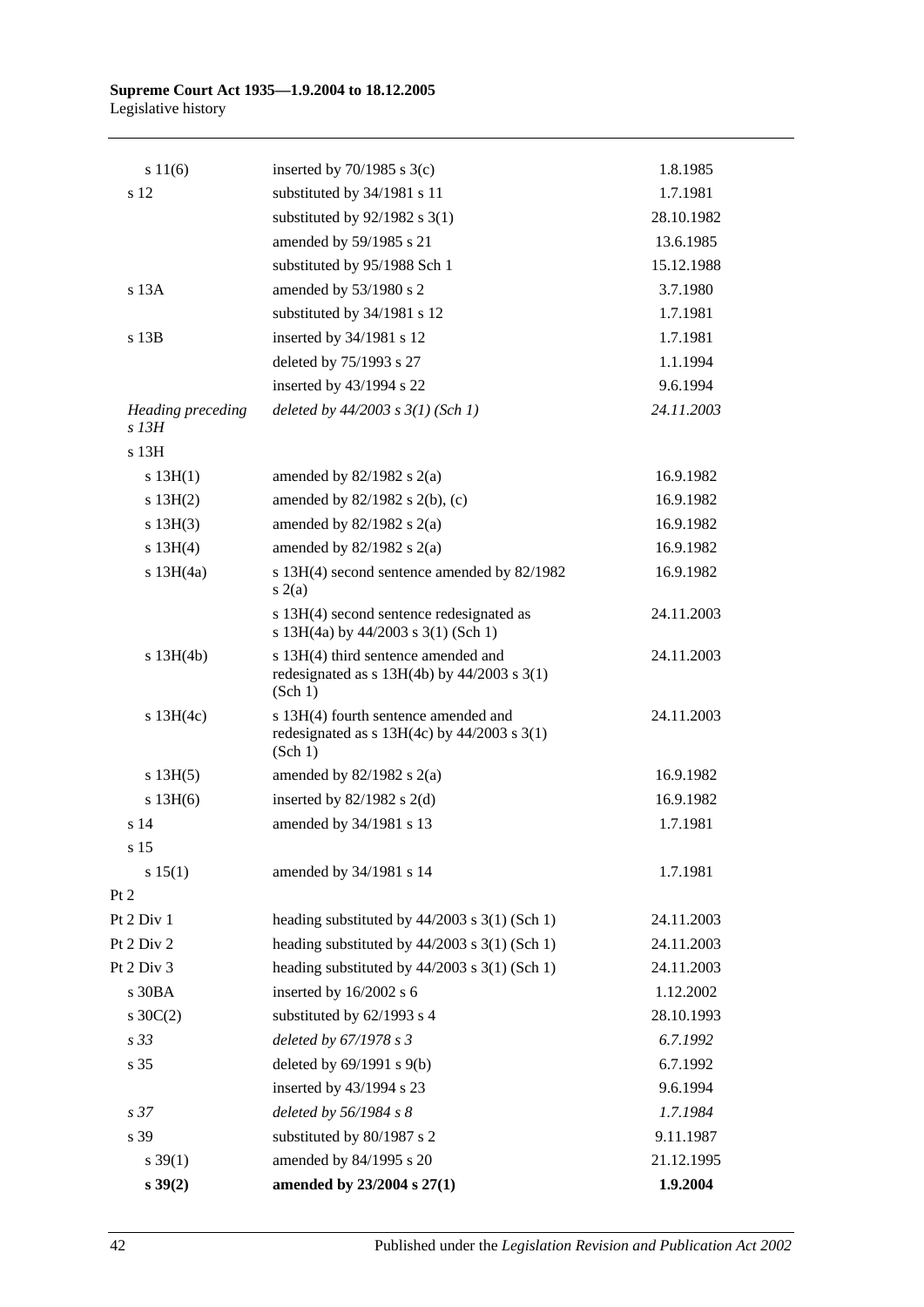#### **Supreme Court Act 1935—1.9.2004 to 18.12.2005** Legislative history

| s 11(6)                             | inserted by $70/1985$ s $3(c)$                                                                     | 1.8.1985   |
|-------------------------------------|----------------------------------------------------------------------------------------------------|------------|
| s 12                                | substituted by 34/1981 s 11                                                                        | 1.7.1981   |
|                                     | substituted by $92/1982$ s 3(1)                                                                    | 28.10.1982 |
|                                     | amended by 59/1985 s 21                                                                            | 13.6.1985  |
|                                     | substituted by 95/1988 Sch 1                                                                       | 15.12.1988 |
| s 13A                               | amended by 53/1980 s 2                                                                             | 3.7.1980   |
|                                     | substituted by 34/1981 s 12                                                                        | 1.7.1981   |
| s 13B                               | inserted by 34/1981 s 12                                                                           | 1.7.1981   |
|                                     | deleted by 75/1993 s 27                                                                            | 1.1.1994   |
|                                     | inserted by 43/1994 s 22                                                                           | 9.6.1994   |
| <b>Heading preceding</b><br>$s$ 13H | deleted by $44/2003$ s $3(1)$ (Sch 1)                                                              | 24.11.2003 |
| s <sub>13H</sub>                    |                                                                                                    |            |
| s 13H(1)                            | amended by $82/1982$ s $2(a)$                                                                      | 16.9.1982  |
| s 13H(2)                            | amended by $82/1982$ s $2(b)$ , (c)                                                                | 16.9.1982  |
| s $13H(3)$                          | amended by $82/1982$ s $2(a)$                                                                      | 16.9.1982  |
| s 13H(4)                            | amended by $82/1982$ s $2(a)$                                                                      | 16.9.1982  |
| $s$ 13H $(4a)$                      | s 13H(4) second sentence amended by 82/1982<br>s(2(a)                                              | 16.9.1982  |
|                                     | s 13H(4) second sentence redesignated as<br>s 13H(4a) by 44/2003 s 3(1) (Sch 1)                    | 24.11.2003 |
| $s$ 13H(4b)                         | s 13H(4) third sentence amended and<br>redesignated as $s$ 13H(4b) by 44/2003 $s$ 3(1)<br>(Sch 1)  | 24.11.2003 |
| $s$ 13H(4c)                         | s 13H(4) fourth sentence amended and<br>redesignated as $s$ 13H(4c) by 44/2003 $s$ 3(1)<br>(Sch 1) | 24.11.2003 |
| s 13H(5)                            | amended by $82/1982$ s $2(a)$                                                                      | 16.9.1982  |
| s 13H(6)                            | inserted by $82/1982$ s $2(d)$                                                                     | 16.9.1982  |
| s 14                                | amended by 34/1981 s 13                                                                            | 1.7.1981   |
| s 15                                |                                                                                                    |            |
| s 15(1)                             | amended by 34/1981 s 14                                                                            | 1.7.1981   |
| Pt 2                                |                                                                                                    |            |
| Pt 2 Div 1                          | heading substituted by $44/2003$ s 3(1) (Sch 1)                                                    | 24.11.2003 |
| Pt 2 Div 2                          | heading substituted by $44/2003$ s 3(1) (Sch 1)                                                    | 24.11.2003 |
| Pt 2 Div 3                          | heading substituted by 44/2003 s 3(1) (Sch 1)                                                      | 24.11.2003 |
| s 30BA                              | inserted by 16/2002 s 6                                                                            | 1.12.2002  |
| $s \, 30C(2)$                       | substituted by 62/1993 s 4                                                                         | 28.10.1993 |
| s 33                                | deleted by 67/1978 s 3                                                                             | 6.7.1992   |
| s 35                                | deleted by $69/1991$ s $9(b)$                                                                      | 6.7.1992   |
|                                     | inserted by 43/1994 s 23                                                                           | 9.6.1994   |
| s <sub>37</sub>                     | deleted by 56/1984 s 8                                                                             | 1.7.1984   |
| s 39                                | substituted by 80/1987 s 2                                                                         | 9.11.1987  |
| $s \, 39(1)$                        | amended by 84/1995 s 20                                                                            | 21.12.1995 |
| $s \, 39(2)$                        | amended by 23/2004 s 27(1)                                                                         | 1.9.2004   |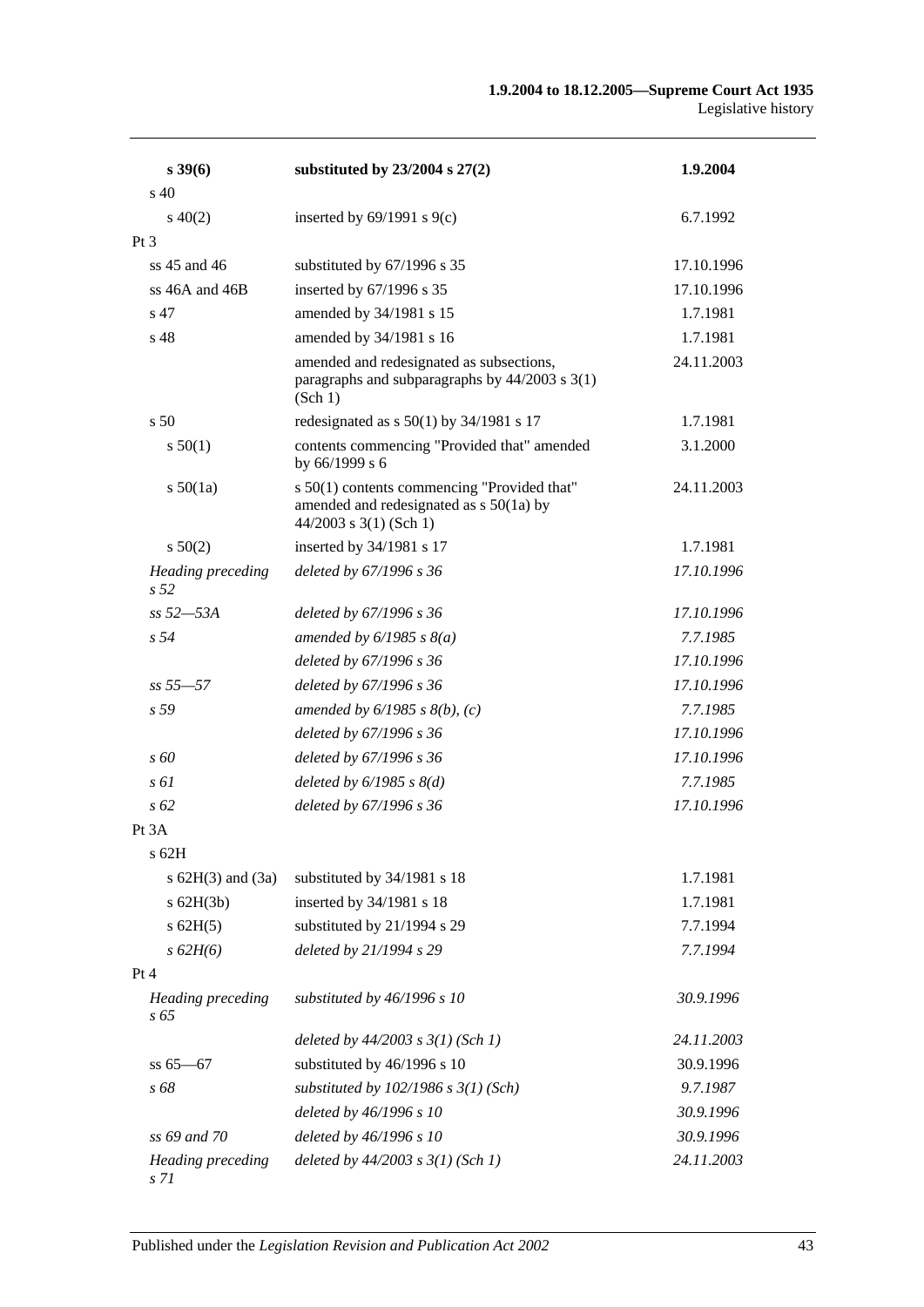| $s\,39(6)$                           | substituted by $23/2004$ s $27(2)$                                                                                 | 1.9.2004   |
|--------------------------------------|--------------------------------------------------------------------------------------------------------------------|------------|
| $s\,40$                              |                                                                                                                    |            |
| $s\ 40(2)$                           | inserted by $69/1991$ s $9(c)$                                                                                     | 6.7.1992   |
| $Pt\,3$                              |                                                                                                                    |            |
| ss $45$ and $46$                     | substituted by 67/1996 s 35                                                                                        | 17.10.1996 |
| ss $46A$ and $46B$                   | inserted by 67/1996 s 35                                                                                           | 17.10.1996 |
| s 47                                 | amended by 34/1981 s 15                                                                                            | 1.7.1981   |
| s 48                                 | amended by 34/1981 s 16                                                                                            | 1.7.1981   |
|                                      | amended and redesignated as subsections,<br>paragraphs and subparagraphs by $44/2003$ s $3(1)$<br>(Sch 1)          | 24.11.2003 |
| s <sub>50</sub>                      | redesignated as $s$ 50(1) by 34/1981 s 17                                                                          | 1.7.1981   |
| s 50(1)                              | contents commencing "Provided that" amended<br>by 66/1999 s 6                                                      | 3.1.2000   |
| s 50(1a)                             | s 50(1) contents commencing "Provided that"<br>amended and redesignated as $s$ 50(1a) by<br>44/2003 s 3(1) (Sch 1) | 24.11.2003 |
| $s\ 50(2)$                           | inserted by 34/1981 s 17                                                                                           | 1.7.1981   |
| Heading preceding<br>s <sub>52</sub> | deleted by 67/1996 s 36                                                                                            | 17.10.1996 |
| $ss 52 - 53A$                        | deleted by 67/1996 s 36                                                                                            | 17.10.1996 |
| s <sub>54</sub>                      | amended by $6/1985$ s $8(a)$                                                                                       | 7.7.1985   |
|                                      | deleted by 67/1996 s 36                                                                                            | 17.10.1996 |
| $ss 55 - 57$                         | deleted by 67/1996 s 36                                                                                            | 17.10.1996 |
| s 59                                 | amended by $6/1985$ s $8(b)$ , (c)                                                                                 | 7.7.1985   |
|                                      | deleted by 67/1996 s 36                                                                                            | 17.10.1996 |
| s 60                                 | deleted by 67/1996 s 36                                                                                            | 17.10.1996 |
| s 61                                 | deleted by $6/1985$ s $8(d)$                                                                                       | 7.7.1985   |
| $s\,62$                              | deleted by 67/1996 s 36                                                                                            | 17.10.1996 |
| Pt 3A                                |                                                                                                                    |            |
| s 62H                                |                                                                                                                    |            |
| s $62H(3)$ and $(3a)$                | substituted by 34/1981 s 18                                                                                        | 1.7.1981   |
| $s$ 62H(3b)                          | inserted by 34/1981 s 18                                                                                           | 1.7.1981   |
| $s$ 62H(5)                           | substituted by 21/1994 s 29                                                                                        | 7.7.1994   |
| s 62H(6)                             | deleted by 21/1994 s 29                                                                                            | 7.7.1994   |
| Pt 4                                 |                                                                                                                    |            |
| <b>Heading preceding</b><br>s 65     | substituted by 46/1996 s 10                                                                                        | 30.9.1996  |
|                                      | deleted by $44/2003$ s $3(1)$ (Sch 1)                                                                              | 24.11.2003 |
| $ss 65 - 67$                         | substituted by 46/1996 s 10                                                                                        | 30.9.1996  |
| s 68                                 | substituted by $102/1986$ s $3(1)$ (Sch)                                                                           | 9.7.1987   |
|                                      | deleted by 46/1996 s 10                                                                                            | 30.9.1996  |
| ss 69 and 70                         | deleted by 46/1996 s 10                                                                                            | 30.9.1996  |
| <b>Heading</b> preceding<br>s 71     | deleted by $44/2003$ s $3(1)$ (Sch 1)                                                                              | 24.11.2003 |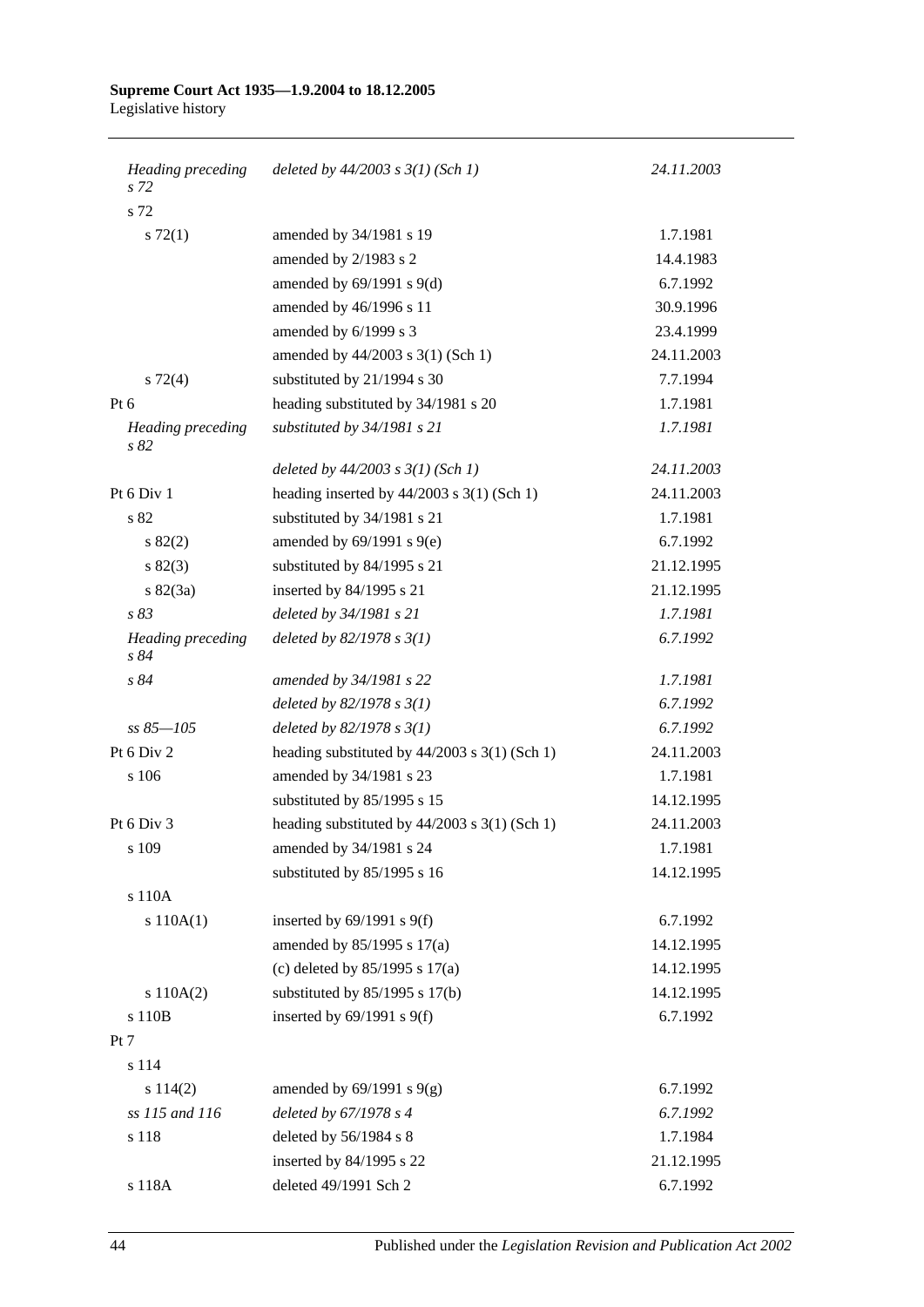#### **Supreme Court Act 1935—1.9.2004 to 18.12.2005** Legislative history

| <b>Heading</b> preceding<br>s 72 | deleted by $44/2003$ s $3(1)$ (Sch 1)             | 24.11.2003 |
|----------------------------------|---------------------------------------------------|------------|
| s 72                             |                                                   |            |
| $s \, 72(1)$                     | amended by 34/1981 s 19                           | 1.7.1981   |
|                                  | amended by 2/1983 s 2                             | 14.4.1983  |
|                                  | amended by $69/1991$ s $9(d)$                     | 6.7.1992   |
|                                  | amended by 46/1996 s 11                           | 30.9.1996  |
|                                  | amended by 6/1999 s 3                             | 23.4.1999  |
|                                  | amended by 44/2003 s 3(1) (Sch 1)                 | 24.11.2003 |
| $s \, 72(4)$                     | substituted by 21/1994 s 30                       | 7.7.1994   |
| Pt 6                             | heading substituted by 34/1981 s 20               | 1.7.1981   |
| <b>Heading preceding</b><br>s 82 | substituted by 34/1981 s 21                       | 1.7.1981   |
|                                  | deleted by $44/2003$ s $3(1)$ (Sch 1)             | 24.11.2003 |
| Pt 6 Div 1                       | heading inserted by $44/2003$ s 3(1) (Sch 1)      | 24.11.2003 |
| s 82                             | substituted by 34/1981 s 21                       | 1.7.1981   |
| s 82(2)                          | amended by 69/1991 s 9(e)                         | 6.7.1992   |
| s 82(3)                          | substituted by 84/1995 s 21                       | 21.12.1995 |
| $s \, 82(3a)$                    | inserted by 84/1995 s 21                          | 21.12.1995 |
| s 83                             | deleted by 34/1981 s 21                           | 1.7.1981   |
| Heading preceding<br>s 84        | deleted by $82/1978 s 3(1)$                       | 6.7.1992   |
| s 84                             | amended by 34/1981 s 22                           | 1.7.1981   |
|                                  | deleted by $82/1978 s 3(1)$                       | 6.7.1992   |
| ss 85—105                        | deleted by $82/1978 s 3(1)$                       | 6.7.1992   |
| Pt 6 Div 2                       | heading substituted by $44/2003$ s $3(1)$ (Sch 1) | 24.11.2003 |
| s 106                            | amended by 34/1981 s 23                           | 1.7.1981   |
|                                  | substituted by 85/1995 s 15                       | 14.12.1995 |
| Pt 6 Div 3                       | heading substituted by 44/2003 s 3(1) (Sch 1)     | 24.11.2003 |
| s 109                            | amended by 34/1981 s 24                           | 1.7.1981   |
|                                  | substituted by 85/1995 s 16                       | 14.12.1995 |
| s 110A                           |                                                   |            |
| s 110A(1)                        | inserted by $69/1991$ s $9(f)$                    | 6.7.1992   |
|                                  | amended by 85/1995 s 17(a)                        | 14.12.1995 |
|                                  | (c) deleted by $85/1995$ s $17(a)$                | 14.12.1995 |
| s 110A(2)                        | substituted by $85/1995$ s 17(b)                  | 14.12.1995 |
| s 110B                           | inserted by $69/1991$ s $9(f)$                    | 6.7.1992   |
| Pt 7                             |                                                   |            |
| s 114                            |                                                   |            |
| s 114(2)                         | amended by $69/1991$ s $9(g)$                     | 6.7.1992   |
| ss 115 and 116                   | deleted by 67/1978 s 4                            | 6.7.1992   |
| s 118                            | deleted by 56/1984 s 8                            | 1.7.1984   |
|                                  | inserted by 84/1995 s 22                          | 21.12.1995 |
| s 118A                           | deleted 49/1991 Sch 2                             | 6.7.1992   |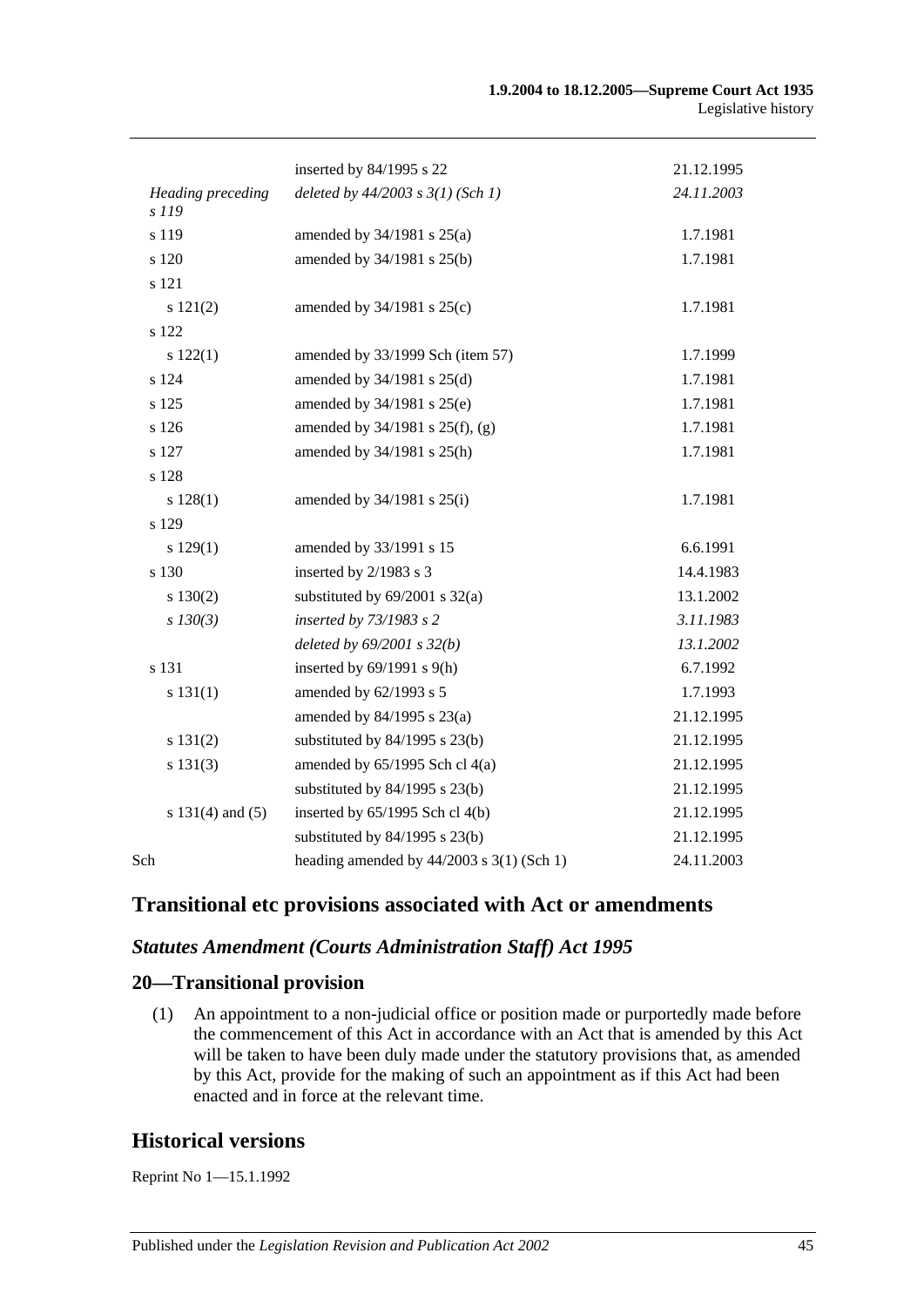|                                   | inserted by $84/1995$ s 22                    | 21.12.1995 |
|-----------------------------------|-----------------------------------------------|------------|
| <b>Heading</b> preceding<br>s 119 | deleted by $44/2003$ s $3(1)$ (Sch 1)         | 24.11.2003 |
| s 119                             | amended by $34/1981$ s $25(a)$                | 1.7.1981   |
| s 120                             | amended by 34/1981 s 25(b)                    | 1.7.1981   |
| s 121                             |                                               |            |
| s 121(2)                          | amended by 34/1981 s 25(c)                    | 1.7.1981   |
| s 122                             |                                               |            |
| s 122(1)                          | amended by 33/1999 Sch (item 57)              | 1.7.1999   |
| s 124                             | amended by $34/1981$ s $25(d)$                | 1.7.1981   |
| s 125                             | amended by 34/1981 s 25(e)                    | 1.7.1981   |
| s 126                             | amended by $34/1981$ s $25(f)$ , (g)          | 1.7.1981   |
| s 127                             | amended by 34/1981 s 25(h)                    | 1.7.1981   |
| s 128                             |                                               |            |
| s 128(1)                          | amended by 34/1981 s 25(i)                    | 1.7.1981   |
| s 129                             |                                               |            |
| s 129(1)                          | amended by 33/1991 s 15                       | 6.6.1991   |
| s 130                             | inserted by 2/1983 s 3                        | 14.4.1983  |
| s 130(2)                          | substituted by $69/2001$ s $32(a)$            | 13.1.2002  |
| $s$ 130(3)                        | inserted by 73/1983 s 2                       | 3.11.1983  |
|                                   | deleted by $69/2001 s 32(b)$                  | 13.1.2002  |
| s 131                             | inserted by $69/1991$ s $9(h)$                | 6.7.1992   |
| s 131(1)                          | amended by 62/1993 s 5                        | 1.7.1993   |
|                                   | amended by 84/1995 s 23(a)                    | 21.12.1995 |
| s 131(2)                          | substituted by $84/1995$ s $23(b)$            | 21.12.1995 |
| s 131(3)                          | amended by $65/1995$ Sch cl $4(a)$            | 21.12.1995 |
|                                   | substituted by $84/1995$ s $23(b)$            | 21.12.1995 |
| s $131(4)$ and $(5)$              | inserted by 65/1995 Sch cl 4(b)               | 21.12.1995 |
|                                   | substituted by $84/1995$ s $23(b)$            | 21.12.1995 |
| Sch                               | heading amended by $44/2003$ s $3(1)$ (Sch 1) | 24.11.2003 |
|                                   |                                               |            |

## **Transitional etc provisions associated with Act or amendments**

#### *Statutes Amendment (Courts Administration Staff) Act 1995*

#### **20—Transitional provision**

(1) An appointment to a non-judicial office or position made or purportedly made before the commencement of this Act in accordance with an Act that is amended by this Act will be taken to have been duly made under the statutory provisions that, as amended by this Act, provide for the making of such an appointment as if this Act had been enacted and in force at the relevant time.

## **Historical versions**

Reprint No 1—15.1.1992